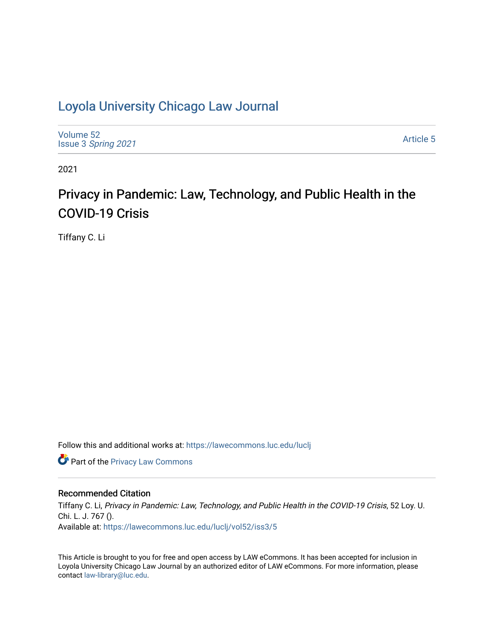## [Loyola University Chicago Law Journal](https://lawecommons.luc.edu/luclj)

[Volume 52](https://lawecommons.luc.edu/luclj/vol52) Issue 3 [Spring 2021](https://lawecommons.luc.edu/luclj/vol52/iss3) 

[Article 5](https://lawecommons.luc.edu/luclj/vol52/iss3/5) 

2021

# Privacy in Pandemic: Law, Technology, and Public Health in the COVID-19 Crisis

Tiffany C. Li

Follow this and additional works at: [https://lawecommons.luc.edu/luclj](https://lawecommons.luc.edu/luclj?utm_source=lawecommons.luc.edu%2Fluclj%2Fvol52%2Fiss3%2F5&utm_medium=PDF&utm_campaign=PDFCoverPages) 

**Part of the Privacy Law Commons** 

#### Recommended Citation

Tiffany C. Li, Privacy in Pandemic: Law, Technology, and Public Health in the COVID-19 Crisis, 52 Loy. U. Chi. L. J. 767 (). Available at: [https://lawecommons.luc.edu/luclj/vol52/iss3/5](https://lawecommons.luc.edu/luclj/vol52/iss3/5?utm_source=lawecommons.luc.edu%2Fluclj%2Fvol52%2Fiss3%2F5&utm_medium=PDF&utm_campaign=PDFCoverPages) 

This Article is brought to you for free and open access by LAW eCommons. It has been accepted for inclusion in Loyola University Chicago Law Journal by an authorized editor of LAW eCommons. For more information, please contact [law-library@luc.edu.](mailto:law-library@luc.edu)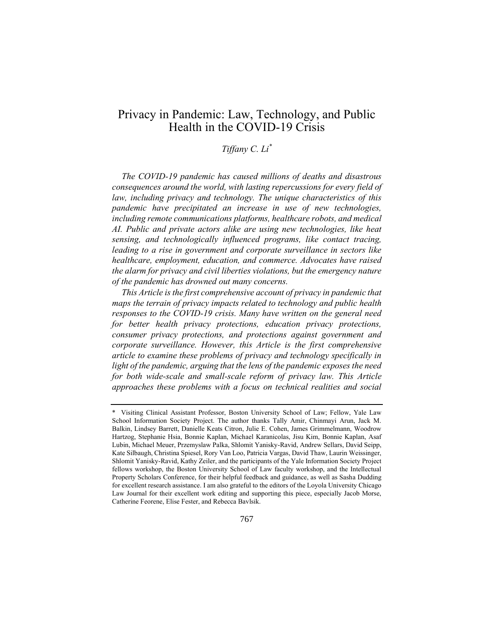## Privacy in Pandemic: Law, Technology, and Public Health in the COVID-19 Crisis

### *Tiffany C. Li\**

*The COVID-19 pandemic has caused millions of deaths and disastrous consequences around the world, with lasting repercussions for every field of law, including privacy and technology. The unique characteristics of this pandemic have precipitated an increase in use of new technologies, including remote communications platforms, healthcare robots, and medical AI. Public and private actors alike are using new technologies, like heat sensing, and technologically influenced programs, like contact tracing,*  leading to a rise in government and corporate surveillance in sectors like *healthcare, employment, education, and commerce. Advocates have raised the alarm for privacy and civil liberties violations, but the emergency nature of the pandemic has drowned out many concerns.*

*This Article is the first comprehensive account of privacy in pandemic that maps the terrain of privacy impacts related to technology and public health responses to the COVID-19 crisis. Many have written on the general need for better health privacy protections, education privacy protections, consumer privacy protections, and protections against government and corporate surveillance. However, this Article is the first comprehensive article to examine these problems of privacy and technology specifically in light of the pandemic, arguing that the lens of the pandemic exposes the need*  for both wide-scale and small-scale reform of privacy law. This Article *approaches these problems with a focus on technical realities and social* 

<sup>\*</sup> Visiting Clinical Assistant Professor, Boston University School of Law; Fellow, Yale Law School Information Society Project. The author thanks Tally Amir, Chinmayi Arun, Jack M. Balkin, Lindsey Barrett, Danielle Keats Citron, Julie E. Cohen, James Grimmelmann, Woodrow Hartzog, Stephanie Hsia, Bonnie Kaplan, Michael Karanicolas, Jisu Kim, Bonnie Kaplan, Asaf Lubin, Michael Meuer, Przemyslaw Palka, Shlomit Yanisky-Ravid, Andrew Sellars, David Seipp, Kate Silbaugh, Christina Spiesel, Rory Van Loo, Patricia Vargas, David Thaw, Laurin Weissinger, Shlomit Yanisky-Ravid, Kathy Zeiler, and the participants of the Yale Information Society Project fellows workshop, the Boston University School of Law faculty workshop, and the Intellectual Property Scholars Conference, for their helpful feedback and guidance, as well as Sasha Dudding for excellent research assistance. I am also grateful to the editors of the Loyola University Chicago Law Journal for their excellent work editing and supporting this piece, especially Jacob Morse, Catherine Feorene, Elise Fester, and Rebecca Bavlsik.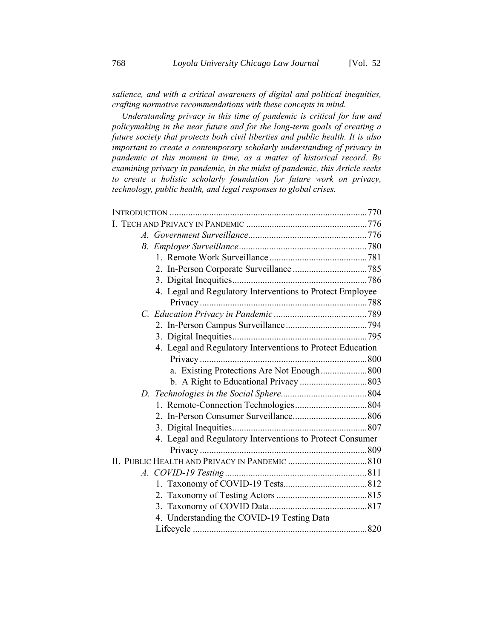*salience, and with a critical awareness of digital and political inequities, crafting normative recommendations with these concepts in mind.*

*Understanding privacy in this time of pandemic is critical for law and policymaking in the near future and for the long-term goals of creating a future society that protects both civil liberties and public health. It is also important to create a contemporary scholarly understanding of privacy in pandemic at this moment in time, as a matter of historical record. By examining privacy in pandemic, in the midst of pandemic, this Article seeks to create a holistic scholarly foundation for future work on privacy, technology, public health, and legal responses to global crises.*

| 4. Legal and Regulatory Interventions to Protect Employee  |  |
|------------------------------------------------------------|--|
|                                                            |  |
|                                                            |  |
|                                                            |  |
|                                                            |  |
| 4. Legal and Regulatory Interventions to Protect Education |  |
|                                                            |  |
|                                                            |  |
|                                                            |  |
|                                                            |  |
|                                                            |  |
|                                                            |  |
|                                                            |  |
| 4. Legal and Regulatory Interventions to Protect Consumer  |  |
|                                                            |  |
|                                                            |  |
|                                                            |  |
|                                                            |  |
|                                                            |  |
|                                                            |  |
| 4. Understanding the COVID-19 Testing Data                 |  |
|                                                            |  |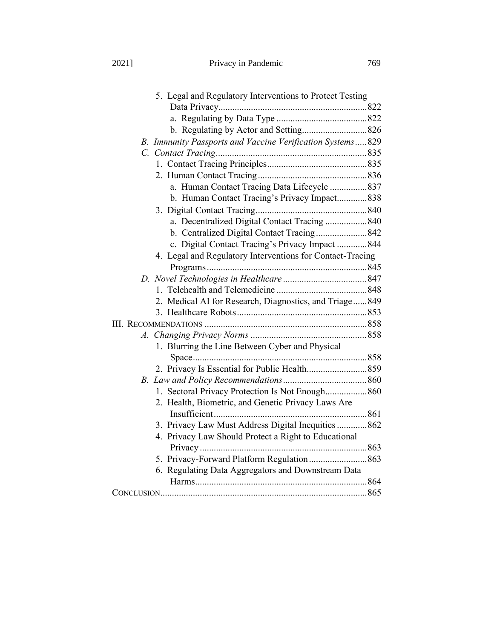2021] Privacy in Pandemic 769

| 5. Legal and Regulatory Interventions to Protect Testing  |
|-----------------------------------------------------------|
|                                                           |
|                                                           |
|                                                           |
| B. Immunity Passports and Vaccine Verification Systems829 |
|                                                           |
|                                                           |
|                                                           |
| a. Human Contact Tracing Data Lifecycle 837               |
| b. Human Contact Tracing's Privacy Impact838              |
|                                                           |
| a. Decentralized Digital Contact Tracing 840              |
| b. Centralized Digital Contact Tracing 842                |
| c. Digital Contact Tracing's Privacy Impact 844           |
| 4. Legal and Regulatory Interventions for Contact-Tracing |
|                                                           |
|                                                           |
|                                                           |
| 2. Medical AI for Research, Diagnostics, and Triage849    |
|                                                           |
|                                                           |
|                                                           |
| 1. Blurring the Line Between Cyber and Physical           |
|                                                           |
|                                                           |
|                                                           |
| 1. Sectoral Privacy Protection Is Not Enough 860          |
| 2. Health, Biometric, and Genetic Privacy Laws Are        |
|                                                           |
| 3. Privacy Law Must Address Digital Inequities  862       |
| 4. Privacy Law Should Protect a Right to Educational      |
|                                                           |
|                                                           |
| 6. Regulating Data Aggregators and Downstream Data        |
|                                                           |
|                                                           |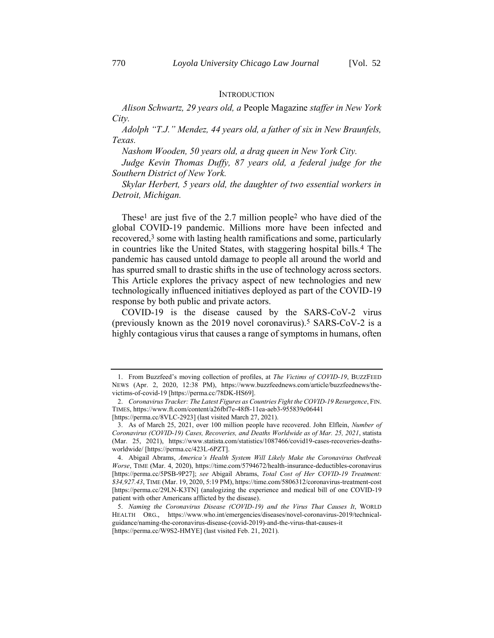#### **INTRODUCTION**

*Alison Schwartz, 29 years old, a* People Magazine *staffer in New York City.*

*Adolph "T.J." Mendez, 44 years old, a father of six in New Braunfels, Texas.*

*Nashom Wooden, 50 years old, a drag queen in New York City.*

*Judge Kevin Thomas Duffy, 87 years old, a federal judge for the Southern District of New York.*

*Skylar Herbert, 5 years old, the daughter of two essential workers in Detroit, Michigan.*

These<sup>1</sup> are just five of the 2.7 million people<sup>2</sup> who have died of the global COVID-19 pandemic. Millions more have been infected and recovered,<sup>3</sup> some with lasting health ramifications and some, particularly in countries like the United States, with staggering hospital bills.4 The pandemic has caused untold damage to people all around the world and has spurred small to drastic shifts in the use of technology across sectors. This Article explores the privacy aspect of new technologies and new technologically influenced initiatives deployed as part of the COVID-19 response by both public and private actors.

COVID-19 is the disease caused by the SARS-CoV-2 virus (previously known as the 2019 novel coronavirus).<sup>5</sup> SARS-CoV-2 is a highly contagious virus that causes a range of symptoms in humans, often

<sup>1.</sup> From Buzzfeed's moving collection of profiles, at *The Victims of COVID-19*, BUZZFEED NEWS (Apr. 2, 2020, 12:38 PM), https://www.buzzfeednews.com/article/buzzfeednews/thevictims-of-covid-19 [https://perma.cc/78DK-HS69].

<sup>2.</sup> *Coronavirus Tracker: The Latest Figures as Countries Fight the COVID-19 Resurgence*, FIN. TIMES, https://www.ft.com/content/a26fbf7e-48f8-11ea-aeb3-955839e06441 [https://perma.cc/8VLC-2923] (last visited March 27, 2021).

<sup>3.</sup> As of March 25, 2021, over 100 million people have recovered. John Elflein, *Number of Coronavirus (COVID-19) Cases, Recoveries, and Deaths Worldwide as of Mar. 25, 2021*, statista (Mar. 25, 2021), https://www.statista.com/statistics/1087466/covid19-cases-recoveries-deathsworldwide/ [https://perma.cc/423L-6PZT].

<sup>4.</sup> Abigail Abrams, *America's Health System Will Likely Make the Coronavirus Outbreak Worse*, TIME (Mar. 4, 2020), https://time.com/5794672/health-insurance-deductibles-coronavirus [https://perma.cc/5PSB-9P27]; *see* Abigail Abrams, *Total Cost of Her COVID-19 Treatment: \$34,927.43*, TIME (Mar. 19, 2020, 5:19 PM), https://time.com/5806312/coronavirus-treatment-cost [https://perma.cc/29LN-K3TN] (analogizing the experience and medical bill of one COVID-19 patient with other Americans afflicted by the disease).

<sup>5.</sup> *Naming the Coronavirus Disease (COVID-19) and the Virus That Causes It*, WORLD HEALTH ORG., https://www.who.int/emergencies/diseases/novel-coronavirus-2019/technicalguidance/naming-the-coronavirus-disease-(covid-2019)-and-the-virus-that-causes-it [https://perma.cc/W9S2-HMYE] (last visited Feb. 21, 2021).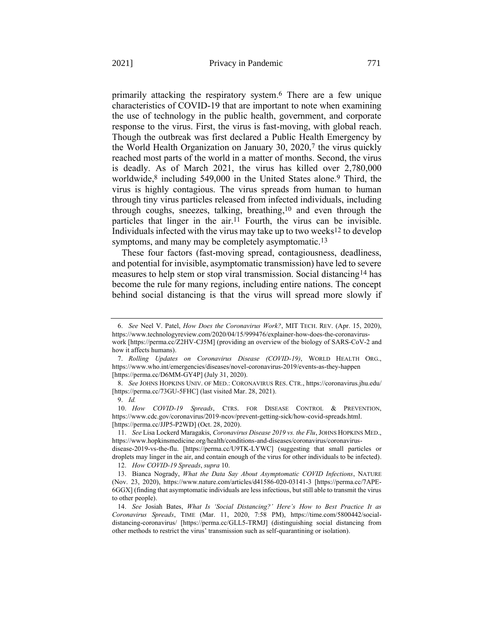primarily attacking the respiratory system. 6 There are a few unique characteristics of COVID-19 that are important to note when examining the use of technology in the public health, government, and corporate response to the virus. First, the virus is fast-moving, with global reach. Though the outbreak was first declared a Public Health Emergency by the World Health Organization on January 30, 2020,7 the virus quickly reached most parts of the world in a matter of months. Second, the virus is deadly. As of March 2021, the virus has killed over 2,780,000 worldwide,<sup>8</sup> including 549,000 in the United States alone.<sup>9</sup> Third, the virus is highly contagious. The virus spreads from human to human through tiny virus particles released from infected individuals, including through coughs, sneezes, talking, breathing, 10 and even through the particles that linger in the air.11 Fourth, the virus can be invisible. Individuals infected with the virus may take up to two weeks12 to develop symptoms, and many may be completely asymptomatic.<sup>13</sup>

<span id="page-5-0"></span>These four factors (fast-moving spread, contagiousness, deadliness, and potential for invisible, asymptomatic transmission) have led to severe measures to help stem or stop viral transmission. Social distancing14 has become the rule for many regions, including entire nations. The concept behind social distancing is that the virus will spread more slowly if

<sup>6.</sup> *See* Neel V. Patel, *How Does the Coronavirus Work?*, MIT TECH. REV. (Apr. 15, 2020), https://www.technologyreview.com/2020/04/15/999476/explainer-how-does-the-coronaviruswork [https://perma.cc/Z2HV-CJ5M] (providing an overview of the biology of SARS-CoV-2 and how it affects humans).

<sup>7.</sup> *Rolling Updates on Coronavirus Disease (COVID-19)*, WORLD HEALTH ORG., https://www.who.int/emergencies/diseases/novel-coronavirus-2019/events-as-they-happen [https://perma.cc/D6MM-GY4P] (July 31, 2020).

<sup>8.</sup> *See* JOHNS HOPKINS UNIV. OF MED.: CORONAVIRUS RES. CTR., https://coronavirus.jhu.edu/ [https://perma.cc/73GU-5FHC] (last visited Mar. 28, 2021).

<sup>9.</sup> *Id.*

<sup>10.</sup> *How COVID-19 Spreads*, CTRS. FOR DISEASE CONTROL & PREVENTION, https://www.cdc.gov/coronavirus/2019-ncov/prevent-getting-sick/how-covid-spreads.html. [https://perma.cc/JJP5-P2WD] (Oct. 28, 2020).

<sup>11.</sup> *See* Lisa Lockerd Maragakis, *Coronavirus Disease 2019 vs. the Flu*, JOHNS HOPKINS MED., https://www.hopkinsmedicine.org/health/conditions-and-diseases/coronavirus/coronavirus-

disease-2019-vs-the-flu. [https://perma.cc/U9TK-LYWC] (suggesting that small particles or droplets may linger in the air, and contain enough of the virus for other individuals to be infected). 12. *How COVID-19 Spreads*, *supra* [10.](#page-5-0)

<sup>13.</sup> Bianca Nogrady, *What the Data Say About Asymptomatic COVID Infections*, NATURE (Nov. 23, 2020), https://www.nature.com/articles/d41586-020-03141-3 [https://perma.cc/7APE-6GGX] (finding that asymptomatic individuals are less infectious, but still able to transmit the virus to other people).

<sup>14.</sup> *See* Josiah Bates, *What Is 'Social Distancing?' Here's How to Best Practice It as Coronavirus Spreads*, TIME (Mar. 11, 2020, 7:58 PM), https://time.com/5800442/socialdistancing-coronavirus/ [https://perma.cc/GLL5-TRMJ] (distinguishing social distancing from other methods to restrict the virus' transmission such as self-quarantining or isolation).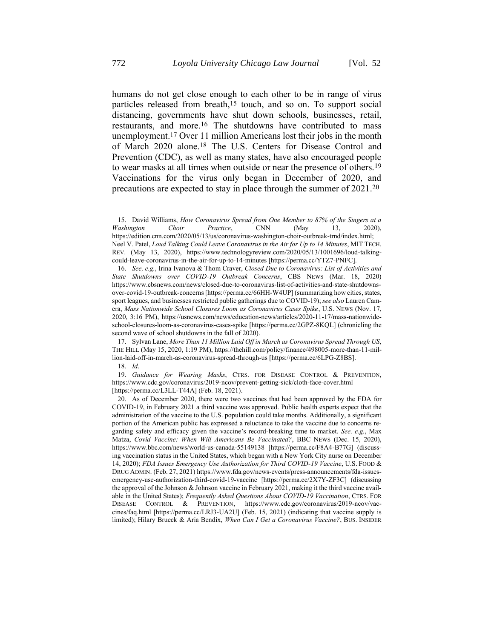humans do not get close enough to each other to be in range of virus particles released from breath,<sup>15</sup> touch, and so on. To support social distancing, governments have shut down schools, businesses, retail, restaurants, and more.<sup>16</sup> The shutdowns have contributed to mass unemployment.17 Over 11 million Americans lost their jobs in the month of March 2020 alone.18 The U.S. Centers for Disease Control and Prevention (CDC), as well as many states, have also encouraged people to wear masks at all times when outside or near the presence of others.19 Vaccinations for the virus only began in December of 2020, and precautions are expected to stay in place through the summer of 2021.20

19. *Guidance for Wearing Masks*, CTRS. FOR DISEASE CONTROL & PREVENTION, https://www.cdc.gov/coronavirus/2019-ncov/prevent-getting-sick/cloth-face-cover.html [https://perma.cc/L3LL-T44A] (Feb. 18, 2021).

<sup>15.</sup> David Williams, *How Coronavirus Spread from One Member to 87% of the Singers at a Washington Choir Practice*, CNN (May 13, 2020), https://edition.cnn.com/2020/05/13/us/coronavirus-washington-choir-outbreak-trnd/index.html; Neel V. Patel, *Loud Talking Could Leave Coronavirus in the Air for Up to 14 Minutes*, MIT TECH. REV. (May 13, 2020), https://www.technologyreview.com/2020/05/13/1001696/loud-talkingcould-leave-coronavirus-in-the-air-for-up-to-14-minutes [https://perma.cc/YTZ7-PNFC].

<sup>16.</sup> *See, e.g.*, Irina Ivanova & Thom Craver, *Closed Due to Coronavirus: List of Activities and State Shutdowns over COVID-19 Outbreak Concerns*, CBS NEWS (Mar. 18, 2020) https://www.cbsnews.com/news/closed-due-to-coronavirus-list-of-activities-and-state-shutdownsover-covid-19-outbreak-concerns[https://perma.cc/66HH-W4UP] (summarizing how cities, states, sport leagues, and businesses restricted public gatherings due to COVID-19); *see also* Lauren Camera, *Mass Nationwide School Closures Loom as Coronavirus Cases Spike*, U.S. NEWS (Nov. 17, 2020, 3:16 PM), https://usnews.com/news/education-news/articles/2020-11-17/mass-nationwideschool-closures-loom-as-coronavirus-cases-spike [https://perma.cc/2GPZ-8KQL] (chronicling the second wave of school shutdowns in the fall of 2020).

<sup>17.</sup> Sylvan Lane, *More Than 11 Million Laid Off in March as Coronavirus Spread Through US*, THE HILL (May 15, 2020, 1:19 PM), https://thehill.com/policy/finance/498005-more-than-11-million-laid-off-in-march-as-coronavirus-spread-through-us [https://perma.cc/6LPG-Z8BS]. 18. *Id*.

<sup>20.</sup> As of December 2020, there were two vaccines that had been approved by the FDA for COVID-19, in February 2021 a third vaccine was approved. Public health experts expect that the administration of the vaccine to the U.S. population could take months. Additionally, a significant portion of the American public has expressed a reluctance to take the vaccine due to concerns regarding safety and efficacy given the vaccine's record-breaking time to market. *See, e.g.*, Max Matza, *Covid Vaccine: When Will Americans Be Vaccinated?*, BBC NEWS (Dec. 15, 2020), https://www.bbc.com/news/world-us-canada-55149138 [https://perma.cc/F8A4-B77G] (discussing vaccination status in the United States, which began with a New York City nurse on December 14, 2020); *FDA Issues Emergency Use Authorization for Third COVID-19 Vaccine*, U.S. FOOD & DRUG ADMIN. (Feb. 27, 2021) https://www.fda.gov/news-events/press-announcements/fda-issuesemergency-use-authorization-third-covid-19-vaccine [https://perma.cc/2X7Y-ZF3C] (discussing the approval of the Johnson & Johnson vaccine in February 2021, making it the third vaccine available in the United States); *Frequently Asked Questions About COVID-19 Vaccination*, CTRS. FOR DISEASE CONTROL & PREVENTION, https://www.cdc.gov/coronavirus/2019-ncov/vaccines/faq.html [https://perma.cc/LRJ3-UA2U] (Feb. 15, 2021) (indicating that vaccine supply is limited); Hilary Brueck & Aria Bendix, *When Can I Get a Coronavirus Vaccine?*, BUS. INSIDER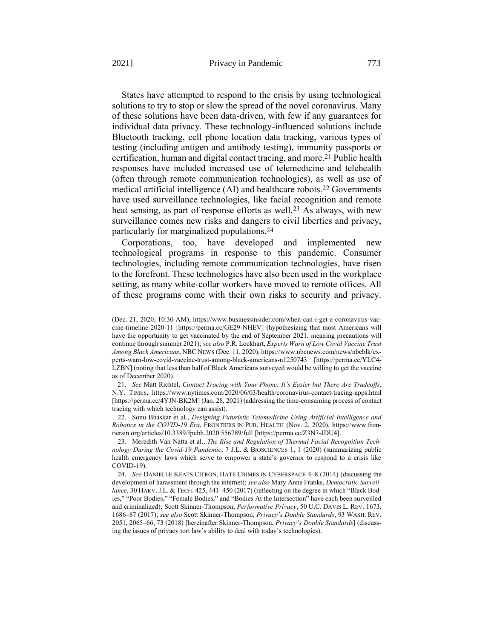States have attempted to respond to the crisis by using technological solutions to try to stop or slow the spread of the novel coronavirus. Many of these solutions have been data-driven, with few if any guarantees for individual data privacy. These technology-influenced solutions include Bluetooth tracking, cell phone location data tracking, various types of testing (including antigen and antibody testing), immunity passports or certification, human and digital contact tracing, and more.21 Public health responses have included increased use of telemedicine and telehealth (often through remote communication technologies), as well as use of medical artificial intelligence (AI) and healthcare robots.22 Governments have used surveillance technologies, like facial recognition and remote heat sensing, as part of response efforts as well.<sup>23</sup> As always, with new surveillance comes new risks and dangers to civil liberties and privacy, particularly for marginalized populations.24

<span id="page-7-0"></span>Corporations, too, have developed and implemented new technological programs in response to this pandemic. Consumer technologies, including remote communication technologies, have risen to the forefront. These technologies have also been used in the workplace setting, as many white-collar workers have moved to remote offices. All of these programs come with their own risks to security and privacy.

22. Sonu Bhaskar et al., *Designing Futuristic Telemedicine Using Artificial Intelligence and Robotics in the COVID-19 Era*, FRONTIERS IN PUB. HEALTH (Nov. 2, 2020), https://www.frontiersin.org/articles/10.3389/fpubh.2020.556789/full [https://perma.cc/Z3N7-JDU4].

<sup>(</sup>Dec. 21, 2020, 10:30 AM), https://www.businessinsider.com/when-can-i-get-a-coronavirus-vaccine-timeline-2020-11 [https://perma.cc/GE29-NHEV] (hypothesizing that most Americans will have the opportunity to get vaccinated by the end of September 2021, meaning precautions will continue through summer 2021); *see also* P.R. Lockhart, *Experts Warn of Low Covid Vaccine Trust Among Black Americans*, NBC NEWS (Dec. 11, 2020), https://www.nbcnews.com/news/nbcblk/experts-warn-low-covid-vaccine-trust-among-black-americans-n1250743 [https://perma.cc/YLC4- LZBN] (noting that less than half of Black Americans surveyed would be willing to get the vaccine as of December 2020).

<sup>21.</sup> *See* Matt Richtel, *Contact Tracing with Your Phone: It's Easier but There Are Tradeoffs*, N.Y. TIMES, https://www.nytimes.com/2020/06/03/health/coronavirus-contact-tracing-apps.html [https://perma.cc/4YJN-BK2M] (Jan. 28, 2021) (addressing the time-consuming process of contact tracing with which technology can assist).

<sup>23.</sup> Meredith Van Natta et al., *The Rise and Regulation of Thermal Facial Recognition Technology During the Covid-19 Pandemic*, 7 J.L. & BIOSCIENCES 1, 1 (2020) (summarizing public health emergency laws which serve to empower a state's governor to respond to a crisis like COVID-19).

<sup>24.</sup> *See* DANIELLE KEATS CITRON, HATE CRIMES IN CYBERSPACE 4–8 (2014) (discussing the development of harassment through the internet); *see also* Mary Anne Franks, *Democratic Surveillance*, 30 HARV.J.L. & TECH. 425, 441–450 (2017) (reflecting on the degree in which "Black Bodies," "Poor Bodies," "Female Bodies," and "Bodies At the Intersection" have each been surveilled and criminalized); Scott Skinner-Thompson, *Performative Privacy*, 50 U.C. DAVIS L. REV. 1673, 1686–87 (2017); *see also* Scott Skinner-Thompson, *Privacy's Double Standards*, 93 WASH. REV. 2051, 2065–66, 73 (2018) [hereinafter Skinner-Thompson, *Privacy's Double Standards*] (discussing the issues of privacy tort law's ability to deal with today's technologies).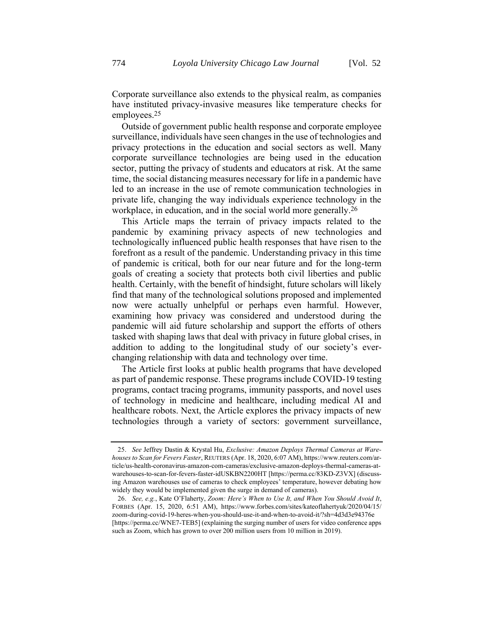Corporate surveillance also extends to the physical realm, as companies have instituted privacy-invasive measures like temperature checks for employees.25

Outside of government public health response and corporate employee surveillance, individuals have seen changes in the use of technologies and privacy protections in the education and social sectors as well. Many corporate surveillance technologies are being used in the education sector, putting the privacy of students and educators at risk. At the same time, the social distancing measures necessary for life in a pandemic have led to an increase in the use of remote communication technologies in private life, changing the way individuals experience technology in the workplace, in education, and in the social world more generally.<sup>26</sup>

This Article maps the terrain of privacy impacts related to the pandemic by examining privacy aspects of new technologies and technologically influenced public health responses that have risen to the forefront as a result of the pandemic. Understanding privacy in this time of pandemic is critical, both for our near future and for the long-term goals of creating a society that protects both civil liberties and public health. Certainly, with the benefit of hindsight, future scholars will likely find that many of the technological solutions proposed and implemented now were actually unhelpful or perhaps even harmful. However, examining how privacy was considered and understood during the pandemic will aid future scholarship and support the efforts of others tasked with shaping laws that deal with privacy in future global crises, in addition to adding to the longitudinal study of our society's everchanging relationship with data and technology over time.

The Article first looks at public health programs that have developed as part of pandemic response. These programs include COVID-19 testing programs, contact tracing programs, immunity passports, and novel uses of technology in medicine and healthcare, including medical AI and healthcare robots. Next, the Article explores the privacy impacts of new technologies through a variety of sectors: government surveillance,

<sup>25.</sup> *See* Jeffrey Dastin & Krystal Hu, *Exclusive: Amazon Deploys Thermal Cameras at Warehouses to Scan for Fevers Faster*, REUTERS (Apr. 18, 2020, 6:07 AM), https://www.reuters.com/article/us-health-coronavirus-amazon-com-cameras/exclusive-amazon-deploys-thermal-cameras-atwarehouses-to-scan-for-fevers-faster-idUSKBN2200HT [https://perma.cc/83KD-Z3VX] (discussing Amazon warehouses use of cameras to check employees' temperature, however debating how widely they would be implemented given the surge in demand of cameras).

<sup>26.</sup> *See, e.g.*, Kate O'Flaherty, *Zoom: Here's When to Use It, and When You Should Avoid It*, FORBES (Apr. 15, 2020, 6:51 AM), https://www.forbes.com/sites/kateoflahertyuk/2020/04/15/ zoom-during-covid-19-heres-when-you-should-use-it-and-when-to-avoid-it/?sh=4d3d3e94376e [https://perma.cc/WNE7-TEB5] (explaining the surging number of users for video conference apps such as Zoom, which has grown to over 200 million users from 10 million in 2019).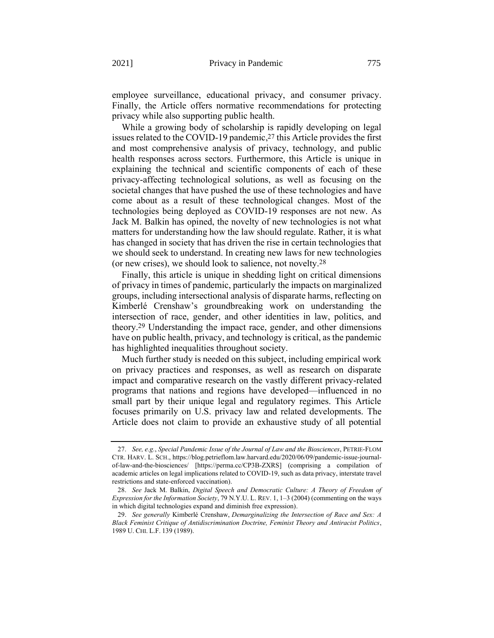employee surveillance, educational privacy, and consumer privacy. Finally, the Article offers normative recommendations for protecting privacy while also supporting public health.

While a growing body of scholarship is rapidly developing on legal issues related to the COVID-19 pandemic, 27 this Article provides the first and most comprehensive analysis of privacy, technology, and public health responses across sectors. Furthermore, this Article is unique in explaining the technical and scientific components of each of these privacy-affecting technological solutions, as well as focusing on the societal changes that have pushed the use of these technologies and have come about as a result of these technological changes. Most of the technologies being deployed as COVID-19 responses are not new. As Jack M. Balkin has opined, the novelty of new technologies is not what matters for understanding how the law should regulate. Rather, it is what has changed in society that has driven the rise in certain technologies that we should seek to understand. In creating new laws for new technologies (or new crises), we should look to salience, not novelty.28

Finally, this article is unique in shedding light on critical dimensions of privacy in times of pandemic, particularly the impacts on marginalized groups, including intersectional analysis of disparate harms, reflecting on Kimberlé Crenshaw's groundbreaking work on understanding the intersection of race, gender, and other identities in law, politics, and theory.29 Understanding the impact race, gender, and other dimensions have on public health, privacy, and technology is critical, as the pandemic has highlighted inequalities throughout society.

Much further study is needed on this subject, including empirical work on privacy practices and responses, as well as research on disparate impact and comparative research on the vastly different privacy-related programs that nations and regions have developed—influenced in no small part by their unique legal and regulatory regimes. This Article focuses primarily on U.S. privacy law and related developments. The Article does not claim to provide an exhaustive study of all potential

<sup>27.</sup> *See, e.g.*, *Special Pandemic Issue of the Journal of Law and the Biosciences*, PETRIE-FLOM CTR. HARV. L. SCH., https://blog.petrieflom.law.harvard.edu/2020/06/09/pandemic-issue-journalof-law-and-the-biosciences/ [https://perma.cc/CP3B-ZXRS] (comprising a compilation of academic articles on legal implications related to COVID-19, such as data privacy, interstate travel restrictions and state-enforced vaccination).

<sup>28.</sup> *See* Jack M. Balkin, *Digital Speech and Democratic Culture: A Theory of Freedom of Expression for the Information Society*, 79 N.Y.U. L. REV. 1, 1–3 (2004) (commenting on the ways in which digital technologies expand and diminish free expression).

<sup>29.</sup> *See generally* Kimberlé Crenshaw, *Demarginalizing the Intersection of Race and Sex: A Black Feminist Critique of Antidiscrimination Doctrine, Feminist Theory and Antiracist Politics*, 1989 U. CHI. L.F. 139 (1989).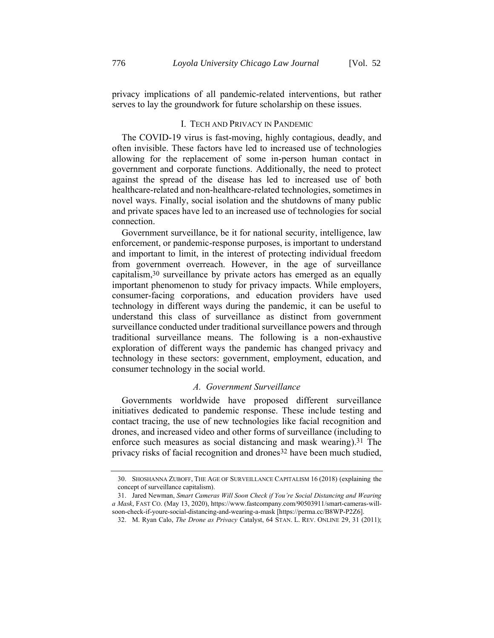privacy implications of all pandemic-related interventions, but rather serves to lay the groundwork for future scholarship on these issues.

#### I. TECH AND PRIVACY IN PANDEMIC

The COVID-19 virus is fast-moving, highly contagious, deadly, and often invisible. These factors have led to increased use of technologies allowing for the replacement of some in-person human contact in government and corporate functions. Additionally, the need to protect against the spread of the disease has led to increased use of both healthcare-related and non-healthcare-related technologies, sometimes in novel ways. Finally, social isolation and the shutdowns of many public and private spaces have led to an increased use of technologies for social connection.

Government surveillance, be it for national security, intelligence, law enforcement, or pandemic-response purposes, is important to understand and important to limit, in the interest of protecting individual freedom from government overreach. However, in the age of surveillance capitalism,30 surveillance by private actors has emerged as an equally important phenomenon to study for privacy impacts. While employers, consumer-facing corporations, and education providers have used technology in different ways during the pandemic, it can be useful to understand this class of surveillance as distinct from government surveillance conducted under traditional surveillance powers and through traditional surveillance means. The following is a non-exhaustive exploration of different ways the pandemic has changed privacy and technology in these sectors: government, employment, education, and consumer technology in the social world.

#### *A. Government Surveillance*

Governments worldwide have proposed different surveillance initiatives dedicated to pandemic response. These include testing and contact tracing, the use of new technologies like facial recognition and drones, and increased video and other forms of surveillance (including to enforce such measures as social distancing and mask wearing).31 The privacy risks of facial recognition and drones<sup>32</sup> have been much studied,

<sup>30.</sup> SHOSHANNA ZUBOFF, THE AGE OF SURVEILLANCE CAPITALISM 16 (2018) (explaining the concept of surveillance capitalism).

<sup>31.</sup> Jared Newman, *Smart Cameras Will Soon Check if You're Social Distancing and Wearing a Mask*, FAST CO. (May 13, 2020), https://www.fastcompany.com/90503911/smart-cameras-willsoon-check-if-youre-social-distancing-and-wearing-a-mask [https://perma.cc/B8WP-P2Z6].

<sup>32.</sup> M. Ryan Calo, *The Drone as Privacy* Catalyst, 64 STAN. L. REV. ONLINE 29, 31 (2011);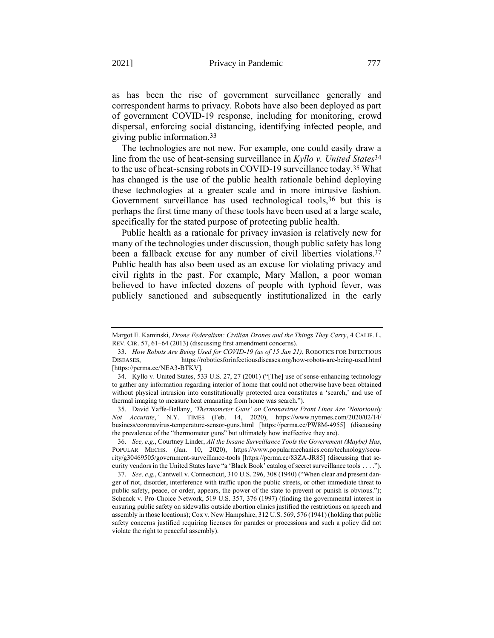as has been the rise of government surveillance generally and correspondent harms to privacy. Robots have also been deployed as part of government COVID-19 response, including for monitoring, crowd dispersal, enforcing social distancing, identifying infected people, and giving public information.33

The technologies are not new. For example, one could easily draw a line from the use of heat-sensing surveillance in *Kyllo v. United States*34 to the use of heat-sensing robots in COVID-19 surveillance today.35 What has changed is the use of the public health rationale behind deploying these technologies at a greater scale and in more intrusive fashion. Government surveillance has used technological tools,<sup>36</sup> but this is perhaps the first time many of these tools have been used at a large scale, specifically for the stated purpose of protecting public health.

Public health as a rationale for privacy invasion is relatively new for many of the technologies under discussion, though public safety has long been a fallback excuse for any number of civil liberties violations.<sup>37</sup> Public health has also been used as an excuse for violating privacy and civil rights in the past. For example, Mary Mallon, a poor woman believed to have infected dozens of people with typhoid fever, was publicly sanctioned and subsequently institutionalized in the early

Margot E. Kaminski, *Drone Federalism: Civilian Drones and the Things They Carry*, 4 CALIF. L. REV. CIR. 57, 61–64 (2013) (discussing first amendment concerns).

<sup>33.</sup> *How Robots Are Being Used for COVID-19 (as of 15 Jan 21)*, ROBOTICS FOR INFECTIOUS DISEASES, https://roboticsforinfectiousdiseases.org/how-robots-are-being-used.html [https://perma.cc/NEA3-BTKV].

<sup>34.</sup> Kyllo v. United States, 533 U.S. 27, 27 (2001) ("[The] use of sense-enhancing technology to gather any information regarding interior of home that could not otherwise have been obtained without physical intrusion into constitutionally protected area constitutes a 'search,' and use of thermal imaging to measure heat emanating from home was search.").

<sup>35.</sup> David Yaffe-Bellany, *'Thermometer Guns' on Coronavirus Front Lines Are 'Notoriously Not Accurate*,*'* N.Y. TIMES (Feb. 14, 2020), https://www.nytimes.com/2020/02/14/ business/coronavirus-temperature-sensor-guns.html [https://perma.cc/PW8M-4955] (discussing the prevalence of the "thermometer guns" but ultimately how ineffective they are).

<sup>36.</sup> *See, e.g.*, Courtney Linder, *All the Insane Surveillance Tools the Government (Maybe) Has*, POPULAR MECHS. (Jan. 10, 2020), https://www.popularmechanics.com/technology/security/g30469505/government-surveillance-tools [https://perma.cc/83ZA-JR85] (discussing that security vendors in the United States have "a 'Black Book' catalog of secret surveillance tools . . . .").

<sup>37.</sup> *See, e.g.*, Cantwell v. Connecticut, 310 U.S. 296, 308 (1940) ("When clear and present danger of riot, disorder, interference with traffic upon the public streets, or other immediate threat to public safety, peace, or order, appears, the power of the state to prevent or punish is obvious."); Schenck v. Pro-Choice Network, 519 U.S. 357, 376 (1997) (finding the governmental interest in ensuring public safety on sidewalks outside abortion clinics justified the restrictions on speech and assembly in those locations); Cox v. New Hampshire, 312 U.S. 569, 576 (1941) (holding that public safety concerns justified requiring licenses for parades or processions and such a policy did not violate the right to peaceful assembly).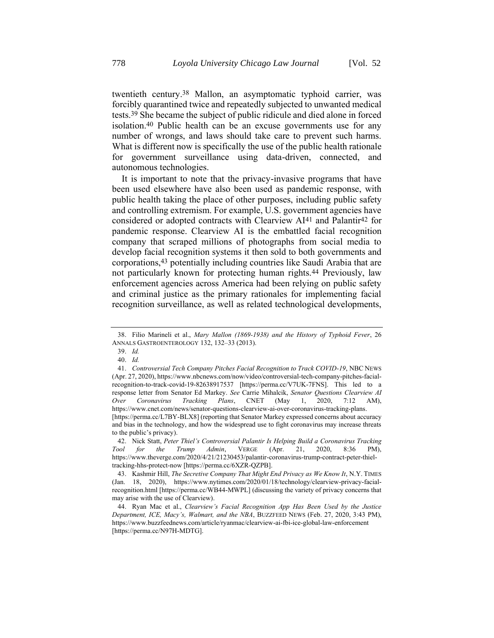twentieth century. 38 Mallon, an asymptomatic typhoid carrier, was forcibly quarantined twice and repeatedly subjected to unwanted medical tests.39 She became the subject of public ridicule and died alone in forced isolation.40 Public health can be an excuse governments use for any number of wrongs, and laws should take care to prevent such harms. What is different now is specifically the use of the public health rationale for government surveillance using data-driven, connected, and autonomous technologies.

It is important to note that the privacy-invasive programs that have been used elsewhere have also been used as pandemic response, with public health taking the place of other purposes, including public safety and controlling extremism. For example, U.S. government agencies have considered or adopted contracts with Clearview AI<sup>41</sup> and Palantir<sup>42</sup> for pandemic response. Clearview AI is the embattled facial recognition company that scraped millions of photographs from social media to develop facial recognition systems it then sold to both governments and corporations,43 potentially including countries like Saudi Arabia that are not particularly known for protecting human rights.44 Previously, law enforcement agencies across America had been relying on public safety and criminal justice as the primary rationales for implementing facial recognition surveillance, as well as related technological developments,

<sup>38.</sup> Filio Marineli et al., *Mary Mallon (1869-1938) and the History of Typhoid Fever*, 26 ANNALS GASTROENTEROLOGY 132, 132–33 (2013).

<sup>39.</sup> *Id.*

<sup>40.</sup> *Id.*

<sup>41.</sup> *Controversial Tech Company Pitches Facial Recognition to Track COVID-19*, NBC NEWS (Apr. 27, 2020), https://www.nbcnews.com/now/video/controversial-tech-company-pitches-facialrecognition-to-track-covid-19-82638917537 [https://perma.cc/V7UK-7FNS]. This led to a response letter from Senator Ed Markey. *See* Carrie Mihalcik, *Senator Questions Clearview AI Over Coronavirus Tracking Plans*, CNET (May 1, 2020, 7:12 AM), https://www.cnet.com/news/senator-questions-clearview-ai-over-coronavirus-tracking-plans. [https://perma.cc/L7BY-BLX8] (reporting that Senator Markey expressed concerns about accuracy

and bias in the technology, and how the widespread use to fight coronavirus may increase threats to the public's privacy).

<sup>42.</sup> Nick Statt, *Peter Thiel's Controversial Palantir Is Helping Build a Coronavirus Tracking Tool for the Trump Admin*, VERGE (Apr. 21, 2020, 8:36 PM), https://www.theverge.com/2020/4/21/21230453/palantir-coronavirus-trump-contract-peter-thieltracking-hhs-protect-now [https://perma.cc/6XZR-QZPB].

<sup>43.</sup> Kashmir Hill, *The Secretive Company That Might End Privacy as We Know It*, N.Y. TIMES (Jan. 18, 2020), https://www.nytimes.com/2020/01/18/technology/clearview-privacy-facialrecognition.html [https://perma.cc/WB44-MWPL] (discussing the variety of privacy concerns that may arise with the use of Clearview).

<sup>44.</sup> Ryan Mac et al., *Clearview's Facial Recognition App Has Been Used by the Justice Department, ICE, Macy's, Walmart, and the NBA*, BUZZFEED NEWS (Feb. 27, 2020, 3:43 PM), https://www.buzzfeednews.com/article/ryanmac/clearview-ai-fbi-ice-global-law-enforcement [https://perma.cc/N97H-MDTG].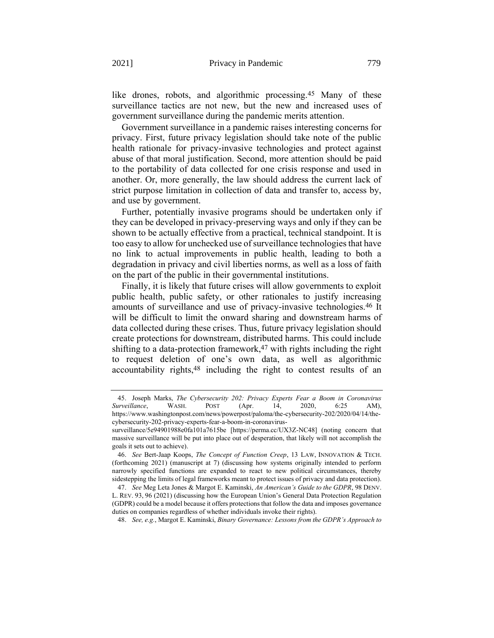<span id="page-13-0"></span>like drones, robots, and algorithmic processing.<sup>45</sup> Many of these surveillance tactics are not new, but the new and increased uses of government surveillance during the pandemic merits attention.

Government surveillance in a pandemic raises interesting concerns for privacy. First, future privacy legislation should take note of the public health rationale for privacy-invasive technologies and protect against abuse of that moral justification. Second, more attention should be paid to the portability of data collected for one crisis response and used in another. Or, more generally, the law should address the current lack of strict purpose limitation in collection of data and transfer to, access by, and use by government.

Further, potentially invasive programs should be undertaken only if they can be developed in privacy-preserving ways and only if they can be shown to be actually effective from a practical, technical standpoint. It is too easy to allow for unchecked use of surveillance technologies that have no link to actual improvements in public health, leading to both a degradation in privacy and civil liberties norms, as well as a loss of faith on the part of the public in their governmental institutions.

Finally, it is likely that future crises will allow governments to exploit public health, public safety, or other rationales to justify increasing amounts of surveillance and use of privacy-invasive technologies.46 It will be difficult to limit the onward sharing and downstream harms of data collected during these crises. Thus, future privacy legislation should create protections for downstream, distributed harms. This could include shifting to a data-protection framework, $47$  with rights including the right to request deletion of one's own data, as well as algorithmic accountability rights, 48 including the right to contest results of an

48. *See, e.g.*, Margot E. Kaminski, *Binary Governance: Lessons from the GDPR's Approach to* 

<sup>45.</sup> Joseph Marks, *The Cybersecurity 202: Privacy Experts Fear a Boom in Coronavirus Surveillance*, WASH. POST (Apr. 14, 2020, 6:25 AM), https://www.washingtonpost.com/news/powerpost/paloma/the-cybersecurity-202/2020/04/14/thecybersecurity-202-privacy-experts-fear-a-boom-in-coronavirus-

surveillance/5e94901988e0fa101a7615be [https://perma.cc/UX3Z-NC48] (noting concern that massive surveillance will be put into place out of desperation, that likely will not accomplish the goals it sets out to achieve).

<sup>46.</sup> *See* Bert-Jaap Koops, *The Concept of Function Creep*, 13 LAW, INNOVATION & TECH. (forthcoming 2021) (manuscript at 7) (discussing how systems originally intended to perform narrowly specified functions are expanded to react to new political circumstances, thereby sidestepping the limits of legal frameworks meant to protect issues of privacy and data protection).

<sup>47.</sup> *See* Meg Leta Jones & Margot E. Kaminski, *An American's Guide to the GDPR*, 98 DENV. L. REV. 93, 96 (2021) (discussing how the European Union's General Data Protection Regulation (GDPR) could be a model because it offers protections that follow the data and imposes governance duties on companies regardless of whether individuals invoke their rights).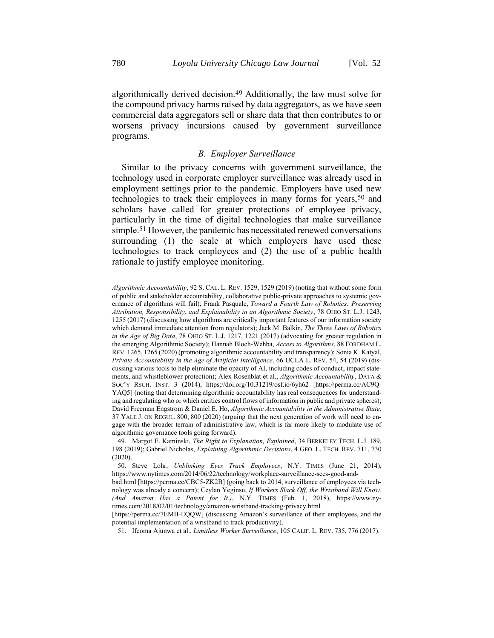algorithmically derived decision.49 Additionally, the law must solve for the compound privacy harms raised by data aggregators, as we have seen commercial data aggregators sell or share data that then contributes to or worsens privacy incursions caused by government surveillance programs.

#### <span id="page-14-0"></span>*B. Employer Surveillance*

Similar to the privacy concerns with government surveillance, the technology used in corporate employer surveillance was already used in employment settings prior to the pandemic. Employers have used new technologies to track their employees in many forms for years,<sup>50</sup> and scholars have called for greater protections of employee privacy, particularly in the time of digital technologies that make surveillance simple.51 However, the pandemic has necessitated renewed conversations surrounding (1) the scale at which employers have used these technologies to track employees and (2) the use of a public health rationale to justify employee monitoring.

[https://perma.cc/7EMB-EQQW] (discussing Amazon's surveillance of their employees, and the potential implementation of a wristband to track productivity).

<span id="page-14-1"></span>*Algorithmic Accountability*, 92 S. CAL. L. REV. 1529, 1529 (2019) (noting that without some form of public and stakeholder accountability, collaborative public-private approaches to systemic governance of algorithms will fail); Frank Pasquale, *Toward a Fourth Law of Robotics: Preserving Attribution, Responsibility, and Explainability in an Algorithmic Society*, 78 OHIO ST. L.J. 1243, 1255 (2017) (discussing how algorithms are critically important features of our information society which demand immediate attention from regulators); Jack M. Balkin, *The Three Laws of Robotics in the Age of Big Data*, 78 OHIO ST. L.J. 1217, 1221 (2017) (advocating for greater regulation in the emerging Algorithmic Society); Hannah Bloch-Wehba, *Access to Algorithms*, 88 FORDHAM L. REV. 1265, 1265 (2020) (promoting algorithmic accountability and transparency); Sonia K. Katyal, *Private Accountability in the Age of Artificial Intelligence*, 66 UCLA L. REV. 54, 54 (2019) (discussing various tools to help eliminate the opacity of AI, including codes of conduct, impact statements, and whistleblower protection); Alex Rosenblat et al., *Algorithmic Accountability*, DATA & SOC'Y RSCH. INST. 3 (2014), https://doi.org/10.31219/osf.io/6yh62 [https://perma.cc/AC9Q-YAQ5] (noting that determining algorithmic accountability has real consequences for understanding and regulating who or which entities control flows of information in public and private spheres); David Freeman Engstrom & Daniel E. Ho, *Algorithmic Accountability in the Administrative State*, 37 YALE J. ON REGUL. 800, 800 (2020) (arguing that the next generation of work will need to engage with the broader terrain of administrative law, which is far more likely to modulate use of algorithmic governance tools going forward).

<sup>49.</sup> Margot E. Kaminski, *The Right to Explanation, Explained*, 34 BERKELEY TECH. L.J. 189, 198 (2019); Gabriel Nicholas, *Explaining Algorithmic Decisions*, 4 GEO. L. TECH. REV. 711, 730 (2020).

<sup>50.</sup> Steve Lohr, *Unblinking Eyes Track Employees*, N.Y. TIMES (June 21, 2014), https://www.nytimes.com/2014/06/22/technology/workplace-surveillance-sees-good-and-

bad.html [https://perma.cc/CBC5-ZK2B] (going back to 2014, surveillance of employees via technology was already a concern); Ceylan Yeginsu, *If Workers Slack Off, the Wristband Will Know. (And Amazon Has a Patent for It.)*, N.Y. TIMES (Feb. 1, 2018), https://www.nytimes.com/2018/02/01/technology/amazon-wristband-tracking-privacy.html

<sup>51.</sup> Ifeoma Ajunwa et al., *Limitless Worker Surveillance*, 105 CALIF. L. REV. 735, 776 (2017).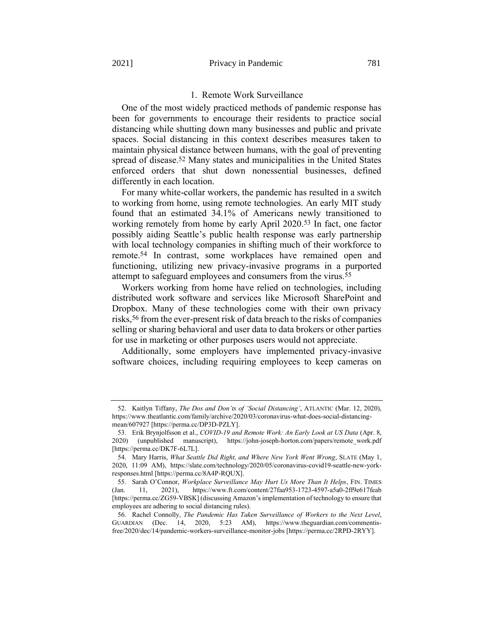#### 1. Remote Work Surveillance

One of the most widely practiced methods of pandemic response has been for governments to encourage their residents to practice social distancing while shutting down many businesses and public and private spaces. Social distancing in this context describes measures taken to maintain physical distance between humans, with the goal of preventing spread of disease.52 Many states and municipalities in the United States enforced orders that shut down nonessential businesses, defined differently in each location.

For many white-collar workers, the pandemic has resulted in a switch to working from home, using remote technologies. An early MIT study found that an estimated 34.1% of Americans newly transitioned to working remotely from home by early April 2020.53 In fact, one factor possibly aiding Seattle's public health response was early partnership with local technology companies in shifting much of their workforce to remote.54 In contrast, some workplaces have remained open and functioning, utilizing new privacy-invasive programs in a purported attempt to safeguard employees and consumers from the virus.55

Workers working from home have relied on technologies, including distributed work software and services like Microsoft SharePoint and Dropbox. Many of these technologies come with their own privacy risks, 56 from the ever-present risk of data breach to the risks of companies selling or sharing behavioral and user data to data brokers or other parties for use in marketing or other purposes users would not appreciate.

Additionally, some employers have implemented privacy-invasive software choices, including requiring employees to keep cameras on

<sup>52.</sup> Kaitlyn Tiffany, *The Dos and Don'ts of 'Social Distancing'*, ATLANTIC (Mar. 12, 2020), https://www.theatlantic.com/family/archive/2020/03/coronavirus-what-does-social-distancingmean/607927 [https://perma.cc/DP3D-PZLY].

<sup>53.</sup> Erik Brynjolfsson et al., *COVID-19 and Remote Work: An Early Look at US Data* (Apr. 8, 2020) (unpublished manuscript), https://john-joseph-horton.com/papers/remote\_work.pdf [https://perma.cc/DK7F-6L7L].

<sup>54.</sup> Mary Harris, *What Seattle Did Right, and Where New York Went Wrong*, SLATE (May 1, 2020, 11:09 AM), https://slate.com/technology/2020/05/coronavirus-covid19-seattle-new-yorkresponses.html [https://perma.cc/8A4P-RQUX].

<sup>55.</sup> Sarah O'Connor, *Workplace Surveillance May Hurt Us More Than It Helps*, FIN. TIMES (Jan. 11, 2021), https://www.ft.com/content/27faa953-1723-4597-a5a0-2ff9e617feab [https://perma.cc/ZG59-VBSK] (discussing Amazon's implementation of technology to ensure that employees are adhering to social distancing rules).

<sup>56.</sup> Rachel Connolly, *The Pandemic Has Taken Surveillance of Workers to the Next Level*, GUARDIAN (Dec. 14, 2020, 5:23 AM), https://www.theguardian.com/commentisfree/2020/dec/14/pandemic-workers-surveillance-monitor-jobs [https://perma.cc/2RPD-2RYY].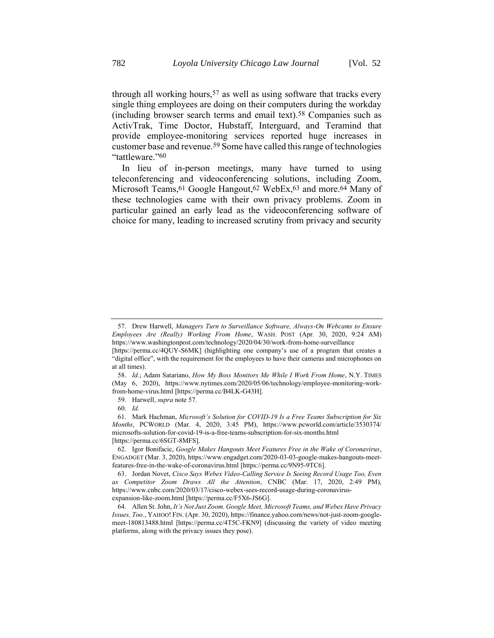<span id="page-16-0"></span>single thing employees are doing on their computers during the workday (including browser search terms and email text).58 Companies such as ActivTrak, Time Doctor, Hubstaff, Interguard, and Teramind that provide employee-monitoring services reported huge increases in customer base and revenue.59 Some have called this range of technologies "tattleware."60

In lieu of in-person meetings, many have turned to using teleconferencing and videoconferencing solutions, including Zoom, Microsoft Teams, <sup>61</sup> Google Hangout, <sup>62</sup> WebEx, <sup>63</sup> and more. <sup>64</sup> Many of these technologies came with their own privacy problems. Zoom in particular gained an early lead as the videoconferencing software of choice for many, leading to increased scrutiny from privacy and security

<sup>57.</sup> Drew Harwell, *Managers Turn to Surveillance Software, Always-On Webcams to Ensure Employees Are (Really) Working From Home*, WASH. POST (Apr. 30, 2020, 9:24 AM) https://www.washingtonpost.com/technology/2020/04/30/work-from-home-surveillance

<sup>[</sup>https://perma.cc/4QUY-S6MK] (highlighting one company's use of a program that creates a "digital office", with the requirement for the employees to have their cameras and microphones on at all times).

<sup>58.</sup> *Id*.; Adam Satariano, *How My Boss Monitors Me While I Work From Home*, N.Y. TIMES (May 6, 2020), https://www.nytimes.com/2020/05/06/technology/employee-monitoring-workfrom-home-virus.html [https://perma.cc/B4LK-G43H].

<sup>59.</sup> Harwell, *supra* not[e 57.](#page-16-0)

<sup>60.</sup> *Id.*

<sup>61.</sup> Mark Hachman, *Microsoft's Solution for COVID-19 Is a Free Teams Subscription for Six Months*, PCWORLD (Mar. 4, 2020, 3:45 PM), https://www.pcworld.com/article/3530374/ microsofts-solution-for-covid-19-is-a-free-teams-subscription-for-six-months.html [https://perma.cc/6SGT-8MFS].

<sup>62.</sup> Igor Bonifacic, *Google Makes Hangouts Meet Features Free in the Wake of Coronavirus*, ENGADGET (Mar. 3, 2020), https://www.engadget.com/2020-03-03-google-makes-hangouts-meetfeatures-free-in-the-wake-of-coronavirus.html [https://perma.cc/9N95-9TC6].

<sup>63.</sup> Jordan Novet, *Cisco Says Webex Video-Calling Service Is Seeing Record Usage Too, Even as Competitor Zoom Draws All the Attention*, CNBC (Mar. 17, 2020, 2:49 PM), https://www.cnbc.com/2020/03/17/cisco-webex-sees-record-usage-during-coronavirusexpansion-like-zoom.html [https://perma.cc/F5X6-JS6G].

<sup>64.</sup> Allen St. John, *It's Not Just Zoom. Google Meet, Microsoft Teams, and Webex Have Privacy Issues, Too.*, YAHOO! FIN. (Apr. 30, 2020), https://finance.yahoo.com/news/not-just-zoom-googlemeet-180813488.html [https://perma.cc/4T5C-FKN9] (discussing the variety of video meeting platforms, along with the privacy issues they pose).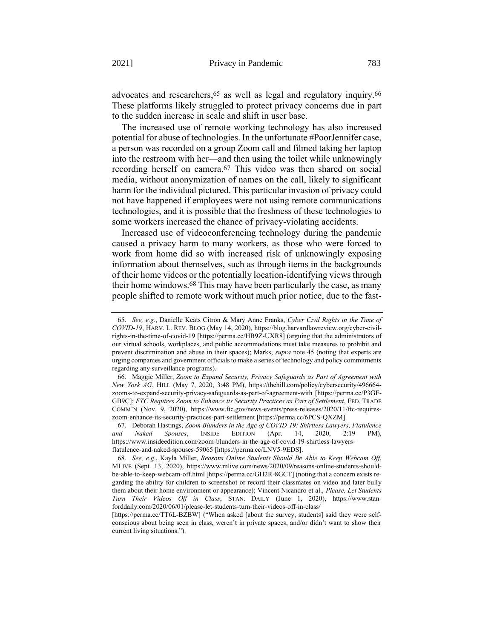advocates and researchers, 65 as well as legal and regulatory inquiry.66 These platforms likely struggled to protect privacy concerns due in part to the sudden increase in scale and shift in user base.

The increased use of remote working technology has also increased potential for abuse of technologies. In the unfortunate #PoorJennifer case, a person was recorded on a group Zoom call and filmed taking her laptop into the restroom with her—and then using the toilet while unknowingly recording herself on camera. 67 This video was then shared on social media, without anonymization of names on the call, likely to significant harm for the individual pictured. This particular invasion of privacy could not have happened if employees were not using remote communications technologies, and it is possible that the freshness of these technologies to some workers increased the chance of privacy-violating accidents.

Increased use of videoconferencing technology during the pandemic caused a privacy harm to many workers, as those who were forced to work from home did so with increased risk of unknowingly exposing information about themselves, such as through items in the backgrounds of their home videos or the potentially location-identifying views through their home windows.68 This may have been particularly the case, as many people shifted to remote work without much prior notice, due to the fast-

<sup>65.</sup> *See, e.g.*, Danielle Keats Citron & Mary Anne Franks, *Cyber Civil Rights in the Time of COVID-19*, HARV. L. REV. BLOG (May 14, 2020), https://blog.harvardlawreview.org/cyber-civilrights-in-the-time-of-covid-19 [https://perma.cc/HB9Z-UXR8] (arguing that the administrators of our virtual schools, workplaces, and public accommodations must take measures to prohibit and prevent discrimination and abuse in their spaces); Marks, *supra* note [45](#page-13-0) (noting that experts are urging companies and government officials to make a series of technology and policy commitments regarding any surveillance programs).

<sup>66.</sup> Maggie Miller, *Zoom to Expand Security, Privacy Safeguards as Part of Agreement with New York AG*, HILL (May 7, 2020, 3:48 PM), https://thehill.com/policy/cybersecurity/496664 zooms-to-expand-security-privacy-safeguards-as-part-of-agreement-with [https://perma.cc/P3GF-GB9C]; *FTC Requires Zoom to Enhance its Security Practices as Part of Settlement*, FED. TRADE COMM'N (Nov. 9, 2020), https://www.ftc.gov/news-events/press-releases/2020/11/ftc-requireszoom-enhance-its-security-practices-part-settlement [https://perma.cc/6PCS-QXZM].

<sup>67.</sup> Deborah Hastings, *Zoom Blunders in the Age of COVID-19: Shirtless Lawyers, Flatulence and Naked Spouses*, INSIDE EDITION (Apr. 14, 2020, 2:19 PM), https://www.insideedition.com/zoom-blunders-in-the-age-of-covid-19-shirtless-lawyersflatulence-and-naked-spouses-59065 [https://perma.cc/LNV5-9EDS].

<sup>68.</sup> *See, e.g.*, Kayla Miller, *Reasons Online Students Should Be Able to Keep Webcam Off*, MLIVE (Sept. 13, 2020), https://www.mlive.com/news/2020/09/reasons-online-students-shouldbe-able-to-keep-webcam-off.html [https://perma.cc/GH2R-8GCT] (noting that a concern exists regarding the ability for children to screenshot or record their classmates on video and later bully them about their home environment or appearance); Vincent Nicandro et al., *Please, Let Students Turn Their Videos Off in Class*, STAN. DAILY (June 1, 2020), https://www.stanforddaily.com/2020/06/01/please-let-students-turn-their-videos-off-in-class/

<sup>[</sup>https://perma.cc/TT6L-BZBW] ("When asked [about the survey, students] said they were selfconscious about being seen in class, weren't in private spaces, and/or didn't want to show their current living situations.").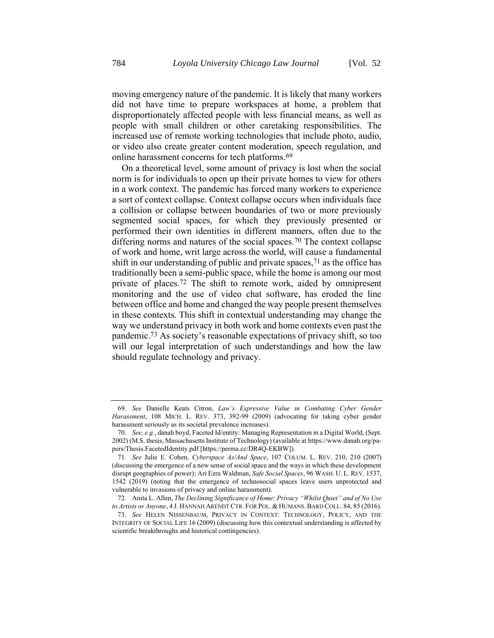moving emergency nature of the pandemic. It is likely that many workers did not have time to prepare workspaces at home, a problem that disproportionately affected people with less financial means, as well as people with small children or other caretaking responsibilities. The increased use of remote working technologies that include photo, audio, or video also create greater content moderation, speech regulation, and online harassment concerns for tech platforms.69

<span id="page-18-1"></span><span id="page-18-0"></span>On a theoretical level, some amount of privacy is lost when the social norm is for individuals to open up their private homes to view for others in a work context. The pandemic has forced many workers to experience a sort of context collapse. Context collapse occurs when individuals face a collision or collapse between boundaries of two or more previously segmented social spaces, for which they previously presented or performed their own identities in different manners, often due to the differing norms and natures of the social spaces.<sup>70</sup> The context collapse of work and home, writ large across the world, will cause a fundamental shift in our understanding of public and private spaces,  $71$  as the office has traditionally been a semi-public space, while the home is among our most private of places.72 The shift to remote work, aided by omnipresent monitoring and the use of video chat software, has eroded the line between office and home and changed the way people present themselves in these contexts. This shift in contextual understanding may change the way we understand privacy in both work and home contexts even past the pandemic.73 As society's reasonable expectations of privacy shift, so too will our legal interpretation of such understandings and how the law should regulate technology and privacy.

<span id="page-18-2"></span><sup>69.</sup> *See* Danielle Keats Citron, *Law's Expressive Value in Combating Cyber Gender Harassment*, 108 MICH. L. REV. 373, 392-99 (2009) (advocating for taking cyber gender harassment seriously as its societal prevalence increases).

<sup>70.</sup> *See, e.g.*, danah boyd, Faceted Id/entity: Managing Representation in a Digital World, (Sept. 2002) (M.S. thesis, Massachusetts Institute of Technology) (available at https://www.danah.org/papers/Thesis.FacetedIdentity.pdf [https://perma.cc/DR4Q-EKBW]).

<sup>71.</sup> *See* Julie E. Cohen, *Cyberspace As/And Space*, 107 COLUM. L. REV. 210, 210 (2007) (discussing the emergence of a new sense of social space and the ways in which these development disrupt geographies of power); Ari Ezra Waldman, *Safe Social Spaces*, 96 WASH. U. L. REV. 1537, 1542 (2019) (noting that the emergence of technosocial spaces leave users unprotected and vulnerable to invasions of privacy and online harassment).

<sup>72.</sup> Anita L. Allen, *The Declining Significance of Home: Privacy "Whilst Quiet" and of No Use to Artists or Anyone*, 4 J. HANNAH ARENDT CTR. FOR POL. & HUMANS. BARD COLL. 84, 85 (2016).

<sup>73.</sup> *See* HELEN NISSENBAUM, PRIVACY IN CONTEXT: TECHNOLOGY, POLICY, AND THE INTEGRITY OF SOCIAL LIFE 16 (2009) (discussing how this contextual understanding is affected by scientific breakthroughs and historical contingencies).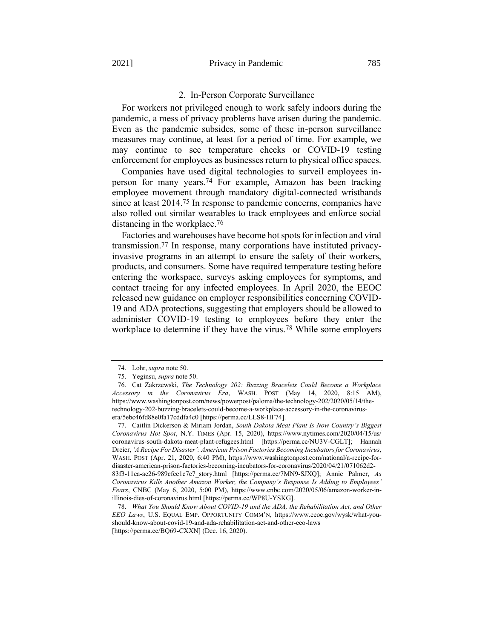#### 2. In-Person Corporate Surveillance

For workers not privileged enough to work safely indoors during the pandemic, a mess of privacy problems have arisen during the pandemic. Even as the pandemic subsides, some of these in-person surveillance measures may continue, at least for a period of time. For example, we may continue to see temperature checks or COVID-19 testing enforcement for employees as businesses return to physical office spaces.

Companies have used digital technologies to surveil employees inperson for many years.74 For example, Amazon has been tracking employee movement through mandatory digital-connected wristbands since at least 2014.75 In response to pandemic concerns, companies have also rolled out similar wearables to track employees and enforce social distancing in the workplace.<sup>76</sup>

Factories and warehouses have become hot spots for infection and viral transmission.77 In response, many corporations have instituted privacyinvasive programs in an attempt to ensure the safety of their workers, products, and consumers. Some have required temperature testing before entering the workspace, surveys asking employees for symptoms, and contact tracing for any infected employees. In April 2020, the EEOC released new guidance on employer responsibilities concerning COVID-19 and ADA protections, suggesting that employers should be allowed to administer COVID-19 testing to employees before they enter the workplace to determine if they have the virus.78 While some employers

77. Caitlin Dickerson & Miriam Jordan, *South Dakota Meat Plant Is Now Country's Biggest Coronavirus Hot Spot*, N.Y. TIMES (Apr. 15, 2020), https://www.nytimes.com/2020/04/15/us/ coronavirus-south-dakota-meat-plant-refugees.html [https://perma.cc/NU3V-CGLT]; Hannah Dreier, *'A Recipe For Disaster': American Prison Factories Becoming Incubators for Coronavirus*, WASH. POST (Apr. 21, 2020, 6:40 PM), https://www.washingtonpost.com/national/a-recipe-fordisaster-american-prison-factories-becoming-incubators-for-coronavirus/2020/04/21/071062d2- 83f3-11ea-ae26-989cfce1c7c7\_story.html [https://perma.cc/7MN9-SJXQ]; Annie Palmer, *As Coronavirus Kills Another Amazon Worker, the Company's Response Is Adding to Employees' Fears*, CNBC (May 6, 2020, 5:00 PM), https://www.cnbc.com/2020/05/06/amazon-worker-inillinois-dies-of-coronavirus.html [https://perma.cc/WP8U-YSKG].

<sup>74.</sup> Lohr, *supra* not[e 50.](#page-14-0)

<sup>75.</sup> Yeginsu, *supra* not[e 50.](#page-14-0)

<sup>76.</sup> Cat Zakrzewski, *The Technology 202: Buzzing Bracelets Could Become a Workplace Accessory in the Coronavirus Era*, WASH. POST (May 14, 2020, 8:15 AM), https://www.washingtonpost.com/news/powerpost/paloma/the-technology-202/2020/05/14/thetechnology-202-buzzing-bracelets-could-become-a-workplace-accessory-in-the-coronavirusera/5ebc46fd88e0fa17cddfa4c0 [https://perma.cc/LLS8-HF74].

<sup>78.</sup> *What You Should Know About COVID-19 and the ADA, the Rehabilitation Act, and Other EEO Laws*, U.S. EQUAL EMP. OPPORTUNITY COMM'N, https://www.eeoc.gov/wysk/what-youshould-know-about-covid-19-and-ada-rehabilitation-act-and-other-eeo-laws [https://perma.cc/BQ69-CXXN] (Dec. 16, 2020).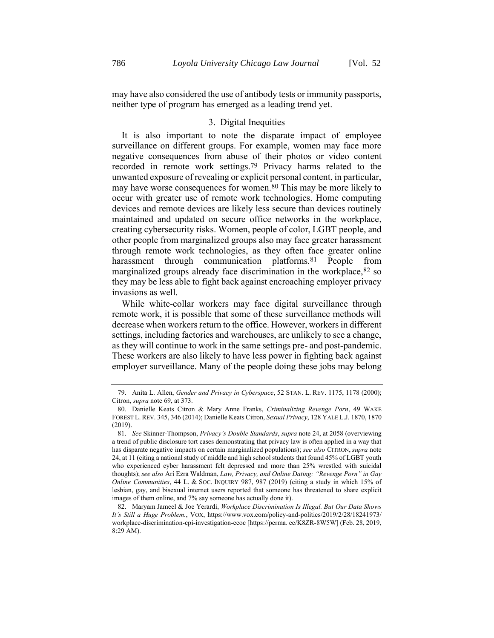may have also considered the use of antibody tests or immunity passports, neither type of program has emerged as a leading trend yet.

#### <span id="page-20-0"></span>3. Digital Inequities

It is also important to note the disparate impact of employee surveillance on different groups. For example, women may face more negative consequences from abuse of their photos or video content recorded in remote work settings.79 Privacy harms related to the unwanted exposure of revealing or explicit personal content, in particular, may have worse consequences for women.<sup>80</sup> This may be more likely to occur with greater use of remote work technologies. Home computing devices and remote devices are likely less secure than devices routinely maintained and updated on secure office networks in the workplace, creating cybersecurity risks. Women, people of color, LGBT people, and other people from marginalized groups also may face greater harassment through remote work technologies, as they often face greater online harassment through communication platforms.<sup>81</sup> People from marginalized groups already face discrimination in the workplace,82 so they may be less able to fight back against encroaching employer privacy invasions as well.

While white-collar workers may face digital surveillance through remote work, it is possible that some of these surveillance methods will decrease when workers return to the office. However, workers in different settings, including factories and warehouses, are unlikely to see a change, as they will continue to work in the same settings pre- and post-pandemic. These workers are also likely to have less power in fighting back against employer surveillance. Many of the people doing these jobs may belong

<sup>79.</sup> Anita L. Allen, *Gender and Privacy in Cyberspace*, 52 STAN. L. REV. 1175, 1178 (2000); Citron, *supra* not[e 69,](#page-18-0) at 373.

<sup>80.</sup> Danielle Keats Citron & Mary Anne Franks, *Criminalizing Revenge Porn*, 49 WAKE FOREST L. REV. 345, 346 (2014); Danielle Keats Citron, *Sexual Privacy*, 128 YALE L.J. 1870, 1870 (2019).

<sup>81.</sup> *See* Skinner-Thompson, *Privacy's Double Standards*, *supra* not[e 24,](#page-7-0) at 2058 (overviewing a trend of public disclosure tort cases demonstrating that privacy law is often applied in a way that has disparate negative impacts on certain marginalized populations); *see also* CITRON, *supra* note [24,](#page-7-0) at 11 (citing a national study of middle and high school students that found 45% of LGBT youth who experienced cyber harassment felt depressed and more than 25% wrestled with suicidal thoughts); *see also* Ari Ezra Waldman, *Law, Privacy, and Online Dating: "Revenge Porn" in Gay Online Communities*, 44 L. & SOC. INQUIRY 987, 987 (2019) (citing a study in which 15% of lesbian, gay, and bisexual internet users reported that someone has threatened to share explicit images of them online, and 7% say someone has actually done it).

<sup>82.</sup> Maryam Jameel & Joe Yerardi, *Workplace Discrimination Is Illegal. But Our Data Shows It's Still a Huge Problem.*, VOX, https://www.vox.com/policy-and-politics/2019/2/28/18241973/ workplace-discrimination-cpi-investigation-eeoc [https://perma. cc/K8ZR-8W5W] (Feb. 28, 2019, 8:29 AM).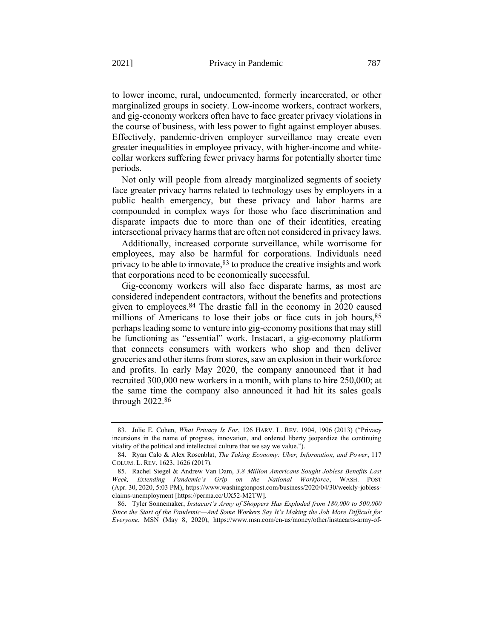to lower income, rural, undocumented, formerly incarcerated, or other marginalized groups in society. Low-income workers, contract workers, and gig-economy workers often have to face greater privacy violations in the course of business, with less power to fight against employer abuses. Effectively, pandemic-driven employer surveillance may create even greater inequalities in employee privacy, with higher-income and whitecollar workers suffering fewer privacy harms for potentially shorter time periods.

Not only will people from already marginalized segments of society face greater privacy harms related to technology uses by employers in a public health emergency, but these privacy and labor harms are compounded in complex ways for those who face discrimination and disparate impacts due to more than one of their identities, creating intersectional privacy harms that are often not considered in privacy laws.

<span id="page-21-1"></span>Additionally, increased corporate surveillance, while worrisome for employees, may also be harmful for corporations. Individuals need privacy to be able to innovate,  $83$  to produce the creative insights and work that corporations need to be economically successful.

<span id="page-21-0"></span>Gig-economy workers will also face disparate harms, as most are considered independent contractors, without the benefits and protections given to employees.84 The drastic fall in the economy in 2020 caused millions of Americans to lose their jobs or face cuts in job hours, 85 perhaps leading some to venture into gig-economy positions that may still be functioning as "essential" work. Instacart, a gig-economy platform that connects consumers with workers who shop and then deliver groceries and other items from stores, saw an explosion in their workforce and profits. In early May 2020, the company announced that it had recruited 300,000 new workers in a month, with plans to hire 250,000; at the same time the company also announced it had hit its sales goals through 2022.86

<sup>83.</sup> Julie E. Cohen, *What Privacy Is For*, 126 HARV. L. REV. 1904, 1906 (2013) ("Privacy incursions in the name of progress, innovation, and ordered liberty jeopardize the continuing vitality of the political and intellectual culture that we say we value.").

<sup>84.</sup> Ryan Calo & Alex Rosenblat, *The Taking Economy: Uber, Information, and Power*, 117 COLUM. L. REV. 1623, 1626 (2017).

<sup>85.</sup> Rachel Siegel & Andrew Van Dam, *3.8 Million Americans Sought Jobless Benefits Last Week, Extending Pandemic's Grip on the National Workforce*, WASH. POST (Apr. 30, 2020, 5:03 PM), https://www.washingtonpost.com/business/2020/04/30/weekly-joblessclaims-unemployment [https://perma.cc/UX52-M2TW].

<sup>86.</sup> Tyler Sonnemaker, *Instacart's Army of Shoppers Has Exploded from 180,000 to 500,000 Since the Start of the Pandemic—And Some Workers Say It's Making the Job More Difficult for Everyone*, MSN (May 8, 2020), https://www.msn.com/en-us/money/other/instacarts-army-of-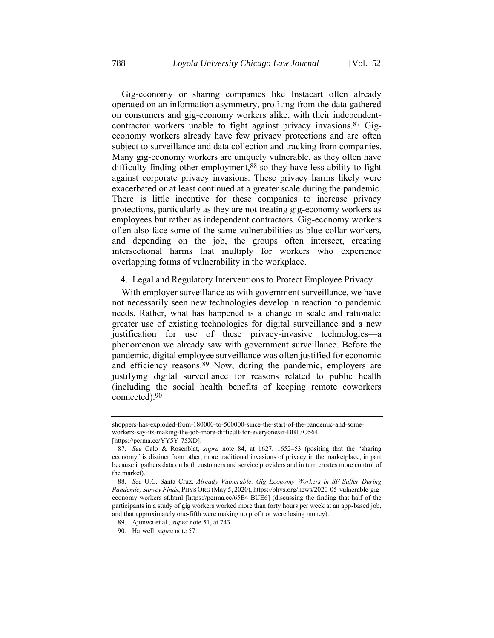Gig-economy or sharing companies like Instacart often already operated on an information asymmetry, profiting from the data gathered on consumers and gig-economy workers alike, with their independentcontractor workers unable to fight against privacy invasions.<sup>87</sup> Gigeconomy workers already have few privacy protections and are often subject to surveillance and data collection and tracking from companies. Many gig-economy workers are uniquely vulnerable, as they often have difficulty finding other employment,<sup>88</sup> so they have less ability to fight against corporate privacy invasions. These privacy harms likely were exacerbated or at least continued at a greater scale during the pandemic. There is little incentive for these companies to increase privacy protections, particularly as they are not treating gig-economy workers as employees but rather as independent contractors. Gig-economy workers often also face some of the same vulnerabilities as blue-collar workers, and depending on the job, the groups often intersect, creating intersectional harms that multiply for workers who experience overlapping forms of vulnerability in the workplace.

#### 4. Legal and Regulatory Interventions to Protect Employee Privacy

With employer surveillance as with government surveillance, we have not necessarily seen new technologies develop in reaction to pandemic needs. Rather, what has happened is a change in scale and rationale: greater use of existing technologies for digital surveillance and a new justification for use of these privacy-invasive technologies—a phenomenon we already saw with government surveillance. Before the pandemic, digital employee surveillance was often justified for economic and efficiency reasons.89 Now, during the pandemic, employers are justifying digital surveillance for reasons related to public health (including the social health benefits of keeping remote coworkers connected).90

shoppers-has-exploded-from-180000-to-500000-since-the-start-of-the-pandemic-and-someworkers-say-its-making-the-job-more-difficult-for-everyone/ar-BB13O564

<sup>[</sup>https://perma.cc/YY5Y-75XD].

<sup>87.</sup> *See* Calo & Rosenblat, *supra* note [84,](#page-21-0) at 1627, 1652–53 (positing that the "sharing economy" is distinct from other, more traditional invasions of privacy in the marketplace, in part because it gathers data on both customers and service providers and in turn creates more control of the market).

<sup>88.</sup> *See* U.C. Santa Cruz, *Already Vulnerable, Gig Economy Workers in SF Suffer During Pandemic, Survey Finds*, PHYS ORG (May 5, 2020), https://phys.org/news/2020-05-vulnerable-gigeconomy-workers-sf.html [https://perma.cc/65E4-BUE6] (discussing the finding that half of the participants in a study of gig workers worked more than forty hours per week at an app-based job, and that approximately one-fifth were making no profit or were losing money).

<sup>89.</sup> Ajunwa et al., *supra* not[e 51,](#page-14-1) at 743.

<sup>90.</sup> Harwell, *supra* not[e 57.](#page-16-0)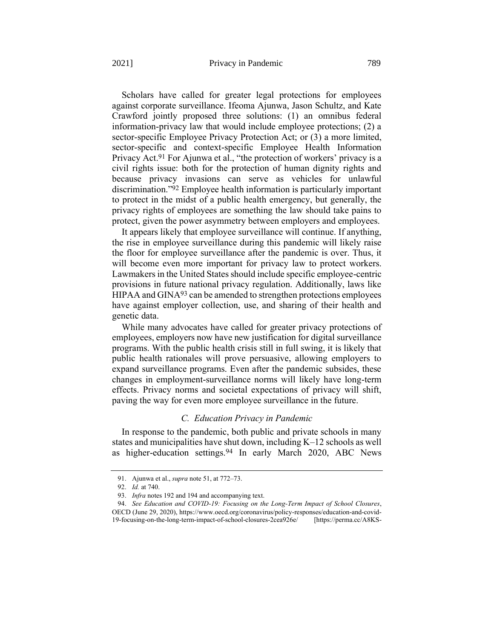Scholars have called for greater legal protections for employees against corporate surveillance. Ifeoma Ajunwa, Jason Schultz, and Kate Crawford jointly proposed three solutions: (1) an omnibus federal information-privacy law that would include employee protections; (2) a sector-specific Employee Privacy Protection Act; or (3) a more limited, sector-specific and context-specific Employee Health Information Privacy Act.<sup>91</sup> For Ajunwa et al., "the protection of workers' privacy is a civil rights issue: both for the protection of human dignity rights and because privacy invasions can serve as vehicles for unlawful discrimination."92 Employee health information is particularly important to protect in the midst of a public health emergency, but generally, the privacy rights of employees are something the law should take pains to protect, given the power asymmetry between employers and employees.

It appears likely that employee surveillance will continue. If anything, the rise in employee surveillance during this pandemic will likely raise the floor for employee surveillance after the pandemic is over. Thus, it will become even more important for privacy law to protect workers. Lawmakers in the United States should include specific employee-centric provisions in future national privacy regulation. Additionally, laws like HIPAA and GINA<sup>93</sup> can be amended to strengthen protections employees have against employer collection, use, and sharing of their health and genetic data.

While many advocates have called for greater privacy protections of employees, employers now have new justification for digital surveillance programs. With the public health crisis still in full swing, it is likely that public health rationales will prove persuasive, allowing employers to expand surveillance programs. Even after the pandemic subsides, these changes in employment-surveillance norms will likely have long-term effects. Privacy norms and societal expectations of privacy will shift, paving the way for even more employee surveillance in the future.

#### *C. Education Privacy in Pandemic*

In response to the pandemic, both public and private schools in many states and municipalities have shut down, including K–12 schools as well as higher-education settings.<sup>94</sup> In early March 2020, ABC News

<sup>91.</sup> Ajunwa et al., *supra* not[e 51,](#page-14-1) at 772–73.

<sup>92.</sup> *Id.* at 740.

<sup>93.</sup> *Infra* notes [192](#page-45-0) an[d 194](#page-45-1) and accompanying text.

<sup>94.</sup> *See Education and COVID-19: Focusing on the Long-Term Impact of School Closures*, OECD (June 29, 2020), https://www.oecd.org/coronavirus/policy-responses/education-and-covid-19-focusing-on-the-long-term-impact-of-school-closures-2cea926e/ [https://perma.cc/A8KS-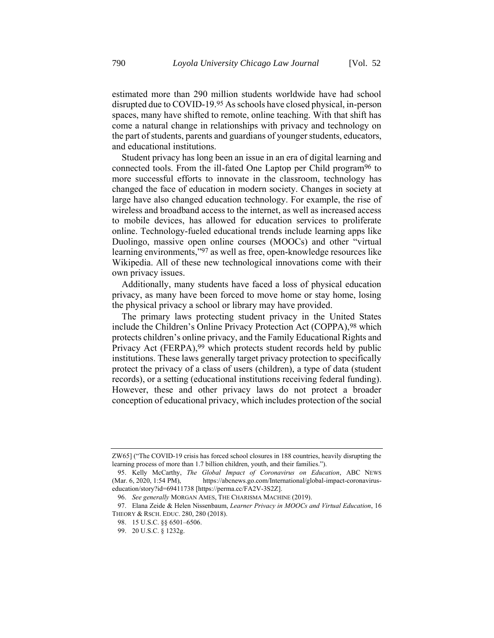estimated more than 290 million students worldwide have had school disrupted due to COVID-19.95 As schools have closed physical, in-person spaces, many have shifted to remote, online teaching. With that shift has come a natural change in relationships with privacy and technology on the part of students, parents and guardians of younger students, educators, and educational institutions.

Student privacy has long been an issue in an era of digital learning and connected tools. From the ill-fated One Laptop per Child program96 to more successful efforts to innovate in the classroom, technology has changed the face of education in modern society. Changes in society at large have also changed education technology. For example, the rise of wireless and broadband access to the internet, as well as increased access to mobile devices, has allowed for education services to proliferate online. Technology-fueled educational trends include learning apps like Duolingo, massive open online courses (MOOCs) and other "virtual learning environments,"97 as well as free, open-knowledge resources like Wikipedia. All of these new technological innovations come with their own privacy issues.

Additionally, many students have faced a loss of physical education privacy, as many have been forced to move home or stay home, losing the physical privacy a school or library may have provided.

The primary laws protecting student privacy in the United States include the Children's Online Privacy Protection Act (COPPA),98 which protects children's online privacy, and the Family Educational Rights and Privacy Act (FERPA),<sup>99</sup> which protects student records held by public institutions. These laws generally target privacy protection to specifically protect the privacy of a class of users (children), a type of data (student records), or a setting (educational institutions receiving federal funding). However, these and other privacy laws do not protect a broader conception of educational privacy, which includes protection of the social

ZW65] ("The COVID-19 crisis has forced school closures in 188 countries, heavily disrupting the learning process of more than 1.7 billion children, youth, and their families.").

<sup>95.</sup> Kelly McCarthy, *The Global Impact of Coronavirus on Education*, ABC NEWS (Mar. 6, 2020, 1:54 PM), https://abcnews.go.com/International/global-impact-coronaviruseducation/story?id=69411738 [https://perma.cc/FA2V-3S2Z].

<sup>96.</sup> *See generally* MORGAN AMES, THE CHARISMA MACHINE (2019).

<sup>97.</sup> Elana Zeide & Helen Nissenbaum, *Learner Privacy in MOOCs and Virtual Education*, 16 THEORY & RSCH. EDUC. 280, 280 (2018).

<sup>98.</sup> 15 U.S.C. §§ 6501–6506.

<sup>99.</sup> 20 U.S.C. § 1232g.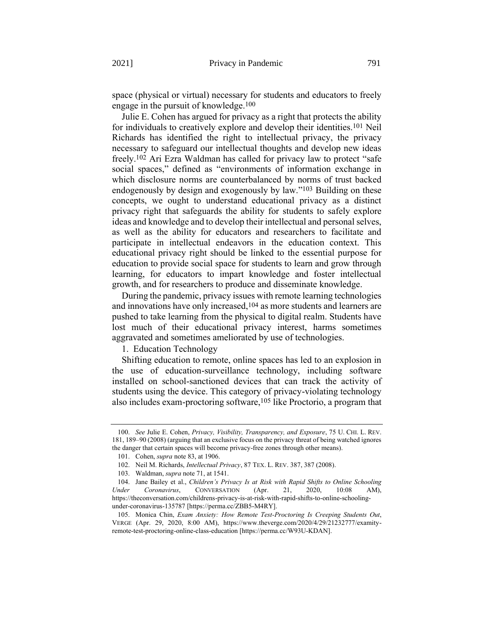space (physical or virtual) necessary for students and educators to freely engage in the pursuit of knowledge.100

Julie E. Cohen has argued for privacy as a right that protects the ability for individuals to creatively explore and develop their identities.101 Neil Richards has identified the right to intellectual privacy, the privacy necessary to safeguard our intellectual thoughts and develop new ideas freely.102 Ari Ezra Waldman has called for privacy law to protect "safe social spaces," defined as "environments of information exchange in which disclosure norms are counterbalanced by norms of trust backed endogenously by design and exogenously by law."103 Building on these concepts, we ought to understand educational privacy as a distinct privacy right that safeguards the ability for students to safely explore ideas and knowledge and to develop their intellectual and personal selves, as well as the ability for educators and researchers to facilitate and participate in intellectual endeavors in the education context. This educational privacy right should be linked to the essential purpose for education to provide social space for students to learn and grow through learning, for educators to impart knowledge and foster intellectual growth, and for researchers to produce and disseminate knowledge.

During the pandemic, privacy issues with remote learning technologies and innovations have only increased,104 as more students and learners are pushed to take learning from the physical to digital realm. Students have lost much of their educational privacy interest, harms sometimes aggravated and sometimes ameliorated by use of technologies.

1. Education Technology

Shifting education to remote, online spaces has led to an explosion in the use of education-surveillance technology, including software installed on school-sanctioned devices that can track the activity of students using the device. This category of privacy-violating technology also includes exam-proctoring software,105 like Proctorio, a program that

<sup>100.</sup> *See* Julie E. Cohen, *Privacy, Visibility, Transparency, and Exposure*, 75 U. CHI. L. REV. 181, 189–90 (2008) (arguing that an exclusive focus on the privacy threat of being watched ignores the danger that certain spaces will become privacy-free zones through other means).

<sup>101.</sup> Cohen, *supra* not[e 83,](#page-21-1) at 1906.

<sup>102.</sup> Neil M. Richards, *Intellectual Privacy*, 87 TEX. L. REV. 387, 387 (2008).

<sup>103.</sup> Waldman, *supra* not[e 71,](#page-18-1) at 1541.

<sup>104.</sup> Jane Bailey et al., *Children's Privacy Is at Risk with Rapid Shifts to Online Schooling Under Coronavirus*, CONVERSATION (Apr. 21, 2020, 10:08 AM), https://theconversation.com/childrens-privacy-is-at-risk-with-rapid-shifts-to-online-schoolingunder-coronavirus-135787 [https://perma.cc/ZBB5-M4RY].

<sup>105.</sup> Monica Chin, *Exam Anxiety: How Remote Test-Proctoring Is Creeping Students Out*, VERGE (Apr. 29, 2020, 8:00 AM), https://www.theverge.com/2020/4/29/21232777/examityremote-test-proctoring-online-class-education [https://perma.cc/W93U-KDAN].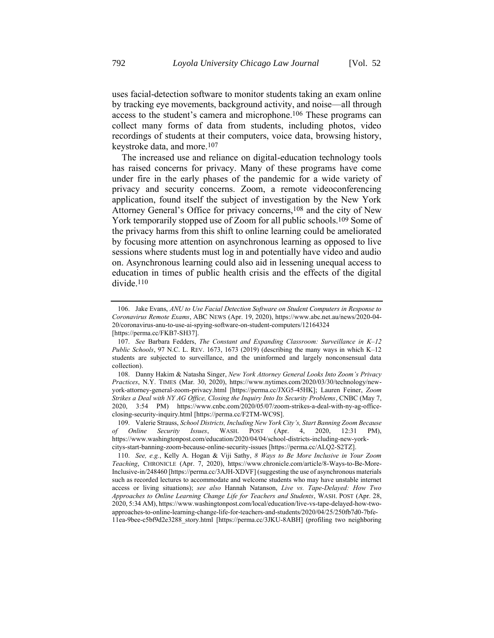uses facial-detection software to monitor students taking an exam online by tracking eye movements, background activity, and noise—all through access to the student's camera and microphone.106 These programs can collect many forms of data from students, including photos, video recordings of students at their computers, voice data, browsing history, keystroke data, and more.107

The increased use and reliance on digital-education technology tools has raised concerns for privacy. Many of these programs have come under fire in the early phases of the pandemic for a wide variety of privacy and security concerns. Zoom, a remote videoconferencing application, found itself the subject of investigation by the New York Attorney General's Office for privacy concerns,108 and the city of New York temporarily stopped use of Zoom for all public schools.109 Some of the privacy harms from this shift to online learning could be ameliorated by focusing more attention on asynchronous learning as opposed to live sessions where students must log in and potentially have video and audio on. Asynchronous learning could also aid in lessening unequal access to education in times of public health crisis and the effects of the digital divide.110

<sup>106.</sup> Jake Evans, *ANU to Use Facial Detection Software on Student Computers in Response to Coronavirus Remote Exams*, ABC NEWS (Apr. 19, 2020), https://www.abc.net.au/news/2020-04- 20/coronavirus-anu-to-use-ai-spying-software-on-student-computers/12164324 [https://perma.cc/FKB7-SH37].

<sup>107.</sup> *See* Barbara Fedders, *The Constant and Expanding Classroom: Surveillance in K–12 Public Schools*, 97 N.C. L. REV. 1673, 1673 (2019) (describing the many ways in which K–12 students are subjected to surveillance, and the uninformed and largely nonconsensual data collection).

<sup>108.</sup> Danny Hakim & Natasha Singer, *New York Attorney General Looks Into Zoom's Privacy Practices*, N.Y. TIMES (Mar. 30, 2020), https://www.nytimes.com/2020/03/30/technology/newyork-attorney-general-zoom-privacy.html [https://perma.cc/JXG5-45HK]; Lauren Feiner, *Zoom Strikes a Deal with NY AG Office, Closing the Inquiry Into Its Security Problems*, CNBC (May 7, 2020, 3:54 PM) https://www.cnbc.com/2020/05/07/zoom-strikes-a-deal-with-ny-ag-officeclosing-security-inquiry.html [https://perma.cc/F2TM-WC9S].

<sup>109.</sup> Valerie Strauss, *School Districts, Including New York City's, Start Banning Zoom Because of Online Security Issues*, WASH. POST (Apr. 4, 2020, 12:31 PM), https://www.washingtonpost.com/education/2020/04/04/school-districts-including-new-yorkcitys-start-banning-zoom-because-online-security-issues [https://perma.cc/ALQ2-S2TZ].

<sup>110.</sup> *See, e.g.*, Kelly A. Hogan & Viji Sathy, *8 Ways to Be More Inclusive in Your Zoom Teaching*, CHRONICLE (Apr. 7, 2020), https://www.chronicle.com/article/8-Ways-to-Be-More-Inclusive-in/248460 [https://perma.cc/3AJH-XDVF] (suggesting the use of asynchronous materials such as recorded lectures to accommodate and welcome students who may have unstable internet access or living situations); *see also* Hannah Natanson, *Live vs. Tape-Delayed: How Two Approaches to Online Learning Change Life for Teachers and Students*, WASH. POST (Apr. 28, 2020, 5:34 AM), https://www.washingtonpost.com/local/education/live-vs-tape-delayed-how-twoapproaches-to-online-learning-change-life-for-teachers-and-students/2020/04/25/250fb7d0-7bfe-11ea-9bee-c5bf9d2e3288\_story.html [https://perma.cc/3JKU-8ABH] (profiling two neighboring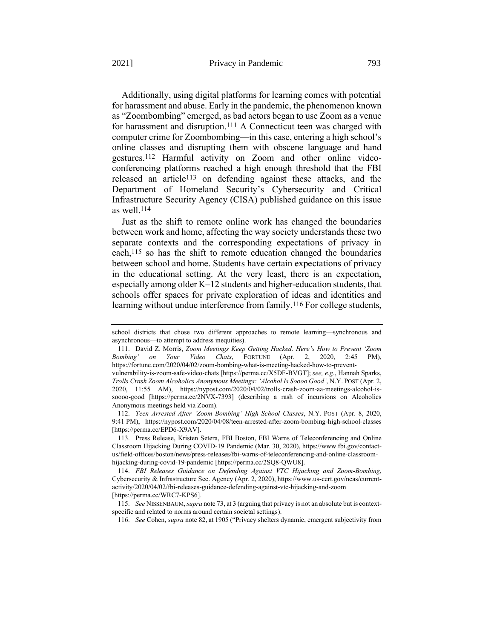Additionally, using digital platforms for learning comes with potential for harassment and abuse. Early in the pandemic, the phenomenon known as "Zoombombing" emerged, as bad actors began to use Zoom as a venue for harassment and disruption.<sup>111</sup> A Connecticut teen was charged with computer crime for Zoombombing—in this case, entering a high school's online classes and disrupting them with obscene language and hand gestures.112 Harmful activity on Zoom and other online videoconferencing platforms reached a high enough threshold that the FBI released an article<sup>113</sup> on defending against these attacks, and the Department of Homeland Security's Cybersecurity and Critical Infrastructure Security Agency (CISA) published guidance on this issue as well. 114

Just as the shift to remote online work has changed the boundaries between work and home, affecting the way society understands these two separate contexts and the corresponding expectations of privacy in each,115 so has the shift to remote education changed the boundaries between school and home. Students have certain expectations of privacy in the educational setting. At the very least, there is an expectation, especially among older K–12 students and higher-education students, that schools offer spaces for private exploration of ideas and identities and learning without undue interference from family.<sup>116</sup> For college students,

school districts that chose two different approaches to remote learning—synchronous and asynchronous—to attempt to address inequities).

<sup>111.</sup> David Z. Morris, *Zoom Meetings Keep Getting Hacked. Here's How to Prevent 'Zoom Bombing' on Your Video Chats*, FORTUNE (Apr. 2, 2020, 2:45 PM), https://fortune.com/2020/04/02/zoom-bombing-what-is-meeting-hacked-how-to-prevent-

vulnerability-is-zoom-safe-video-chats [https://perma.cc/X5DF-BVGT]; *see, e.g.*, Hannah Sparks, *Trolls Crash Zoom Alcoholics Anonymous Meetings: 'Alcohol Is Soooo Good'*, N.Y. POST (Apr. 2, 2020, 11:55 AM), https://nypost.com/2020/04/02/trolls-crash-zoom-aa-meetings-alcohol-issoooo-good [https://perma.cc/2NVX-7393] (describing a rash of incursions on Alcoholics Anonymous meetings held via Zoom).

<sup>112.</sup> *Teen Arrested After 'Zoom Bombing' High School Classes*, N.Y. POST (Apr. 8, 2020, 9:41 PM), https://nypost.com/2020/04/08/teen-arrested-after-zoom-bombing-high-school-classes [https://perma.cc/EPD6-X9AV].

<sup>113.</sup> Press Release, Kristen Setera, FBI Boston, FBI Warns of Teleconferencing and Online Classroom Hijacking During COVID-19 Pandemic (Mar. 30, 2020), https://www.fbi.gov/contactus/field-offices/boston/news/press-releases/fbi-warns-of-teleconferencing-and-online-classroomhijacking-during-covid-19-pandemic [https://perma.cc/2SQ8-QWU8].

<sup>114.</sup> *FBI Releases Guidance on Defending Against VTC Hijacking and Zoom-Bombing*, Cybersecurity & Infrastructure Sec. Agency (Apr. 2, 2020), https://www.us-cert.gov/ncas/currentactivity/2020/04/02/fbi-releases-guidance-defending-against-vtc-hijacking-and-zoom [https://perma.cc/WRC7-KPS6].

<sup>115.</sup> *See* NISSENBAUM,*supra* not[e 73,](#page-18-2) at 3 (arguing that privacy is not an absolute but is contextspecific and related to norms around certain societal settings).

<sup>116.</sup> *See* Cohen, *supra* note 82, at 1905 ("Privacy shelters dynamic, emergent subjectivity from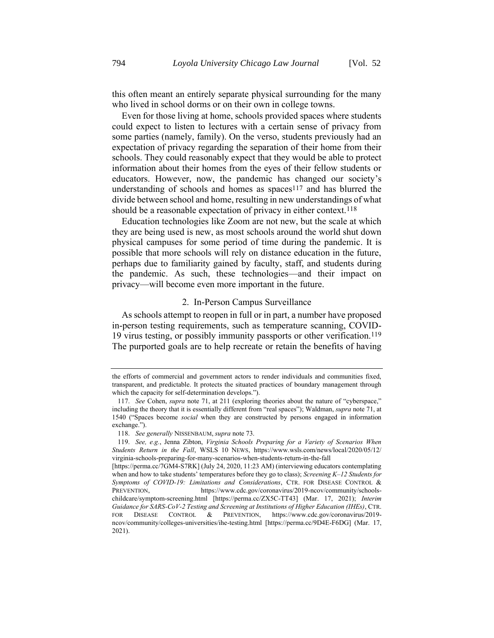Even for those living at home, schools provided spaces where students could expect to listen to lectures with a certain sense of privacy from some parties (namely, family). On the verso, students previously had an expectation of privacy regarding the separation of their home from their schools. They could reasonably expect that they would be able to protect information about their homes from the eyes of their fellow students or educators. However, now, the pandemic has changed our society's understanding of schools and homes as spaces<sup>117</sup> and has blurred the divide between school and home, resulting in new understandings of what should be a reasonable expectation of privacy in either context.<sup>118</sup>

Education technologies like Zoom are not new, but the scale at which they are being used is new, as most schools around the world shut down physical campuses for some period of time during the pandemic. It is possible that more schools will rely on distance education in the future, perhaps due to familiarity gained by faculty, staff, and students during the pandemic. As such, these technologies—and their impact on privacy—will become even more important in the future.

#### 2. In-Person Campus Surveillance

As schools attempt to reopen in full or in part, a number have proposed in-person testing requirements, such as temperature scanning, COVID-19 virus testing, or possibly immunity passports or other verification.119 The purported goals are to help recreate or retain the benefits of having

the efforts of commercial and government actors to render individuals and communities fixed, transparent, and predictable. It protects the situated practices of boundary management through which the capacity for self-determination develops.").

<sup>117.</sup> *See* Cohen, *supra* note [71](#page-18-1), at 211 (exploring theories about the nature of "cyberspace," including the theory that it is essentially different from "real spaces"); Waldman, *supra* not[e 71,](#page-18-1) at 1540 ("Spaces become *social* when they are constructed by persons engaged in information exchange.").

<sup>118.</sup> *See generally* NISSENBAUM, *supra* not[e 73.](#page-18-2)

<sup>119.</sup> *See, e.g.*, Jenna Zibton, *Virginia Schools Preparing for a Variety of Scenarios When Students Return in the Fall*, WSLS 10 NEWS, https://www.wsls.com/news/local/2020/05/12/ virginia-schools-preparing-for-many-scenarios-when-students-return-in-the-fall

<sup>[</sup>https://perma.cc/7GM4-S7RK] (July 24, 2020, 11:23 AM) (interviewing educators contemplating when and how to take students' temperatures before they go to class); *Screening K–12 Students for Symptoms of COVID-19: Limitations and Considerations*, CTR. FOR DISEASE CONTROL & PREVENTION, https://www.cdc.gov/coronavirus/2019-ncov/community/schoolschildcare/symptom-screening.html [https://perma.cc/ZX5C-TT43] (Mar. 17, 2021); *Interim Guidance for SARS-CoV-2 Testing and Screening at Institutions of Higher Education (IHEs)*, CTR. FOR DISEASE CONTROL & PREVENTION, https://www.cdc.gov/coronavirus/2019 ncov/community/colleges-universities/ihe-testing.html [https://perma.cc/9D4E-F6DG] (Mar. 17, 2021).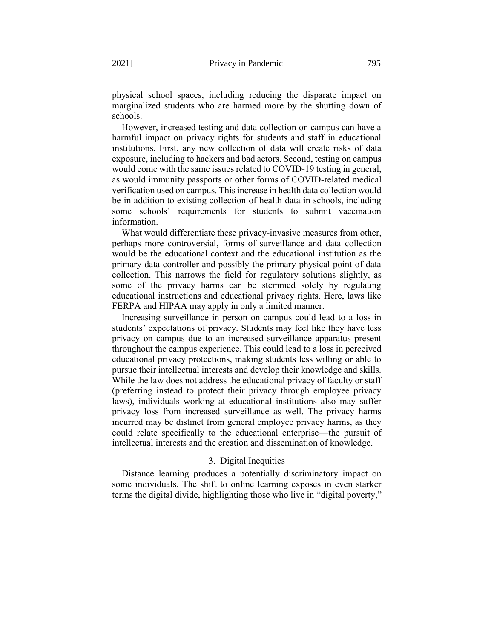physical school spaces, including reducing the disparate impact on marginalized students who are harmed more by the shutting down of schools.

However, increased testing and data collection on campus can have a harmful impact on privacy rights for students and staff in educational institutions. First, any new collection of data will create risks of data exposure, including to hackers and bad actors. Second, testing on campus would come with the same issues related to COVID-19 testing in general, as would immunity passports or other forms of COVID-related medical verification used on campus. This increase in health data collection would be in addition to existing collection of health data in schools, including some schools' requirements for students to submit vaccination information.

What would differentiate these privacy-invasive measures from other, perhaps more controversial, forms of surveillance and data collection would be the educational context and the educational institution as the primary data controller and possibly the primary physical point of data collection. This narrows the field for regulatory solutions slightly, as some of the privacy harms can be stemmed solely by regulating educational instructions and educational privacy rights. Here, laws like FERPA and HIPAA may apply in only a limited manner.

Increasing surveillance in person on campus could lead to a loss in students' expectations of privacy. Students may feel like they have less privacy on campus due to an increased surveillance apparatus present throughout the campus experience. This could lead to a loss in perceived educational privacy protections, making students less willing or able to pursue their intellectual interests and develop their knowledge and skills. While the law does not address the educational privacy of faculty or staff (preferring instead to protect their privacy through employee privacy laws), individuals working at educational institutions also may suffer privacy loss from increased surveillance as well. The privacy harms incurred may be distinct from general employee privacy harms, as they could relate specifically to the educational enterprise—the pursuit of intellectual interests and the creation and dissemination of knowledge.

#### 3. Digital Inequities

Distance learning produces a potentially discriminatory impact on some individuals. The shift to online learning exposes in even starker terms the digital divide, highlighting those who live in "digital poverty,"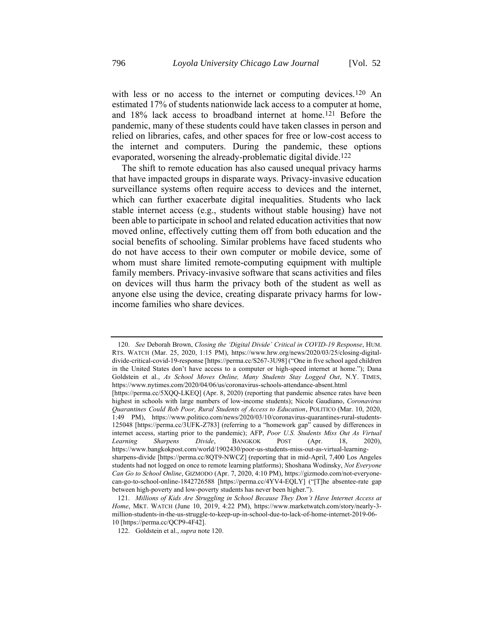<span id="page-30-0"></span>with less or no access to the internet or computing devices.<sup>120</sup> An estimated 17% of students nationwide lack access to a computer at home, and 18% lack access to broadband internet at home.121 Before the pandemic, many of these students could have taken classes in person and relied on libraries, cafes, and other spaces for free or low-cost access to the internet and computers. During the pandemic, these options evaporated, worsening the already-problematic digital divide.122

The shift to remote education has also caused unequal privacy harms that have impacted groups in disparate ways. Privacy-invasive education surveillance systems often require access to devices and the internet, which can further exacerbate digital inequalities. Students who lack stable internet access (e.g., students without stable housing) have not been able to participate in school and related education activities that now moved online, effectively cutting them off from both education and the social benefits of schooling. Similar problems have faced students who do not have access to their own computer or mobile device, some of whom must share limited remote-computing equipment with multiple family members. Privacy-invasive software that scans activities and files on devices will thus harm the privacy both of the student as well as anyone else using the device, creating disparate privacy harms for lowincome families who share devices.

<sup>120.</sup> *See* Deborah Brown, *Closing the 'Digital Divide' Critical in COVID-19 Response*, HUM. RTS. WATCH (Mar. 25, 2020, 1:15 PM), https://www.hrw.org/news/2020/03/25/closing-digitaldivide-critical-covid-19-response [https://perma.cc/S267-3U98] ("One in five school aged children in the United States don't have access to a computer or high-speed internet at home."); Dana Goldstein et al., *As School Moves Online, Many Students Stay Logged Out*, N.Y. TIMES, https://www.nytimes.com/2020/04/06/us/coronavirus-schools-attendance-absent.html

<sup>[</sup>https://perma.cc/5XQQ-LKEQ] (Apr. 8, 2020) (reporting that pandemic absence rates have been highest in schools with large numbers of low-income students); Nicole Gaudiano, *Coronavirus Quarantines Could Rob Poor, Rural Students of Access to Education*, POLITICO (Mar. 10, 2020, 1:49 PM), https://www.politico.com/news/2020/03/10/coronavirus-quarantines-rural-students-125048 [https://perma.cc/3UFK-Z783] (referring to a "homework gap" caused by differences in internet access, starting prior to the pandemic); AFP, *Poor U.S. Students Miss Out As Virtual Learning Sharpens Divide*, BANGKOK POST (Apr. 18, 2020), https://www.bangkokpost.com/world/1902430/poor-us-students-miss-out-as-virtual-learningsharpens-divide [https://perma.cc/8QT9-NWCZ] (reporting that in mid-April, 7,400 Los Angeles students had not logged on once to remote learning platforms); Shoshana Wodinsky, *Not Everyone Can Go to School Online*, GIZMODO (Apr. 7, 2020, 4:10 PM), https://gizmodo.com/not-everyonecan-go-to-school-online-1842726588 [https://perma.cc/4YV4-EQLY] ("[T]he absentee-rate gap between high-poverty and low-poverty students has never been higher.").

<sup>121.</sup> *Millions of Kids Are Struggling in School Because They Don't Have Internet Access at Home*, MKT. WATCH (June 10, 2019, 4:22 PM), https://www.marketwatch.com/story/nearly-3 million-students-in-the-us-struggle-to-keep-up-in-school-due-to-lack-of-home-internet-2019-06- 10 [https://perma.cc/QCP9-4F42].

<sup>122.</sup> Goldstein et al., *supra* not[e 120.](#page-30-0)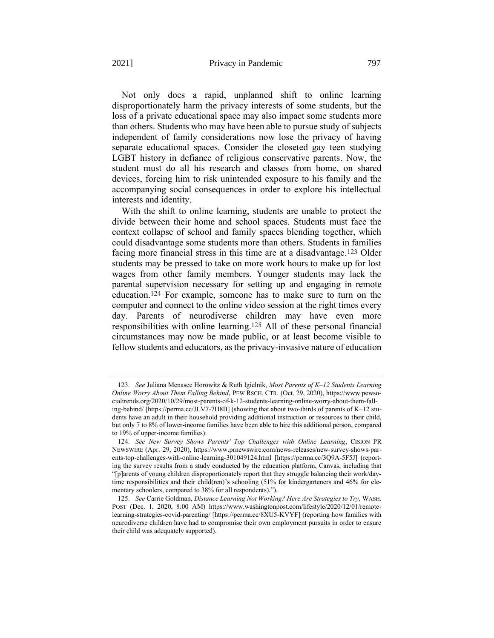Not only does a rapid, unplanned shift to online learning disproportionately harm the privacy interests of some students, but the loss of a private educational space may also impact some students more than others. Students who may have been able to pursue study of subjects independent of family considerations now lose the privacy of having separate educational spaces. Consider the closeted gay teen studying LGBT history in defiance of religious conservative parents. Now, the student must do all his research and classes from home, on shared devices, forcing him to risk unintended exposure to his family and the accompanying social consequences in order to explore his intellectual interests and identity.

With the shift to online learning, students are unable to protect the divide between their home and school spaces. Students must face the context collapse of school and family spaces blending together, which could disadvantage some students more than others. Students in families facing more financial stress in this time are at a disadvantage.123 Older students may be pressed to take on more work hours to make up for lost wages from other family members. Younger students may lack the parental supervision necessary for setting up and engaging in remote education.124 For example, someone has to make sure to turn on the computer and connect to the online video session at the right times every day. Parents of neurodiverse children may have even more responsibilities with online learning.125 All of these personal financial circumstances may now be made public, or at least become visible to fellow students and educators, as the privacy-invasive nature of education

<sup>123.</sup> *See* Juliana Menasce Horowitz & Ruth Igielnik, *Most Parents of K–12 Students Learning Online Worry About Them Falling Behind*, PEW RSCH. CTR. (Oct. 29, 2020), https://www.pewsocialtrends.org/2020/10/29/most-parents-of-k-12-students-learning-online-worry-about-them-falling-behind/ [https://perma.cc/JLV7-7H8B] (showing that about two-thirds of parents of K–12 students have an adult in their household providing additional instruction or resources to their child, but only 7 to 8% of lower-income families have been able to hire this additional person, compared to 19% of upper-income families).

<sup>124.</sup> *See New Survey Shows Parents' Top Challenges with Online Learning*, CISION PR NEWSWIRE (Apr. 29, 2020), https://www.prnewswire.com/news-releases/new-survey-shows-parents-top-challenges-with-online-learning-301049124.html [https://perma.cc/3Q9A-5F5J] (reporting the survey results from a study conducted by the education platform, Canvas, including that "[p]arents of young children disproportionately report that they struggle balancing their work/daytime responsibilities and their child(ren)'s schooling (51% for kindergarteners and 46% for elementary schoolers, compared to 38% for all respondents).").

<sup>125.</sup> *See* Carrie Goldman, *Distance Learning Not Working? Here Are Strategies to Try*, WASH. POST (Dec. 1, 2020, 8:00 AM) https://www.washingtonpost.com/lifestyle/2020/12/01/remotelearning-strategies-covid-parenting/ [https://perma.cc/8XU5-KVYF] (reporting how families with neurodiverse children have had to compromise their own employment pursuits in order to ensure their child was adequately supported).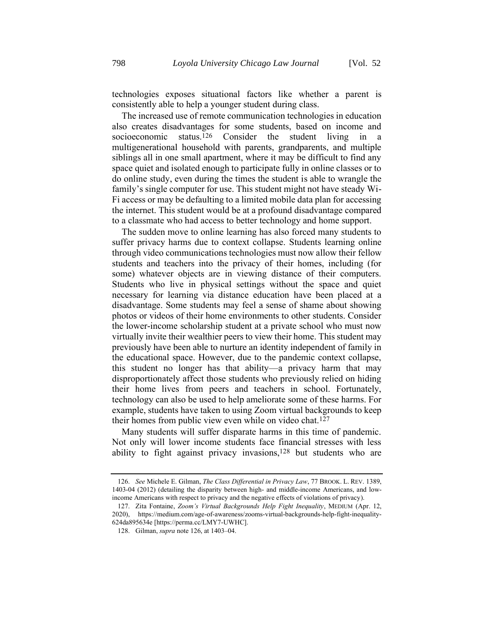technologies exposes situational factors like whether a parent is consistently able to help a younger student during class.

<span id="page-32-0"></span>The increased use of remote communication technologies in education also creates disadvantages for some students, based on income and socioeconomic status.<sup>126</sup> Consider the student living in a multigenerational household with parents, grandparents, and multiple siblings all in one small apartment, where it may be difficult to find any space quiet and isolated enough to participate fully in online classes or to do online study, even during the times the student is able to wrangle the family's single computer for use. This student might not have steady Wi-Fi access or may be defaulting to a limited mobile data plan for accessing the internet. This student would be at a profound disadvantage compared to a classmate who had access to better technology and home support.

The sudden move to online learning has also forced many students to suffer privacy harms due to context collapse. Students learning online through video communications technologies must now allow their fellow students and teachers into the privacy of their homes, including (for some) whatever objects are in viewing distance of their computers. Students who live in physical settings without the space and quiet necessary for learning via distance education have been placed at a disadvantage. Some students may feel a sense of shame about showing photos or videos of their home environments to other students. Consider the lower-income scholarship student at a private school who must now virtually invite their wealthier peers to view their home. This student may previously have been able to nurture an identity independent of family in the educational space. However, due to the pandemic context collapse, this student no longer has that ability—a privacy harm that may disproportionately affect those students who previously relied on hiding their home lives from peers and teachers in school. Fortunately, technology can also be used to help ameliorate some of these harms. For example, students have taken to using Zoom virtual backgrounds to keep their homes from public view even while on video chat.127

Many students will suffer disparate harms in this time of pandemic. Not only will lower income students face financial stresses with less ability to fight against privacy invasions,<sup>128</sup> but students who are

<sup>126.</sup> *See* Michele E. Gilman, *The Class Differential in Privacy Law*, 77 BROOK. L. REV. 1389, 1403-04 (2012) (detailing the disparity between high- and middle-income Americans, and lowincome Americans with respect to privacy and the negative effects of violations of privacy).

<sup>127.</sup> Zita Fontaine, *Zoom's Virtual Backgrounds Help Fight Inequality*, MEDIUM (Apr. 12, 2020), https://medium.com/age-of-awareness/zooms-virtual-backgrounds-help-fight-inequality-624da895634e [https://perma.cc/LMY7-UWHC].

<sup>128.</sup> Gilman, *supra* note [126,](#page-32-0) at 1403–04.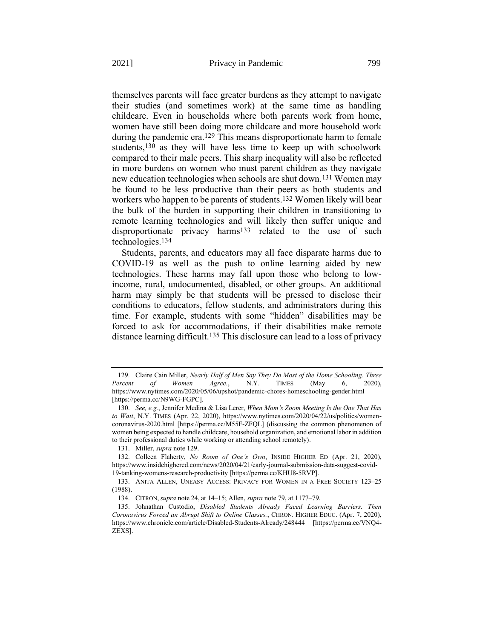<span id="page-33-0"></span>themselves parents will face greater burdens as they attempt to navigate their studies (and sometimes work) at the same time as handling childcare. Even in households where both parents work from home, women have still been doing more childcare and more household work during the pandemic era.129 This means disproportionate harm to female students,130 as they will have less time to keep up with schoolwork compared to their male peers. This sharp inequality will also be reflected in more burdens on women who must parent children as they navigate new education technologies when schools are shut down.131 Women may be found to be less productive than their peers as both students and workers who happen to be parents of students. 132 Women likely will bear the bulk of the burden in supporting their children in transitioning to remote learning technologies and will likely then suffer unique and disproportionate privacy harms<sup>133</sup> related to the use of such technologies.134

Students, parents, and educators may all face disparate harms due to COVID-19 as well as the push to online learning aided by new technologies. These harms may fall upon those who belong to lowincome, rural, undocumented, disabled, or other groups. An additional harm may simply be that students will be pressed to disclose their conditions to educators, fellow students, and administrators during this time. For example, students with some "hidden" disabilities may be forced to ask for accommodations, if their disabilities make remote distance learning difficult.135 This disclosure can lead to a loss of privacy

<sup>129.</sup> Claire Cain Miller, *Nearly Half of Men Say They Do Most of the Home Schooling. Three Percent of Women Agree.*, N.Y. TIMES (May 6, 2020), https://www.nytimes.com/2020/05/06/upshot/pandemic-chores-homeschooling-gender.html [https://perma.cc/N9WG-FGPC].

<sup>130.</sup> *See, e.g.*, Jennifer Medina & Lisa Lerer, *When Mom's Zoom Meeting Is the One That Has to Wait*, N.Y. TIMES (Apr. 22, 2020), https://www.nytimes.com/2020/04/22/us/politics/womencoronavirus-2020.html [https://perma.cc/M55F-ZFQL] (discussing the common phenomenon of women being expected to handle childcare, household organization, and emotional labor in addition to their professional duties while working or attending school remotely).

<sup>131.</sup> Miller, *supra* not[e 129.](#page-33-0)

<sup>132.</sup> Colleen Flaherty, *No Room of One's Own*, INSIDE HIGHER ED (Apr. 21, 2020), https://www.insidehighered.com/news/2020/04/21/early-journal-submission-data-suggest-covid-19-tanking-womens-research-productivity [https://perma.cc/KHU8-5RVP].

<sup>133.</sup> ANITA ALLEN, UNEASY ACCESS: PRIVACY FOR WOMEN IN A FREE SOCIETY 123–25 (1988).

<sup>134.</sup> CITRON, *supra* note [24,](#page-7-0) at 14–15; Allen, *supra* not[e 79,](#page-20-0) at 1177–79.

<sup>135.</sup> Johnathan Custodio, *Disabled Students Already Faced Learning Barriers. Then Coronavirus Forced an Abrupt Shift to Online Classes.*, CHRON. HIGHER EDUC. (Apr. 7, 2020), https://www.chronicle.com/article/Disabled-Students-Already/248444 [https://perma.cc/VNQ4- ZEXS].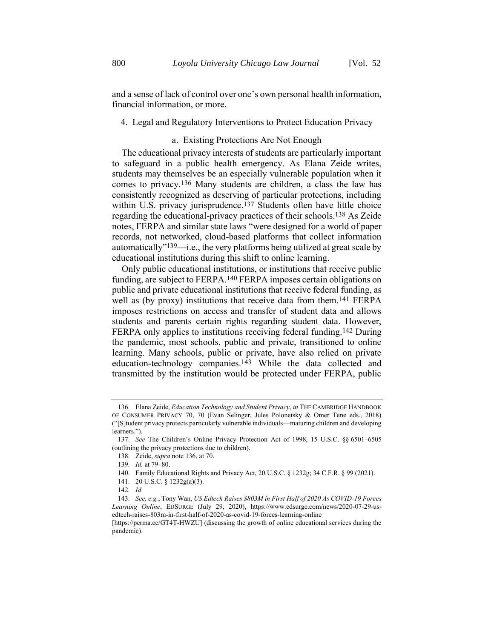and a sense of lack of control over one's own personal health information, financial information, or more.

#### 4. Legal and Regulatory Interventions to Protect Education Privacy

#### <span id="page-34-0"></span>a. Existing Protections Are Not Enough

The educational privacy interests of students are particularly important to safeguard in a public health emergency. As Elana Zeide writes, students may themselves be an especially vulnerable population when it comes to privacy.136 Many students are children, a class the law has consistently recognized as deserving of particular protections, including within U.S. privacy jurisprudence.<sup>137</sup> Students often have little choice regarding the educational-privacy practices of their schools.138 As Zeide notes, FERPA and similar state laws "were designed for a world of paper records, not networked, cloud-based platforms that collect information automatically"139—i.e., the very platforms being utilized at great scale by educational institutions during this shift to online learning.

Only public educational institutions, or institutions that receive public funding, are subject to FERPA.140 FERPA imposes certain obligations on public and private educational institutions that receive federal funding, as well as (by proxy) institutions that receive data from them.<sup>141</sup> FERPA imposes restrictions on access and transfer of student data and allows students and parents certain rights regarding student data. However, FERPA only applies to institutions receiving federal funding.142 During the pandemic, most schools, public and private, transitioned to online learning. Many schools, public or private, have also relied on private education-technology companies.143 While the data collected and transmitted by the institution would be protected under FERPA, public

<sup>136.</sup> Elana Zeide, *Education Technology and Student Privacy*, *in* THE CAMBRIDGE HANDBOOK OF CONSUMER PRIVACY 70, 70 (Evan Selinger, Jules Polonetsky & Omer Tene eds., 2018) ("[S]tudent privacy protects particularly vulnerable individuals—maturing children and developing learners.").

<sup>137.</sup> *See* The Children's Online Privacy Protection Act of 1998, 15 U.S.C. §§ 6501–6505 (outlining the privacy protections due to children).

<sup>138.</sup> Zeide, *supra* not[e 136,](#page-34-0) at 70.

<sup>139.</sup> *Id.* at 79–80.

<sup>140.</sup> Family Educational Rights and Privacy Act, 20 U.S.C. § 1232g; 34 C.F.R. § 99 (2021).

<sup>141.</sup> 20 U.S.C. § 1232g(a)(3).

<sup>142.</sup> *Id*.

<sup>143.</sup> *See, e.g.*, Tony Wan, *US Edtech Raises \$803M in First Half of 2020 As COVID-19 Forces Learning Online*, EDSURGE (July 29, 2020), https://www.edsurge.com/news/2020-07-29-usedtech-raises-803m-in-first-half-of-2020-as-covid-19-forces-learning-online

<sup>[</sup>https://perma.cc/GT4T-HWZU] (discussing the growth of online educational services during the pandemic).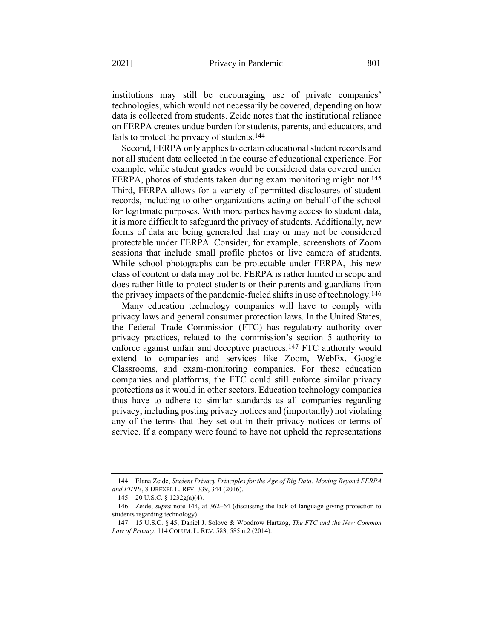institutions may still be encouraging use of private companies' technologies, which would not necessarily be covered, depending on how data is collected from students. Zeide notes that the institutional reliance on FERPA creates undue burden for students, parents, and educators, and fails to protect the privacy of students.144

<span id="page-35-0"></span>Second, FERPA only applies to certain educational student records and not all student data collected in the course of educational experience. For example, while student grades would be considered data covered under FERPA, photos of students taken during exam monitoring might not.<sup>145</sup> Third, FERPA allows for a variety of permitted disclosures of student records, including to other organizations acting on behalf of the school for legitimate purposes. With more parties having access to student data, it is more difficult to safeguard the privacy of students. Additionally, new forms of data are being generated that may or may not be considered protectable under FERPA. Consider, for example, screenshots of Zoom sessions that include small profile photos or live camera of students. While school photographs can be protectable under FERPA, this new class of content or data may not be. FERPA is rather limited in scope and does rather little to protect students or their parents and guardians from the privacy impacts of the pandemic-fueled shifts in use of technology.146

Many education technology companies will have to comply with privacy laws and general consumer protection laws. In the United States, the Federal Trade Commission (FTC) has regulatory authority over privacy practices, related to the commission's section 5 authority to enforce against unfair and deceptive practices.147 FTC authority would extend to companies and services like Zoom, WebEx, Google Classrooms, and exam-monitoring companies. For these education companies and platforms, the FTC could still enforce similar privacy protections as it would in other sectors. Education technology companies thus have to adhere to similar standards as all companies regarding privacy, including posting privacy notices and (importantly) not violating any of the terms that they set out in their privacy notices or terms of service. If a company were found to have not upheld the representations

<sup>144.</sup> Elana Zeide, *Student Privacy Principles for the Age of Big Data: Moving Beyond FERPA and FIPPs*, 8 DREXEL L. REV. 339, 344 (2016).

<sup>145.</sup> 20 U.S.C. § 1232g(a)(4).

<sup>146.</sup> Zeide, *supra* note [144,](#page-35-0) at 362–64 (discussing the lack of language giving protection to students regarding technology).

<sup>147.</sup> 15 U.S.C. § 45; Daniel J. Solove & Woodrow Hartzog, *The FTC and the New Common Law of Privacy*, 114 COLUM. L. REV. 583, 585 n.2 (2014).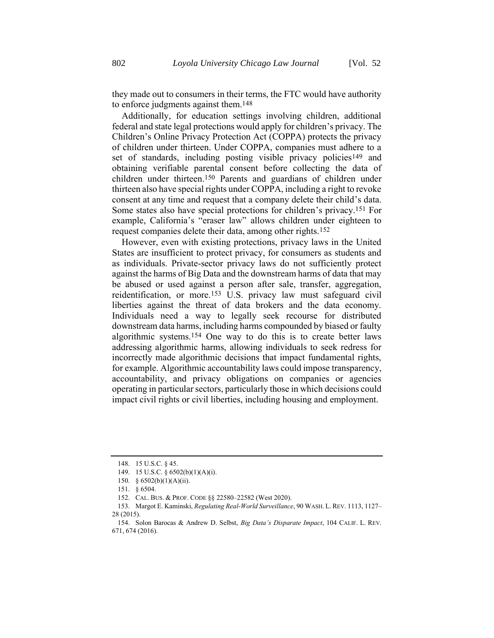they made out to consumers in their terms, the FTC would have authority to enforce judgments against them.148

Additionally, for education settings involving children, additional federal and state legal protections would apply for children's privacy. The Children's Online Privacy Protection Act (COPPA) protects the privacy of children under thirteen. Under COPPA, companies must adhere to a set of standards, including posting visible privacy policies<sup>149</sup> and obtaining verifiable parental consent before collecting the data of children under thirteen. 150 Parents and guardians of children under thirteen also have special rights under COPPA, including a right to revoke consent at any time and request that a company delete their child's data. Some states also have special protections for children's privacy.151 For example, California's "eraser law" allows children under eighteen to request companies delete their data, among other rights.152

However, even with existing protections, privacy laws in the United States are insufficient to protect privacy, for consumers as students and as individuals. Private-sector privacy laws do not sufficiently protect against the harms of Big Data and the downstream harms of data that may be abused or used against a person after sale, transfer, aggregation, reidentification, or more.153 U.S. privacy law must safeguard civil liberties against the threat of data brokers and the data economy. Individuals need a way to legally seek recourse for distributed downstream data harms, including harms compounded by biased or faulty algorithmic systems.154 One way to do this is to create better laws addressing algorithmic harms, allowing individuals to seek redress for incorrectly made algorithmic decisions that impact fundamental rights, for example. Algorithmic accountability laws could impose transparency, accountability, and privacy obligations on companies or agencies operating in particular sectors, particularly those in which decisions could impact civil rights or civil liberties, including housing and employment.

<sup>148.</sup> 15 U.S.C. § 45.

<sup>149.</sup> 15 U.S.C. § 6502(b)(1)(A)(i).

<sup>150.</sup> § 6502(b)(1)(A)(ii).

<sup>151.</sup> § 6504.

<sup>152.</sup> CAL. BUS. & PROF. CODE §§ 22580–22582 (West 2020).

<sup>153.</sup> Margot E. Kaminski, *Regulating Real-World Surveillance*, 90 WASH. L. REV. 1113, 1127– 28 (2015).

<sup>154.</sup> Solon Barocas & Andrew D. Selbst, *Big Data's Disparate Impact*, 104 CALIF. L. REV. 671, 674 (2016).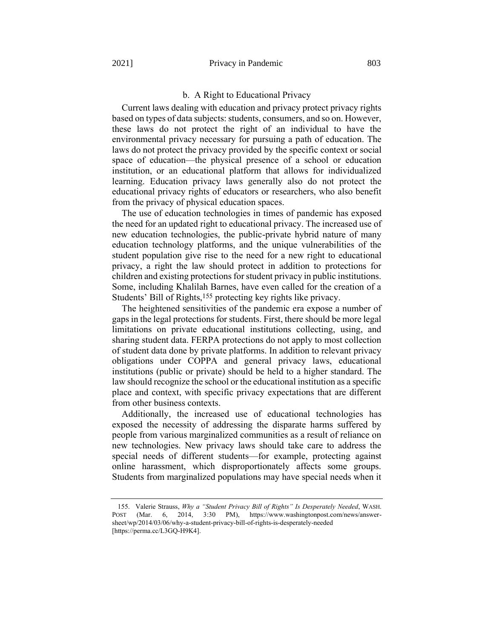#### b. A Right to Educational Privacy

Current laws dealing with education and privacy protect privacy rights based on types of data subjects: students, consumers, and so on. However, these laws do not protect the right of an individual to have the environmental privacy necessary for pursuing a path of education. The laws do not protect the privacy provided by the specific context or social space of education—the physical presence of a school or education institution, or an educational platform that allows for individualized learning. Education privacy laws generally also do not protect the educational privacy rights of educators or researchers, who also benefit from the privacy of physical education spaces.

The use of education technologies in times of pandemic has exposed the need for an updated right to educational privacy. The increased use of new education technologies, the public-private hybrid nature of many education technology platforms, and the unique vulnerabilities of the student population give rise to the need for a new right to educational privacy, a right the law should protect in addition to protections for children and existing protections for student privacy in public institutions. Some, including Khalilah Barnes, have even called for the creation of a Students' Bill of Rights,155 protecting key rights like privacy.

The heightened sensitivities of the pandemic era expose a number of gaps in the legal protections for students. First, there should be more legal limitations on private educational institutions collecting, using, and sharing student data. FERPA protections do not apply to most collection of student data done by private platforms. In addition to relevant privacy obligations under COPPA and general privacy laws, educational institutions (public or private) should be held to a higher standard. The law should recognize the school or the educational institution as a specific place and context, with specific privacy expectations that are different from other business contexts.

Additionally, the increased use of educational technologies has exposed the necessity of addressing the disparate harms suffered by people from various marginalized communities as a result of reliance on new technologies. New privacy laws should take care to address the special needs of different students—for example, protecting against online harassment, which disproportionately affects some groups. Students from marginalized populations may have special needs when it

<sup>155.</sup> Valerie Strauss, *Why a "Student Privacy Bill of Rights" Is Desperately Needed*, WASH. POST (Mar. 6, 2014, 3:30 PM), https://www.washingtonpost.com/news/answersheet/wp/2014/03/06/why-a-student-privacy-bill-of-rights-is-desperately-needed [https://perma.cc/L3GQ-H9K4].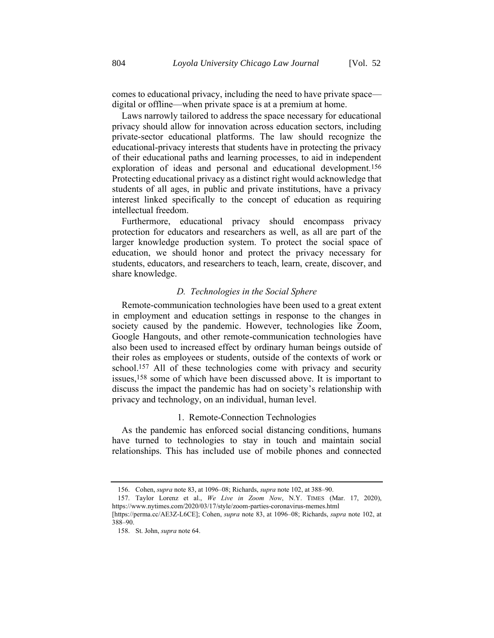comes to educational privacy, including the need to have private space digital or offline—when private space is at a premium at home.

Laws narrowly tailored to address the space necessary for educational privacy should allow for innovation across education sectors, including private-sector educational platforms. The law should recognize the educational-privacy interests that students have in protecting the privacy of their educational paths and learning processes, to aid in independent exploration of ideas and personal and educational development.156 Protecting educational privacy as a distinct right would acknowledge that students of all ages, in public and private institutions, have a privacy interest linked specifically to the concept of education as requiring intellectual freedom.

Furthermore, educational privacy should encompass privacy protection for educators and researchers as well, as all are part of the larger knowledge production system. To protect the social space of education, we should honor and protect the privacy necessary for students, educators, and researchers to teach, learn, create, discover, and share knowledge.

#### *D. Technologies in the Social Sphere*

Remote-communication technologies have been used to a great extent in employment and education settings in response to the changes in society caused by the pandemic. However, technologies like Zoom, Google Hangouts, and other remote-communication technologies have also been used to increased effect by ordinary human beings outside of their roles as employees or students, outside of the contexts of work or school.<sup>157</sup> All of these technologies come with privacy and security issues, 158 some of which have been discussed above. It is important to discuss the impact the pandemic has had on society's relationship with privacy and technology, on an individual, human level.

#### <span id="page-38-0"></span>1. Remote-Connection Technologies

As the pandemic has enforced social distancing conditions, humans have turned to technologies to stay in touch and maintain social relationships. This has included use of mobile phones and connected

<sup>156.</sup> Cohen, *supra* note [83,](#page-21-0) at 1096–08; Richards, *supra* not[e 102,](#page-25-0) at 388–90.

<sup>157.</sup> Taylor Lorenz et al., *We Live in Zoom Now*, N.Y. TIMES (Mar. 17, 2020), https://www.nytimes.com/2020/03/17/style/zoom-parties-coronavirus-memes.html

<sup>[</sup>https://perma.cc/AE3Z-L6CE]; Cohen, *supra* note [83,](#page-21-0) at 1096–08; Richards, *supra* note [102,](#page-25-0) at 388–90.

<sup>158.</sup> St. John, *supra* note [64.](#page-16-0)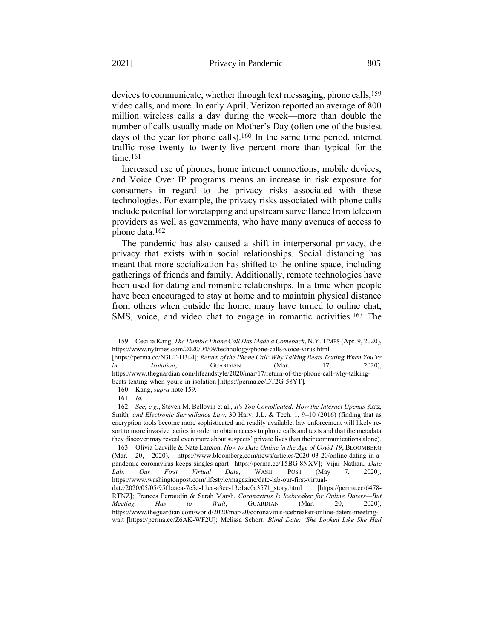<span id="page-39-0"></span>devices to communicate, whether through text messaging, phone calls,159 video calls, and more. In early April, Verizon reported an average of 800 million wireless calls a day during the week—more than double the number of calls usually made on Mother's Day (often one of the busiest days of the year for phone calls).160 In the same time period, internet traffic rose twenty to twenty-five percent more than typical for the time.161

Increased use of phones, home internet connections, mobile devices, and Voice Over IP programs means an increase in risk exposure for consumers in regard to the privacy risks associated with these technologies. For example, the privacy risks associated with phone calls include potential for wiretapping and upstream surveillance from telecom providers as well as governments, who have many avenues of access to phone data.162

The pandemic has also caused a shift in interpersonal privacy, the privacy that exists within social relationships. Social distancing has meant that more socialization has shifted to the online space, including gatherings of friends and family. Additionally, remote technologies have been used for dating and romantic relationships. In a time when people have been encouraged to stay at home and to maintain physical distance from others when outside the home, many have turned to online chat, SMS, voice, and video chat to engage in romantic activities.163 The

[https://perma.cc/N3LT-H344]; *Return of the Phone Call: Why Talking Beats Texting When You're in Isolation*, GUARDIAN (Mar. 17, 2020), https://www.theguardian.com/lifeandstyle/2020/mar/17/return-of-the-phone-call-why-talkingbeats-texting-when-youre-in-isolation [https://perma.cc/DT2G-58YT].

<sup>159.</sup> Cecilia Kang, *The Humble Phone Call Has Made a Comeback*, N.Y. TIMES (Apr. 9, 2020), https://www.nytimes.com/2020/04/09/technology/phone-calls-voice-virus.html

<sup>160.</sup> Kang, *supra* note [159.](#page-39-0)

<sup>161.</sup> *Id.*

<sup>162.</sup> *See, e.g.*, Steven M. Bellovin et al., *It's Too Complicated: How the Internet Upends* Katz*,* Smith*, and Electronic Surveillance Law*, 30 Harv. J.L. & Tech. 1, 9–10 (2016) (finding that as encryption tools become more sophisticated and readily available, law enforcement will likely resort to more invasive tactics in order to obtain access to phone calls and texts and that the metadata they discover may reveal even more about suspects' private lives than their communications alone).

<sup>163.</sup> Olivia Carville & Nate Lanxon, *How to Date Online in the Age of Covid-19*, BLOOMBERG (Mar. 20, 2020), https://www.bloomberg.com/news/articles/2020-03-20/online-dating-in-apandemic-coronavirus-keeps-singles-apart [https://perma.cc/T5BG-8NXV]; Vijai Nathan, *Date Lab: Our First Virtual Date*, WASH. POST (May 7, 2020), https://www.washingtonpost.com/lifestyle/magazine/date-lab-our-first-virtualdate/2020/05/05/95f1aaca-7e5c-11ea-a3ee-13e1ae0a3571\_story.html [https://perma.cc/6478- RTNZ]; Frances Perraudin & Sarah Marsh, *Coronavirus Is Icebreaker for Online Daters—But* 

*Meeting Has to Wait*, GUARDIAN (Mar. 20, 2020), https://www.theguardian.com/world/2020/mar/20/coronavirus-icebreaker-online-daters-meetingwait [https://perma.cc/Z6AK-WF2U]; Melissa Schorr, *Blind Date: 'She Looked Like She Had*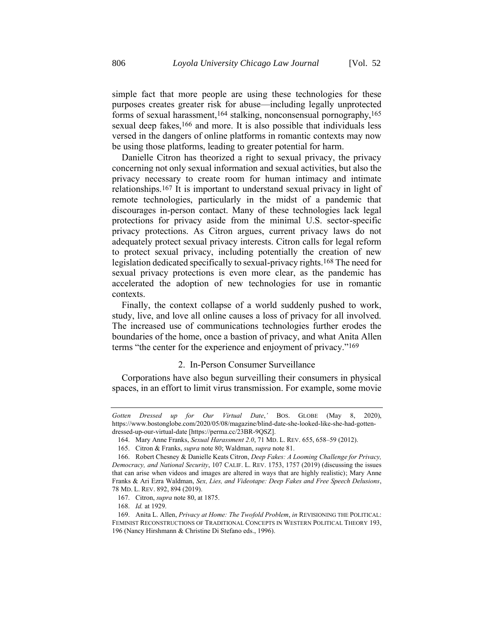simple fact that more people are using these technologies for these purposes creates greater risk for abuse—including legally unprotected forms of sexual harassment,164 stalking, nonconsensual pornography,165 sexual deep fakes,<sup>166</sup> and more. It is also possible that individuals less versed in the dangers of online platforms in romantic contexts may now be using those platforms, leading to greater potential for harm.

Danielle Citron has theorized a right to sexual privacy, the privacy concerning not only sexual information and sexual activities, but also the privacy necessary to create room for human intimacy and intimate relationships.167 It is important to understand sexual privacy in light of remote technologies, particularly in the midst of a pandemic that discourages in-person contact. Many of these technologies lack legal protections for privacy aside from the minimal U.S. sector-specific privacy protections. As Citron argues, current privacy laws do not adequately protect sexual privacy interests. Citron calls for legal reform to protect sexual privacy, including potentially the creation of new legislation dedicated specifically to sexual-privacy rights.168 The need for sexual privacy protections is even more clear, as the pandemic has accelerated the adoption of new technologies for use in romantic contexts.

Finally, the context collapse of a world suddenly pushed to work, study, live, and love all online causes a loss of privacy for all involved. The increased use of communications technologies further erodes the boundaries of the home, once a bastion of privacy, and what Anita Allen terms "the center for the experience and enjoyment of privacy."169

## 2. In-Person Consumer Surveillance

Corporations have also begun surveilling their consumers in physical spaces, in an effort to limit virus transmission. For example, some movie

*Gotten Dressed up for Our Virtual Date*,*'* BOS. GLOBE (May 8, 2020), https://www.bostonglobe.com/2020/05/08/magazine/blind-date-she-looked-like-she-had-gottendressed-up-our-virtual-date [https://perma.cc/23BR-9QSZ].

<sup>164.</sup> Mary Anne Franks, *Sexual Harassment 2.0*, 71 MD. L. REV. 655, 658–59 (2012).

<sup>165.</sup> Citron & Franks, *supra* not[e 80;](#page-20-0) Waldman, *supra* not[e 81.](#page-20-1)

<sup>166.</sup> Robert Chesney & Danielle Keats Citron, *Deep Fakes: A Looming Challenge for Privacy, Democracy, and National Security*, 107 CALIF. L. REV. 1753, 1757 (2019) (discussing the issues that can arise when videos and images are altered in ways that are highly realistic); Mary Anne Franks & Ari Ezra Waldman, *Sex, Lies, and Videotape: Deep Fakes and Free Speech Delusions*, 78 MD. L. REV. 892, 894 (2019).

<sup>167.</sup> Citron, *supra* not[e 80,](#page-20-0) at 1875.

<sup>168.</sup> *Id.* at 1929.

<sup>169.</sup> Anita L. Allen, *Privacy at Home: The Twofold Problem*, *in* REVISIONING THE POLITICAL: FEMINIST RECONSTRUCTIONS OF TRADITIONAL CONCEPTS IN WESTERN POLITICAL THEORY 193, 196 (Nancy Hirshmann & Christine Di Stefano eds., 1996).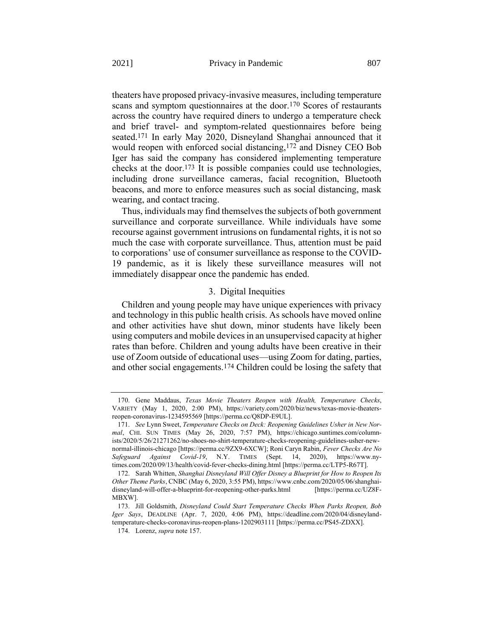theaters have proposed privacy-invasive measures, including temperature scans and symptom questionnaires at the door.170 Scores of restaurants across the country have required diners to undergo a temperature check and brief travel- and symptom-related questionnaires before being seated.171 In early May 2020, Disneyland Shanghai announced that it would reopen with enforced social distancing,172 and Disney CEO Bob Iger has said the company has considered implementing temperature checks at the door.173 It is possible companies could use technologies, including drone surveillance cameras, facial recognition, Bluetooth beacons, and more to enforce measures such as social distancing, mask wearing, and contact tracing.

Thus, individuals may find themselves the subjects of both government surveillance and corporate surveillance. While individuals have some recourse against government intrusions on fundamental rights, it is not so much the case with corporate surveillance. Thus, attention must be paid to corporations' use of consumer surveillance as response to the COVID-19 pandemic, as it is likely these surveillance measures will not immediately disappear once the pandemic has ended.

# 3. Digital Inequities

Children and young people may have unique experiences with privacy and technology in this public health crisis. As schools have moved online and other activities have shut down, minor students have likely been using computers and mobile devices in an unsupervised capacity at higher rates than before. Children and young adults have been creative in their use of Zoom outside of educational uses—using Zoom for dating, parties, and other social engagements.174 Children could be losing the safety that

<sup>170.</sup> Gene Maddaus, *Texas Movie Theaters Reopen with Health, Temperature Checks*, VARIETY (May 1, 2020, 2:00 PM), https://variety.com/2020/biz/news/texas-movie-theatersreopen-coronavirus-1234595569 [https://perma.cc/Q8DP-E9UL].

<sup>171.</sup> *See* Lynn Sweet, *Temperature Checks on Deck: Reopening Guidelines Usher in New Normal*, CHI. SUN TIMES (May 26, 2020, 7:57 PM), https://chicago.suntimes.com/columnists/2020/5/26/21271262/no-shoes-no-shirt-temperature-checks-reopening-guidelines-usher-newnormal-illinois-chicago [https://perma.cc/9ZX9-6XCW]; Roni Caryn Rabin, *Fever Checks Are No Safeguard Against Covid-19*, N.Y. TIMES (Sept. 14, 2020), https://www.nytimes.com/2020/09/13/health/covid-fever-checks-dining.html [https://perma.cc/LTP5-R67T].

<sup>172.</sup> Sarah Whitten, *Shanghai Disneyland Will Offer Disney a Blueprint for How to Reopen Its Other Theme Parks*, CNBC (May 6, 2020, 3:55 PM), https://www.cnbc.com/2020/05/06/shanghaidisneyland-will-offer-a-blueprint-for-reopening-other-parks.html [https://perma.cc/UZ8F-MBXW].

<sup>173.</sup> Jill Goldsmith, *Disneyland Could Start Temperature Checks When Parks Reopen, Bob Iger Says*, DEADLINE (Apr. 7, 2020, 4:06 PM), https://deadline.com/2020/04/disneylandtemperature-checks-coronavirus-reopen-plans-1202903111 [https://perma.cc/PS45-ZDXX].

<sup>174.</sup> Lorenz, *supra* not[e 157.](#page-38-0)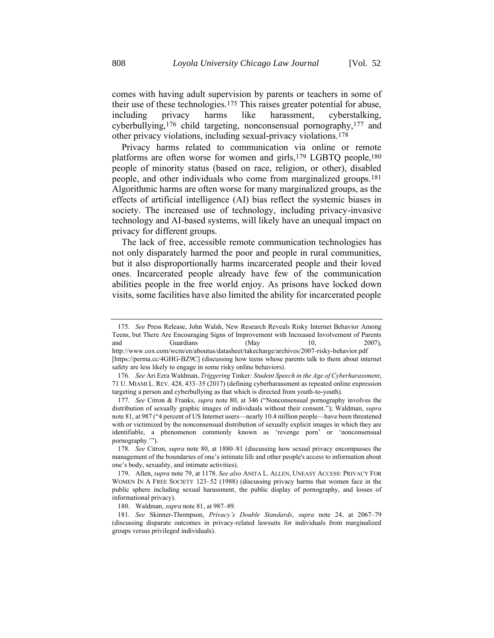comes with having adult supervision by parents or teachers in some of their use of these technologies.175 This raises greater potential for abuse, including privacy harms like harassment, cyberstalking, cyberbullying,176 child targeting, nonconsensual pornography,177 and other privacy violations, including sexual-privacy violations.178

Privacy harms related to communication via online or remote platforms are often worse for women and girls,<sup>179</sup> LGBTQ people,<sup>180</sup> people of minority status (based on race, religion, or other), disabled people, and other individuals who come from marginalized groups.181 Algorithmic harms are often worse for many marginalized groups, as the effects of artificial intelligence (AI) bias reflect the systemic biases in society. The increased use of technology, including privacy-invasive technology and AI-based systems, will likely have an unequal impact on privacy for different groups.

The lack of free, accessible remote communication technologies has not only disparately harmed the poor and people in rural communities, but it also disproportionally harms incarcerated people and their loved ones. Incarcerated people already have few of the communication abilities people in the free world enjoy. As prisons have locked down visits, some facilities have also limited the ability for incarcerated people

<sup>175.</sup> *See* Press Release, John Walsh, New Research Reveals Risky Internet Behavior Among Teens, but There Are Encouraging Signs of Improvement with Increased Involvement of Parents and Guardians (May 10, 2007),

http://www.cox.com/wcm/en/aboutus/datasheet/takecharge/archives/2007-risky-behavior.pdf [https://perma.cc/4GHG-BZ9C] (discussing how teens whose parents talk to them about internet safety are less likely to engage in some risky online behaviors).

<sup>176.</sup> *See* Ari Ezra Waldman, *Triggering* Tinker*: Student Speech in the Age of Cyberharassment*, 71 U. MIAMI L. REV. 428, 433–35 (2017) (defining cyberharassment as repeated online expression targeting a person and cyberbullying as that which is directed from youth-to-youth).

<sup>177.</sup> *See* Citron & Franks, *supra* note [80,](#page-20-0) at 346 ("Nonconsensual pornography involves the distribution of sexually graphic images of individuals without their consent."); Waldman, *supra*  not[e 81](#page-20-1), at 987 ("4 percent of US Internet users—nearly 10.4 million people—have been threatened with or victimized by the nonconsensual distribution of sexually explicit images in which they are identifiable, a phenomenon commonly known as 'revenge porn' or 'nonconsensual pornography.'").

<sup>178.</sup> *See* Citron, *supra* note [80,](#page-20-0) at 1880–81 (discussing how sexual privacy encompasses the management of the boundaries of one's intimate life and other people's access to information about one's body, sexuality, and intimate activities).

<sup>179.</sup> Allen, *supra* not[e 79,](#page-20-2) at 1178. *See also* ANITA L. ALLEN, UNEASY ACCESS: PRIVACY FOR WOMEN IN A FREE SOCIETY 123–52 (1988) (discussing privacy harms that women face in the public sphere including sexual harassment, the public display of pornography, and losses of informational privacy).

<sup>180.</sup> Waldman, *supra* not[e 81,](#page-20-1) at 987–89.

<sup>181.</sup> *See* Skinner-Thompson, *Privacy's Double Standards*, *supra* note [24,](#page-7-0) at 2067–79 (discussing disparate outcomes in privacy-related lawsuits for individuals from marginalized groups versus privileged individuals).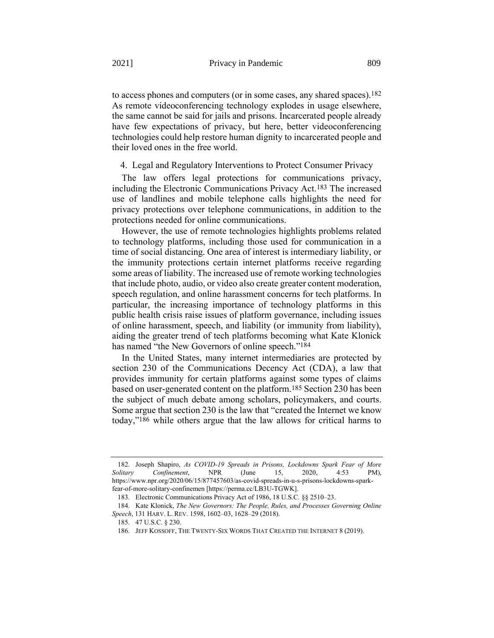to access phones and computers (or in some cases, any shared spaces).182 As remote videoconferencing technology explodes in usage elsewhere, the same cannot be said for jails and prisons. Incarcerated people already have few expectations of privacy, but here, better videoconferencing technologies could help restore human dignity to incarcerated people and their loved ones in the free world.

4. Legal and Regulatory Interventions to Protect Consumer Privacy

The law offers legal protections for communications privacy, including the Electronic Communications Privacy Act.183 The increased use of landlines and mobile telephone calls highlights the need for privacy protections over telephone communications, in addition to the protections needed for online communications.

However, the use of remote technologies highlights problems related to technology platforms, including those used for communication in a time of social distancing. One area of interest is intermediary liability, or the immunity protections certain internet platforms receive regarding some areas of liability. The increased use of remote working technologies that include photo, audio, or video also create greater content moderation, speech regulation, and online harassment concerns for tech platforms. In particular, the increasing importance of technology platforms in this public health crisis raise issues of platform governance, including issues of online harassment, speech, and liability (or immunity from liability), aiding the greater trend of tech platforms becoming what Kate Klonick has named "the New Governors of online speech."<sup>184</sup>

In the United States, many internet intermediaries are protected by section 230 of the Communications Decency Act (CDA), a law that provides immunity for certain platforms against some types of claims based on user-generated content on the platform.185 Section 230 has been the subject of much debate among scholars, policymakers, and courts. Some argue that section 230 is the law that "created the Internet we know today,"186 while others argue that the law allows for critical harms to

<sup>182.</sup> Joseph Shapiro, *As COVID-19 Spreads in Prisons, Lockdowns Spark Fear of More Solitary Confinement*, NPR (June 15, 2020, 4:53 PM), https://www.npr.org/2020/06/15/877457603/as-covid-spreads-in-u-s-prisons-lockdowns-sparkfear-of-more-solitary-confinemen [https://perma.cc/LB3U-TGWK].

<sup>183.</sup> Electronic Communications Privacy Act of 1986, 18 U.S.C. §§ 2510–23.

<sup>184.</sup> Kate Klonick, *The New Governors: The People, Rules, and Processes Governing Online Speech*, 131 HARV. L. REV. 1598, 1602–03, 1628–29 (2018).

<sup>185.</sup> 47 U.S.C. § 230.

<sup>186.</sup> JEFF KOSSOFF, THE TWENTY-SIX WORDS THAT CREATED THE INTERNET 8 (2019).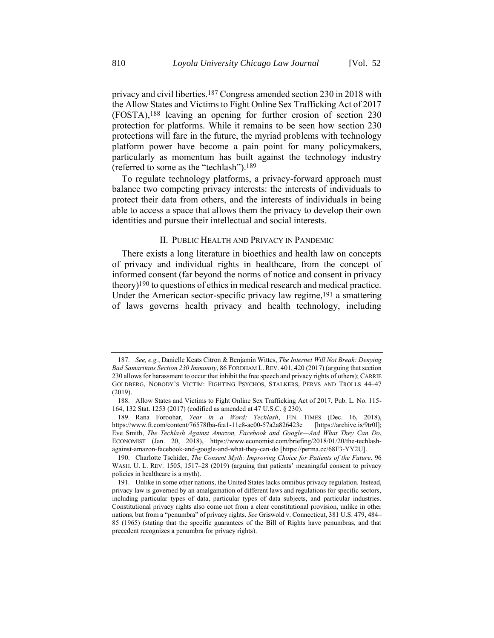privacy and civil liberties.187 Congress amended section 230 in 2018 with the Allow States and Victims to Fight Online Sex Trafficking Act of 2017 (FOSTA),188 leaving an opening for further erosion of section 230 protection for platforms. While it remains to be seen how section 230 protections will fare in the future, the myriad problems with technology platform power have become a pain point for many policymakers, particularly as momentum has built against the technology industry (referred to some as the "techlash").189

To regulate technology platforms, a privacy-forward approach must balance two competing privacy interests: the interests of individuals to protect their data from others, and the interests of individuals in being able to access a space that allows them the privacy to develop their own identities and pursue their intellectual and social interests.

#### II. PUBLIC HEALTH AND PRIVACY IN PANDEMIC

<span id="page-44-0"></span>There exists a long literature in bioethics and health law on concepts of privacy and individual rights in healthcare, from the concept of informed consent (far beyond the norms of notice and consent in privacy theory)190 to questions of ethics in medical research and medical practice. Under the American sector-specific privacy law regime,  $191$  a smattering of laws governs health privacy and health technology, including

<sup>187.</sup> *See, e.g.*, Danielle Keats Citron & Benjamin Wittes, *The Internet Will Not Break: Denying Bad Samaritans Section 230 Immunity*, 86 FORDHAM L. REV. 401, 420 (2017) (arguing that section 230 allows for harassment to occur that inhibit the free speech and privacy rights of others); CARRIE GOLDBERG, NOBODY'S VICTIM: FIGHTING PSYCHOS, STALKERS, PERVS AND TROLLS 44–47 (2019).

<sup>188.</sup> Allow States and Victims to Fight Online Sex Trafficking Act of 2017, Pub. L. No. 115- 164, 132 Stat. 1253 (2017) (codified as amended at 47 U.S.C. § 230).

<sup>189.</sup> Rana Foroohar, *Year in a Word: Techlash*, FIN. TIMES (Dec. 16, 2018), https://www.ft.com/content/76578fba-fca1-11e8-ac00-57a2a826423e [https://archive.is/9tr0l]; Eve Smith, *The Techlash Against Amazon, Facebook and Google—And What They Can Do*, ECONOMIST (Jan. 20, 2018), https://www.economist.com/briefing/2018/01/20/the-techlashagainst-amazon-facebook-and-google-and-what-they-can-do [https://perma.cc/68F3-YY2U].

<sup>190.</sup> Charlotte Tschider, *The Consent Myth: Improving Choice for Patients of the Future*, 96 WASH. U. L. REV. 1505, 1517-28 (2019) (arguing that patients' meaningful consent to privacy policies in healthcare is a myth).

<sup>191.</sup> Unlike in some other nations, the United States lacks omnibus privacy regulation. Instead, privacy law is governed by an amalgamation of different laws and regulations for specific sectors, including particular types of data, particular types of data subjects, and particular industries. Constitutional privacy rights also come not from a clear constitutional provision, unlike in other nations, but from a "penumbra" of privacy rights. *See* Griswold v. Connecticut, 381 U.S. 479, 484– 85 (1965) (stating that the specific guarantees of the Bill of Rights have penumbras, and that precedent recognizes a penumbra for privacy rights).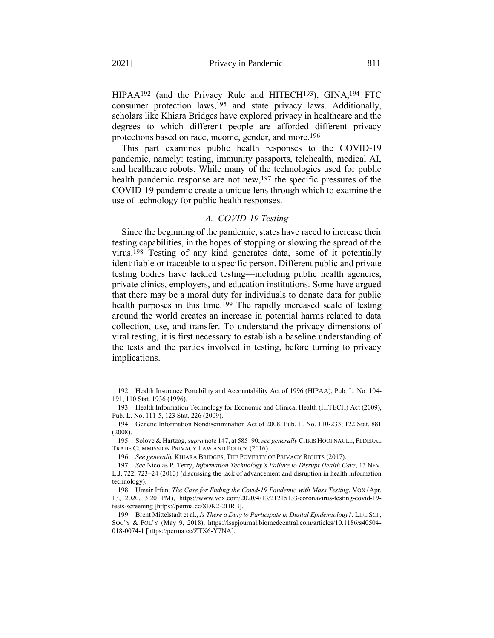<span id="page-45-0"></span>HIPAA192 (and the Privacy Rule and HITECH193), GINA,194 FTC consumer protection laws, 195 and state privacy laws. Additionally, scholars like Khiara Bridges have explored privacy in healthcare and the degrees to which different people are afforded different privacy protections based on race, income, gender, and more.196

This part examines public health responses to the COVID-19 pandemic, namely: testing, immunity passports, telehealth, medical AI, and healthcare robots. While many of the technologies used for public health pandemic response are not new,  $197$  the specific pressures of the COVID-19 pandemic create a unique lens through which to examine the use of technology for public health responses.

## *A. COVID-19 Testing*

Since the beginning of the pandemic, states have raced to increase their testing capabilities, in the hopes of stopping or slowing the spread of the virus.198 Testing of any kind generates data, some of it potentially identifiable or traceable to a specific person. Different public and private testing bodies have tackled testing—including public health agencies, private clinics, employers, and education institutions. Some have argued that there may be a moral duty for individuals to donate data for public health purposes in this time.<sup>199</sup> The rapidly increased scale of testing around the world creates an increase in potential harms related to data collection, use, and transfer. To understand the privacy dimensions of viral testing, it is first necessary to establish a baseline understanding of the tests and the parties involved in testing, before turning to privacy implications.

<sup>192.</sup> Health Insurance Portability and Accountability Act of 1996 (HIPAA), Pub. L. No. 104- 191, 110 Stat. 1936 (1996).

<sup>193.</sup> Health Information Technology for Economic and Clinical Health (HITECH) Act (2009), Pub. L. No. 111-5, 123 Stat. 226 (2009).

<sup>194.</sup> Genetic Information Nondiscrimination Act of 2008, Pub. L. No. 110-233, 122 Stat. 881 (2008).

<sup>195.</sup> Solove & Hartzog, *supra* not[e 147,](#page-35-0) at 585–90; *see generally* CHRIS HOOFNAGLE, FEDERAL TRADE COMMISSION PRIVACY LAW AND POLICY (2016).

<sup>196.</sup> *See generally* KHIARA BRIDGES, THE POVERTY OF PRIVACY RIGHTS (2017).

<sup>197.</sup> *See* Nicolas P. Terry, *Information Technology's Failure to Disrupt Health Care*, 13 NEV. L.J. 722, 723–24 (2013) (discussing the lack of advancement and disruption in health information technology).

<sup>198.</sup> Umair Irfan, *The Case for Ending the Covid-19 Pandemic with Mass Testing*, VOX (Apr. 13, 2020, 3:20 PM), https://www.vox.com/2020/4/13/21215133/coronavirus-testing-covid-19 tests-screening [https://perma.cc/8DK2-2HRB].

<sup>199.</sup> Brent Mittelstadt et al., *Is There a Duty to Participate in Digital Epidemiology?*, LIFE SCI., SOC'Y & POL'Y (May 9, 2018), https://lsspjournal.biomedcentral.com/articles/10.1186/s40504- 018-0074-1 [https://perma.cc/ZTX6-Y7NA].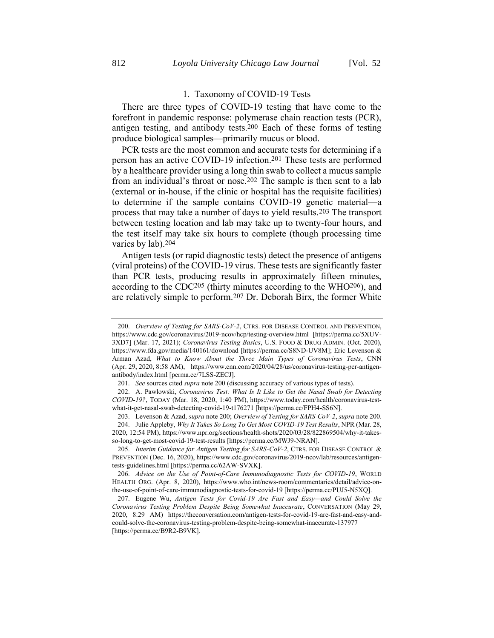## <span id="page-46-0"></span>1. Taxonomy of COVID-19 Tests

There are three types of COVID-19 testing that have come to the forefront in pandemic response: polymerase chain reaction tests (PCR), antigen testing, and antibody tests.200 Each of these forms of testing produce biological samples—primarily mucus or blood.

PCR tests are the most common and accurate tests for determining if a person has an active COVID-19 infection.201 These tests are performed by a healthcare provider using a long thin swab to collect a mucus sample from an individual's throat or nose.202 The sample is then sent to a lab (external or in-house, if the clinic or hospital has the requisite facilities) to determine if the sample contains COVID-19 genetic material—a process that may take a number of days to yield results.203 The transport between testing location and lab may take up to twenty-four hours, and the test itself may take six hours to complete (though processing time varies by lab).204

<span id="page-46-1"></span>Antigen tests (or rapid diagnostic tests) detect the presence of antigens (viral proteins) of the COVID-19 virus. These tests are significantly faster than PCR tests, producing results in approximately fifteen minutes, according to the CDC205 (thirty minutes according to the WHO206), and are relatively simple to perform.207 Dr. Deborah Birx, the former White

<sup>200.</sup> *Overview of Testing for SARS-CoV-2*, CTRS. FOR DISEASE CONTROL AND PREVENTION, https://www.cdc.gov/coronavirus/2019-ncov/hcp/testing-overview.html [https://perma.cc/5XUV-3XD7] (Mar. 17, 2021); *Coronavirus Testing Basics*, U.S. FOOD & DRUG ADMIN. (Oct. 2020), https://www.fda.gov/media/140161/download [https://perma.cc/S8ND-UV8M]; Eric Levenson & Arman Azad, *What to Know About the Three Main Types of Coronavirus Tests*, CNN (Apr. 29, 2020, 8:58 AM), https://www.cnn.com/2020/04/28/us/coronavirus-testing-pcr-antigenantibody/index.html [perma.cc/7LSS-ZECJ].

<sup>201.</sup> *See* sources cited *supra* not[e 200](#page-46-0) (discussing accuracy of various types of tests).

<sup>202.</sup> A. Pawlowski, *Coronavirus Test: What Is It Like to Get the Nasal Swab for Detecting COVID-19?*, TODAY (Mar. 18, 2020, 1:40 PM), https://www.today.com/health/coronavirus-testwhat-it-get-nasal-swab-detecting-covid-19-t176271 [https://perma.cc/FPH4-SS6N].

<sup>203.</sup> Levenson & Azad, *supra* not[e 200;](#page-46-0) *Overview of Testing for SARS-CoV-2*, *supra* not[e 200.](#page-46-0) 204. Julie Appleby, *Why It Takes So Long To Get Most COVID-19 Test Results*, NPR (Mar. 28, 2020, 12:54 PM), https://www.npr.org/sections/health-shots/2020/03/28/822869504/why-it-takesso-long-to-get-most-covid-19-test-results [https://perma.cc/MWJ9-NRAN].

<sup>205.</sup> *Interim Guidance for Antigen Testing for SARS-CoV-2*, CTRS. FOR DISEASE CONTROL & PREVENTION (Dec. 16, 2020), https://www.cdc.gov/coronavirus/2019-ncov/lab/resources/antigentests-guidelines.html [https://perma.cc/62AW-SVXK].

<sup>206.</sup> *Advice on the Use of Point-of-Care Immunodiagnostic Tests for COVID-19*, WORLD HEALTH ORG. (Apr. 8, 2020), https://www.who.int/news-room/commentaries/detail/advice-onthe-use-of-point-of-care-immunodiagnostic-tests-for-covid-19 [https://perma.cc/PUJ5-N5XQ].

<sup>207.</sup> Eugene Wu, *Antigen Tests for Covid-19 Are Fast and Easy—and Could Solve the Coronavirus Testing Problem Despite Being Somewhat Inaccurate*, CONVERSATION (May 29, 2020, 8:29 AM) https://theconversation.com/antigen-tests-for-covid-19-are-fast-and-easy-andcould-solve-the-coronavirus-testing-problem-despite-being-somewhat-inaccurate-137977 [https://perma.cc/B9R2-B9VK].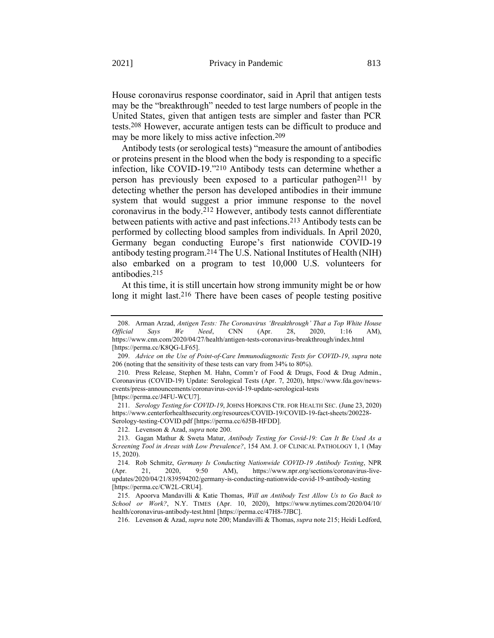House coronavirus response coordinator, said in April that antigen tests may be the "breakthrough" needed to test large numbers of people in the United States, given that antigen tests are simpler and faster than PCR tests.208 However, accurate antigen tests can be difficult to produce and may be more likely to miss active infection.209

<span id="page-47-2"></span>Antibody tests (or serological tests) "measure the amount of antibodies or proteins present in the blood when the body is responding to a specific infection, like COVID-19."210 Antibody tests can determine whether a person has previously been exposed to a particular pathogen<sup>211</sup> by detecting whether the person has developed antibodies in their immune system that would suggest a prior immune response to the novel coronavirus in the body.212 However, antibody tests cannot differentiate between patients with active and past infections.213 Antibody tests can be performed by collecting blood samples from individuals. In April 2020, Germany began conducting Europe's first nationwide COVID-19 antibody testing program.214 The U.S. National Institutes of Health (NIH) also embarked on a program to test 10,000 U.S. volunteers for antibodies.215

<span id="page-47-3"></span><span id="page-47-1"></span><span id="page-47-0"></span>At this time, it is still uncertain how strong immunity might be or how long it might last.<sup>216</sup> There have been cases of people testing positive

216. Levenson & Azad, *supra* not[e 200;](#page-46-0) Mandavilli & Thomas, *supra* not[e 215;](#page-47-0) Heidi Ledford,

<sup>208.</sup> Arman Arzad, *Antigen Tests: The Coronavirus 'Breakthrough' That a Top White House Official Says We Need*, CNN (Apr. 28, 2020, 1:16 AM), https://www.cnn.com/2020/04/27/health/antigen-tests-coronavirus-breakthrough/index.html [https://perma.cc/K8QG-LF65].

<sup>209.</sup> *Advice on the Use of Point-of-Care Immunodiagnostic Tests for COVID-19*, *supra* note [206](#page-46-1) (noting that the sensitivity of these tests can vary from 34% to 80%).

<sup>210.</sup> Press Release, Stephen M. Hahn, Comm'r of Food & Drugs, Food & Drug Admin., Coronavirus (COVID-19) Update: Serological Tests (Apr. 7, 2020), https://www.fda.gov/newsevents/press-announcements/coronavirus-covid-19-update-serological-tests [https://perma.cc/J4FU-WCU7].

<sup>211.</sup> *Serology Testing for COVID-19*, JOHNS HOPKINS CTR. FOR HEALTH SEC. (June 23, 2020) https://www.centerforhealthsecurity.org/resources/COVID-19/COVID-19-fact-sheets/200228- Serology-testing-COVID.pdf [https://perma.cc/6J5B-HFDD].

<sup>212.</sup> Levenson & Azad, *supra* not[e 200.](#page-46-0)

<sup>213.</sup> Gagan Mathur & Sweta Matur, *Antibody Testing for Covid-19: Can It Be Used As a Screening Tool in Areas with Low Prevalence?*, 154 AM. J. OF CLINICAL PATHOLOGY 1, 1 (May 15, 2020).

<sup>214.</sup> Rob Schmitz, *Germany Is Conducting Nationwide COVID-19 Antibody Testing*, NPR (Apr. 21, 2020, 9:50 AM), https://www.npr.org/sections/coronavirus-liveupdates/2020/04/21/839594202/germany-is-conducting-nationwide-covid-19-antibody-testing [https://perma.cc/CW2L-CRU4].

<sup>215.</sup> Apoorva Mandavilli & Katie Thomas, *Will an Antibody Test Allow Us to Go Back to School or Work?*, N.Y. TIMES (Apr. 10, 2020), https://www.nytimes.com/2020/04/10/ health/coronavirus-antibody-test.html [https://perma.cc/47H8-7JBC].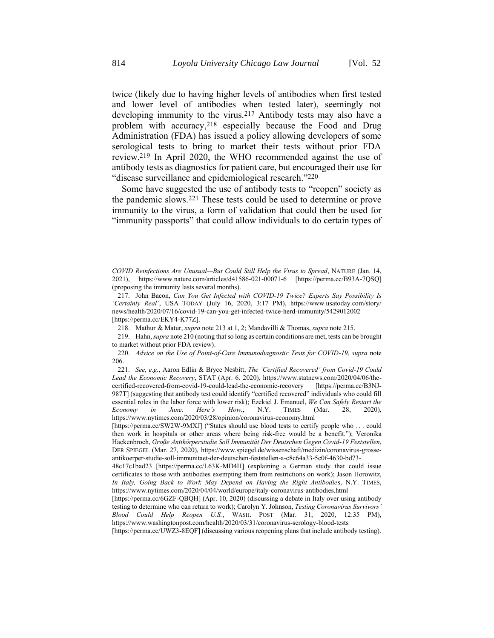twice (likely due to having higher levels of antibodies when first tested and lower level of antibodies when tested later), seemingly not developing immunity to the virus.217 Antibody tests may also have a problem with accuracy,218 especially because the Food and Drug Administration (FDA) has issued a policy allowing developers of some serological tests to bring to market their tests without prior FDA review.219 In April 2020, the WHO recommended against the use of antibody tests as diagnostics for patient care, but encouraged their use for "disease surveillance and epidemiological research."220

<span id="page-48-0"></span>Some have suggested the use of antibody tests to "reopen" society as the pandemic slows.221 These tests could be used to determine or prove immunity to the virus, a form of validation that could then be used for "immunity passports" that could allow individuals to do certain types of

*COVID Reinfections Are Unusual—But Could Still Help the Virus to Spread*, NATURE (Jan. 14, 2021), https://www.nature.com/articles/d41586-021-00071-6 [https://perma.cc/B93A-7QSQ] (proposing the immunity lasts several months).

<sup>217.</sup> John Bacon, *Can You Get Infected with COVID-19 Twice? Experts Say Possibility Is 'Certainly Real'*, USA TODAY (July 16, 2020, 3:17 PM), https://www.usatoday.com/story/ news/health/2020/07/16/covid-19-can-you-get-infected-twice-herd-immunity/5429012002 [https://perma.cc/EKY4-K77Z].

<sup>218.</sup> Mathur & Matur, *supra* not[e 213](#page-47-1) at 1, 2; Mandavilli & Thomas, *supra* not[e 215.](#page-47-0)

<sup>219.</sup> Hahn, *supra* not[e 210](#page-47-2) (noting that so long as certain conditions are met, tests can be brought to market without prior FDA review).

<sup>220.</sup> *Advice on the Use of Point-of-Care Immunodiagnostic Tests for COVID-19*, *supra* note [206.](#page-46-1)

<sup>221.</sup> *See, e.g.*, Aaron Edlin & Bryce Nesbitt, *The 'Certified Recovered' from Covid-19 Could Lead the Economic Recovery*, STAT (Apr. 6. 2020), https://www.statnews.com/2020/04/06/thecertified-recovered-from-covid-19-could-lead-the-economic-recovery [https://perma.cc/B3NJ-987T] (suggesting that antibody test could identify "certified recovered" individuals who could fill essential roles in the labor force with lower risk); Ezekiel J. Emanuel, *We Can Safely Restart the Economy in June. Here's How.*, N.Y. TIMES (Mar. 28, 2020), https://www.nytimes.com/2020/03/28/opinion/coronavirus-economy.html

<sup>[</sup>https://perma.cc/SW2W-9MXJ] ("States should use blood tests to certify people who . . . could then work in hospitals or other areas where being risk-free would be a benefit."); Veronika Hackenbroch, *Große Antikörperstudie Soll Immunität Der Deutschen Gegen Covid-19 Feststellen*, DER SPIEGEL (Mar. 27, 2020), https://www.spiegel.de/wissenschaft/medizin/coronavirus-grosseantikoerper-studie-soll-immunitaet-der-deutschen-feststellen-a-c8c64a33-5c0f-4630-bd73-

<sup>48</sup>c17c1bad23 [https://perma.cc/L63K-MD4H] (explaining a German study that could issue certificates to those with antibodies exempting them from restrictions on work); Jason Horowitz, *In Italy, Going Back to Work May Depend on Having the Right Antibodie*s, N.Y. TIMES, https://www.nytimes.com/2020/04/04/world/europe/italy-coronavirus-antibodies.html

<sup>[</sup>https://perma.cc/6GZF-QBQH] (Apr. 10, 2020) (discussing a debate in Italy over using antibody testing to determine who can return to work); Carolyn Y. Johnson, *Testing Coronavirus Survivors' Blood Could Help Reopen U.S.*, WASH. POST (Mar. 31, 2020, 12:35 PM), https://www.washingtonpost.com/health/2020/03/31/coronavirus-serology-blood-tests

<sup>[</sup>https://perma.cc/UWZ3-8EQF] (discussing various reopening plans that include antibody testing).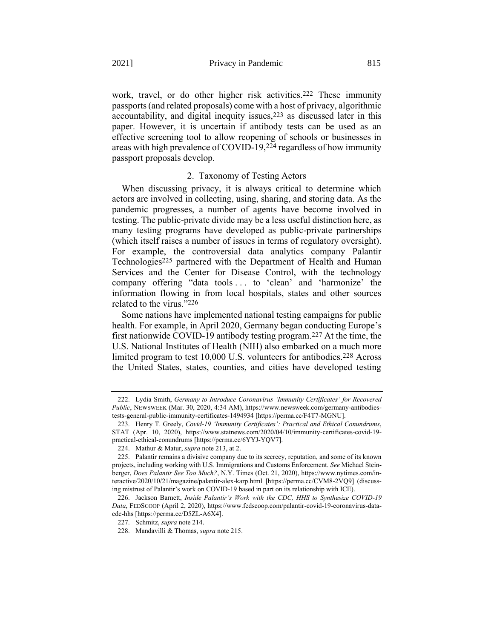work, travel, or do other higher risk activities.<sup>222</sup> These immunity passports (and related proposals) come with a host of privacy, algorithmic accountability, and digital inequity issues, <sup>223</sup> as discussed later in this paper. However, it is uncertain if antibody tests can be used as an effective screening tool to allow reopening of schools or businesses in areas with high prevalence of COVID-19, 224 regardless of how immunity passport proposals develop.

#### <span id="page-49-0"></span>2. Taxonomy of Testing Actors

When discussing privacy, it is always critical to determine which actors are involved in collecting, using, sharing, and storing data. As the pandemic progresses, a number of agents have become involved in testing. The public-private divide may be a less useful distinction here, as many testing programs have developed as public-private partnerships (which itself raises a number of issues in terms of regulatory oversight). For example, the controversial data analytics company Palantir Technologies<sup>225</sup> partnered with the Department of Health and Human Services and the Center for Disease Control, with the technology company offering "data tools . . . to 'clean' and 'harmonize' the information flowing in from local hospitals, states and other sources related to the virus."226

Some nations have implemented national testing campaigns for public health. For example, in April 2020, Germany began conducting Europe's first nationwide COVID-19 antibody testing program.227 At the time, the U.S. National Institutes of Health (NIH) also embarked on a much more limited program to test 10,000 U.S. volunteers for antibodies.228 Across the United States, states, counties, and cities have developed testing

<sup>222.</sup> Lydia Smith, *Germany to Introduce Coronavirus 'Immunity Certificates' for Recovered Public*, NEWSWEEK (Mar. 30, 2020, 4:34 AM), https://www.newsweek.com/germany-antibodiestests-general-public-immunity-certificates-1494934 [https://perma.cc/F4T7-MGNU].

<sup>223.</sup> Henry T. Greely, *Covid-19 'Immunity Certificates': Practical and Ethical Conundrums*, STAT (Apr. 10, 2020), https://www.statnews.com/2020/04/10/immunity-certificates-covid-19 practical-ethical-conundrums [https://perma.cc/6YYJ-YQV7].

<sup>224.</sup> Mathur & Matur, *supra* not[e 213,](#page-47-1) at 2.

<sup>225.</sup> Palantir remains a divisive company due to its secrecy, reputation, and some of its known projects, including working with U.S. Immigrations and Customs Enforcement. *See* Michael Steinberger, *Does Palantir See Too Much?*, N.Y. Times (Oct. 21, 2020), https://www.nytimes.com/interactive/2020/10/21/magazine/palantir-alex-karp.html [https://perma.cc/CVM8-2VQ9] (discussing mistrust of Palantir's work on COVID-19 based in part on its relationship with ICE).

<sup>226.</sup> Jackson Barnett, *Inside Palantir's Work with the CDC, HHS to Synthesize COVID-19 Data*, FEDSCOOP (April 2, 2020), https://www.fedscoop.com/palantir-covid-19-coronavirus-datacdc-hhs [https://perma.cc/D5ZL-A6X4].

<sup>227.</sup> Schmitz, *supra* not[e 214.](#page-47-3)

<sup>228.</sup> Mandavilli & Thomas, *supra* not[e 215.](#page-47-0)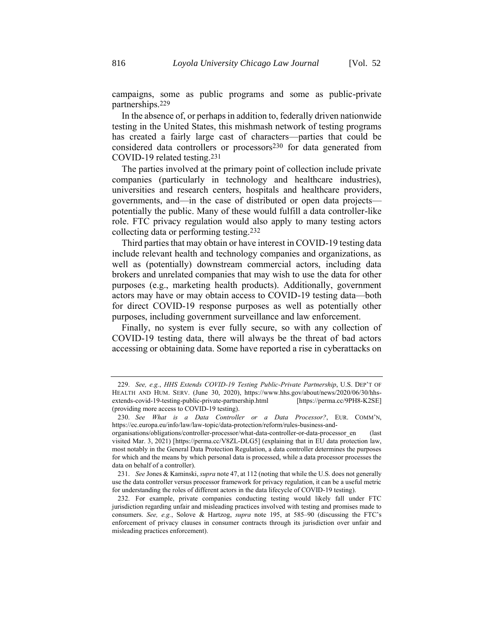campaigns, some as public programs and some as public-private partnerships.229

In the absence of, or perhaps in addition to, federally driven nationwide testing in the United States, this mishmash network of testing programs has created a fairly large cast of characters—parties that could be considered data controllers or processors230 for data generated from COVID-19 related testing.231

The parties involved at the primary point of collection include private companies (particularly in technology and healthcare industries), universities and research centers, hospitals and healthcare providers, governments, and—in the case of distributed or open data projects potentially the public. Many of these would fulfill a data controller-like role. FTC privacy regulation would also apply to many testing actors collecting data or performing testing.232

Third parties that may obtain or have interest in COVID-19 testing data include relevant health and technology companies and organizations, as well as (potentially) downstream commercial actors, including data brokers and unrelated companies that may wish to use the data for other purposes (e.g., marketing health products). Additionally, government actors may have or may obtain access to COVID-19 testing data—both for direct COVID-19 response purposes as well as potentially other purposes, including government surveillance and law enforcement.

Finally, no system is ever fully secure, so with any collection of COVID-19 testing data, there will always be the threat of bad actors accessing or obtaining data. Some have reported a rise in cyberattacks on

<sup>229.</sup> *See, e.g.*, *HHS Extends COVID-19 Testing Public-Private Partnership*, U.S. DEP'T OF HEALTH AND HUM. SERV. (June 30, 2020), https://www.hhs.gov/about/news/2020/06/30/hhsextends-covid-19-testing-public-private-partnership.html [https://perma.cc/9PH8-K2SE] (providing more access to COVID-19 testing).

<sup>230.</sup> *See What is a Data Controller or a Data Processor?*, EUR. COMM'N, https://ec.europa.eu/info/law/law-topic/data-protection/reform/rules-business-and-

organisations/obligations/controller-processor/what-data-controller-or-data-processor\_en (last visited Mar. 3, 2021) [https://perma.cc/V8ZL-DLG5] (explaining that in EU data protection law, most notably in the General Data Protection Regulation, a data controller determines the purposes for which and the means by which personal data is processed, while a data processor processes the data on behalf of a controller).

<sup>231.</sup> *See* Jones & Kaminski, *supra* not[e 47,](#page-13-0) at 112 (noting that while the U.S. does not generally use the data controller versus processor framework for privacy regulation, it can be a useful metric for understanding the roles of different actors in the data lifecycle of COVID-19 testing).

<sup>232.</sup> For example, private companies conducting testing would likely fall under FTC jurisdiction regarding unfair and misleading practices involved with testing and promises made to consumers. *See, e.g.*, Solove & Hartzog, *supra* note [195,](#page-45-0) at 585–90 (discussing the FTC's enforcement of privacy clauses in consumer contracts through its jurisdiction over unfair and misleading practices enforcement).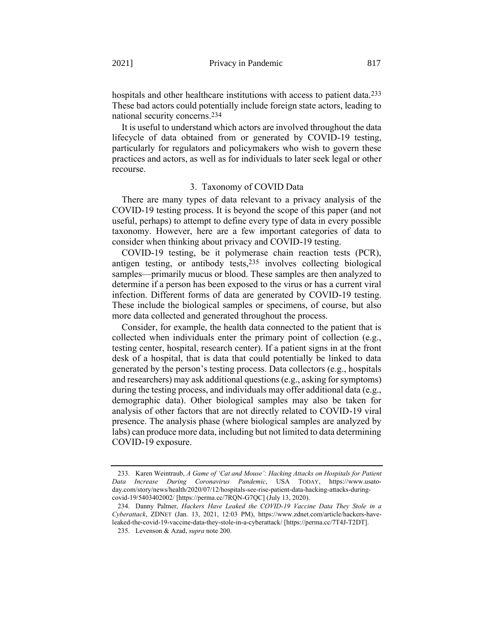hospitals and other healthcare institutions with access to patient data.<sup>233</sup> These bad actors could potentially include foreign state actors, leading to national security concerns.234

It is useful to understand which actors are involved throughout the data lifecycle of data obtained from or generated by COVID-19 testing, particularly for regulators and policymakers who wish to govern these practices and actors, as well as for individuals to later seek legal or other recourse.

#### 3. Taxonomy of COVID Data

There are many types of data relevant to a privacy analysis of the COVID-19 testing process. It is beyond the scope of this paper (and not useful, perhaps) to attempt to define every type of data in every possible taxonomy. However, here are a few important categories of data to consider when thinking about privacy and COVID-19 testing.

COVID-19 testing, be it polymerase chain reaction tests (PCR), antigen testing, or antibody tests,235 involves collecting biological samples—primarily mucus or blood. These samples are then analyzed to determine if a person has been exposed to the virus or has a current viral infection. Different forms of data are generated by COVID-19 testing. These include the biological samples or specimens, of course, but also more data collected and generated throughout the process.

Consider, for example, the health data connected to the patient that is collected when individuals enter the primary point of collection (e.g., testing center, hospital, research center). If a patient signs in at the front desk of a hospital, that is data that could potentially be linked to data generated by the person's testing process. Data collectors (e.g., hospitals and researchers) may ask additional questions (e.g., asking for symptoms) during the testing process, and individuals may offer additional data (e.g., demographic data). Other biological samples may also be taken for analysis of other factors that are not directly related to COVID-19 viral presence. The analysis phase (where biological samples are analyzed by labs) can produce more data, including but not limited to data determining COVID-19 exposure.

<sup>233.</sup> Karen Weintraub, *A Game of 'Cat and Mouse': Hacking Attacks on Hospitals for Patient Data Increase During Coronavirus Pandemic*, USA TODAY, https://www.usatoday.com/story/news/health/2020/07/12/hospitals-see-rise-patient-data-hacking-attacks-duringcovid-19/5403402002/ [https://perma.cc/7RQN-G7QC] (July 13, 2020).

<sup>234.</sup> Danny Palmer, *Hackers Have Leaked the COVID-19 Vaccine Data They Stole in a Cyberattack*, ZDNET (Jan. 13, 2021, 12:03 PM), https://www.zdnet.com/article/hackers-haveleaked-the-covid-19-vaccine-data-they-stole-in-a-cyberattack/ [https://perma.cc/7T4J-T2DT].

<sup>235.</sup> Levenson & Azad, *supra* not[e 200.](#page-46-0)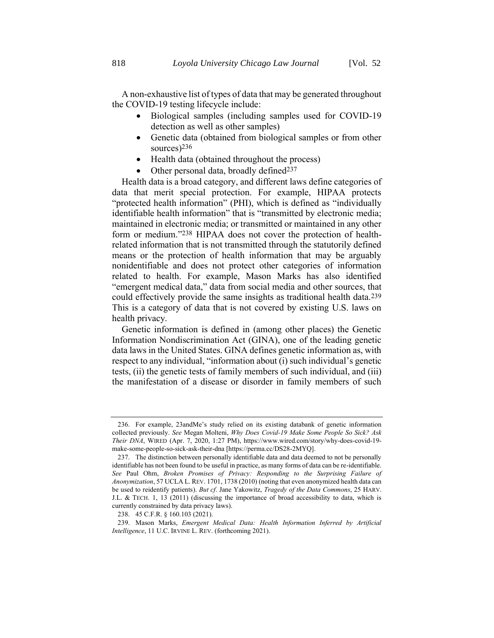- Biological samples (including samples used for COVID-19 detection as well as other samples)
- <span id="page-52-0"></span>• Genetic data (obtained from biological samples or from other sources)236
- Health data (obtained throughout the process)
- Other personal data, broadly defined<sup>237</sup>

Health data is a broad category, and different laws define categories of data that merit special protection. For example, HIPAA protects "protected health information" (PHI), which is defined as "individually identifiable health information" that is "transmitted by electronic media; maintained in electronic media; or transmitted or maintained in any other form or medium."238 HIPAA does not cover the protection of healthrelated information that is not transmitted through the statutorily defined means or the protection of health information that may be arguably nonidentifiable and does not protect other categories of information related to health. For example, Mason Marks has also identified "emergent medical data," data from social media and other sources, that could effectively provide the same insights as traditional health data.239 This is a category of data that is not covered by existing U.S. laws on health privacy.

Genetic information is defined in (among other places) the Genetic Information Nondiscrimination Act (GINA), one of the leading genetic data laws in the United States. GINA defines genetic information as, with respect to any individual, "information about (i) such individual's genetic tests, (ii) the genetic tests of family members of such individual, and (iii) the manifestation of a disease or disorder in family members of such

<sup>236.</sup> For example, 23andMe's study relied on its existing databank of genetic information collected previously. *See* Megan Molteni, *Why Does Covid-19 Make Some People So Sick? Ask Their DNA*, WIRED (Apr. 7, 2020, 1:27 PM), https://www.wired.com/story/why-does-covid-19 make-some-people-so-sick-ask-their-dna [https://perma.cc/DS28-2MYQ].

<sup>237.</sup> The distinction between personally identifiable data and data deemed to not be personally identifiable has not been found to be useful in practice, as many forms of data can be re-identifiable. *See* Paul Ohm, *Broken Promises of Privacy: Responding to the Surprising Failure of Anonymization*, 57 UCLA L. REV. 1701, 1738 (2010) (noting that even anonymized health data can be used to reidentify patients). *But cf*. Jane Yakowitz, *Tragedy of the Data Commons*, 25 HARV. J.L. & TECH. 1, 13 (2011) (discussing the importance of broad accessibility to data, which is currently constrained by data privacy laws).

<sup>238.</sup> 45 C.F.R. § 160.103 (2021).

<sup>239.</sup> Mason Marks, *Emergent Medical Data: Health Information Inferred by Artificial Intelligence*, 11 U.C. IRVINE L. REV. (forthcoming 2021).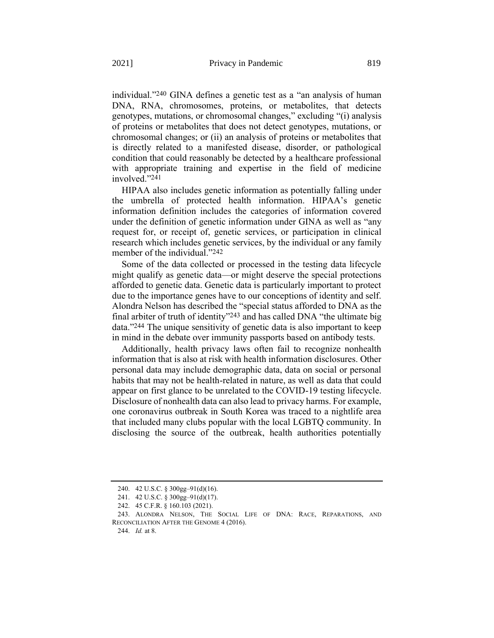individual."240 GINA defines a genetic test as a "an analysis of human DNA, RNA, chromosomes, proteins, or metabolites, that detects genotypes, mutations, or chromosomal changes," excluding "(i) analysis of proteins or metabolites that does not detect genotypes, mutations, or chromosomal changes; or (ii) an analysis of proteins or metabolites that is directly related to a manifested disease, disorder, or pathological condition that could reasonably be detected by a healthcare professional with appropriate training and expertise in the field of medicine involved."241

HIPAA also includes genetic information as potentially falling under the umbrella of protected health information. HIPAA's genetic information definition includes the categories of information covered under the definition of genetic information under GINA as well as "any request for, or receipt of, [genetic services,](https://www.law.cornell.edu/definitions/index.php?width=840&height=800&iframe=true&def_id=9ef904ba5aec3c36799fda3ac822b761&term_occur=999&term_src=Title:45:Chapter:A:Subchapter:C:Part:160:Subpart:A:160.103) or participation in clinical research which includes [genetic services,](https://www.law.cornell.edu/definitions/index.php?width=840&height=800&iframe=true&def_id=9ef904ba5aec3c36799fda3ac822b761&term_occur=999&term_src=Title:45:Chapter:A:Subchapter:C:Part:160:Subpart:A:160.103) by the [individual](https://www.law.cornell.edu/definitions/index.php?width=840&height=800&iframe=true&def_id=8490b40f8ddb1b658047bf74d1757b07&term_occur=999&term_src=Title:45:Chapter:A:Subchapter:C:Part:160:Subpart:A:160.103) or any [family](https://www.law.cornell.edu/definitions/index.php?width=840&height=800&iframe=true&def_id=3b3847ea5f160fb0d28731e4553f9d74&term_occur=999&term_src=Title:45:Chapter:A:Subchapter:C:Part:160:Subpart:A:160.103)  [member](https://www.law.cornell.edu/definitions/index.php?width=840&height=800&iframe=true&def_id=3b3847ea5f160fb0d28731e4553f9d74&term_occur=999&term_src=Title:45:Chapter:A:Subchapter:C:Part:160:Subpart:A:160.103) of the [individual.](https://www.law.cornell.edu/definitions/index.php?width=840&height=800&iframe=true&def_id=8490b40f8ddb1b658047bf74d1757b07&term_occur=999&term_src=Title:45:Chapter:A:Subchapter:C:Part:160:Subpart:A:160.103)"242

Some of the data collected or processed in the testing data lifecycle might qualify as genetic data—or might deserve the special protections afforded to genetic data. Genetic data is particularly important to protect due to the importance genes have to our conceptions of identity and self. Alondra Nelson has described the "special status afforded to DNA as the final arbiter of truth of identity"<sup>243</sup> and has called DNA "the ultimate big data."244 The unique sensitivity of genetic data is also important to keep in mind in the debate over immunity passports based on antibody tests.

Additionally, health privacy laws often fail to recognize nonhealth information that is also at risk with health information disclosures. Other personal data may include demographic data, data on social or personal habits that may not be health-related in nature, as well as data that could appear on first glance to be unrelated to the COVID-19 testing lifecycle. Disclosure of nonhealth data can also lead to privacy harms. For example, one coronavirus outbreak in South Korea was traced to a nightlife area that included many clubs popular with the local LGBTQ community. In disclosing the source of the outbreak, health authorities potentially

<sup>240.</sup> 42 U.S.C. § 300gg–91(d)(16).

<sup>241.</sup> 42 U.S.C. § 300gg–91(d)(17).

<sup>242.</sup> 45 C.F.R. § 160.103 (2021).

<sup>243.</sup> ALONDRA NELSON, THE SOCIAL LIFE OF DNA: RACE, REPARATIONS, AND RECONCILIATION AFTER THE GENOME 4 (2016).

<sup>244.</sup> *Id.* at 8.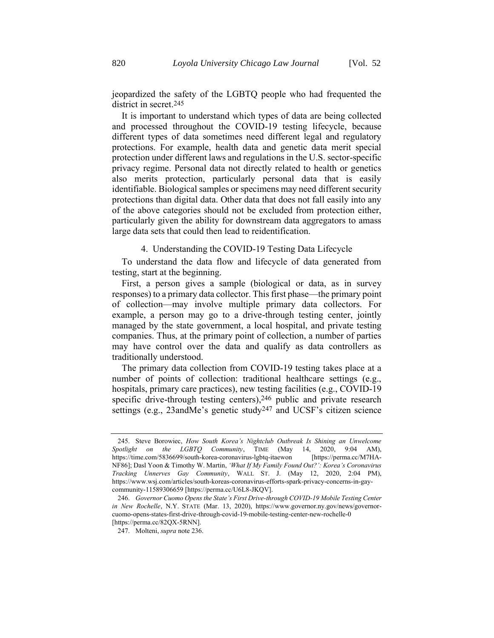jeopardized the safety of the LGBTQ people who had frequented the district in secret.245

It is important to understand which types of data are being collected and processed throughout the COVID-19 testing lifecycle, because different types of data sometimes need different legal and regulatory protections. For example, health data and genetic data merit special protection under different laws and regulations in the U.S. sector-specific privacy regime. Personal data not directly related to health or genetics also merits protection, particularly personal data that is easily identifiable. Biological samples or specimens may need different security protections than digital data. Other data that does not fall easily into any of the above categories should not be excluded from protection either, particularly given the ability for downstream data aggregators to amass large data sets that could then lead to reidentification.

#### 4. Understanding the COVID-19 Testing Data Lifecycle

To understand the data flow and lifecycle of data generated from testing, start at the beginning.

First, a person gives a sample (biological or data, as in survey responses) to a primary data collector. This first phase—the primary point of collection—may involve multiple primary data collectors. For example, a person may go to a drive-through testing center, jointly managed by the state government, a local hospital, and private testing companies. Thus, at the primary point of collection, a number of parties may have control over the data and qualify as data controllers as traditionally understood.

The primary data collection from COVID-19 testing takes place at a number of points of collection: traditional healthcare settings (e.g., hospitals, primary care practices), new testing facilities (e.g., COVID-19 specific drive-through testing centers), 246 public and private research settings (e.g., 23andMe's genetic study247 and UCSF's citizen science

<sup>245.</sup> Steve Borowiec, *How South Korea's Nightclub Outbreak Is Shining an Unwelcome Spotlight on the LGBTQ Community*, TIME (May 14, 2020, 9:04 AM), https://time.com/5836699/south-korea-coronavirus-lgbtq-itaewon [https://perma.cc/M7HA-NF86]; Dasl Yoon & Timothy W. Martin, *'What If My Family Found Out?': Korea's Coronavirus Tracking Unnerves Gay Community*, WALL ST. J. (May 12, 2020, 2:04 PM), https://www.wsj.com/articles/south-koreas-coronavirus-efforts-spark-privacy-concerns-in-gaycommunity-11589306659 [https://perma.cc/U6L8-JKQV].

<sup>246.</sup> *Governor Cuomo Opens the State's First Drive-through COVID-19 Mobile Testing Center in New Rochelle*, N.Y. STATE (Mar. 13, 2020), https://www.governor.ny.gov/news/governorcuomo-opens-states-first-drive-through-covid-19-mobile-testing-center-new-rochelle-0 [https://perma.cc/82QX-5RNN].

<sup>247.</sup> Molteni, *supra* not[e 236.](#page-52-0)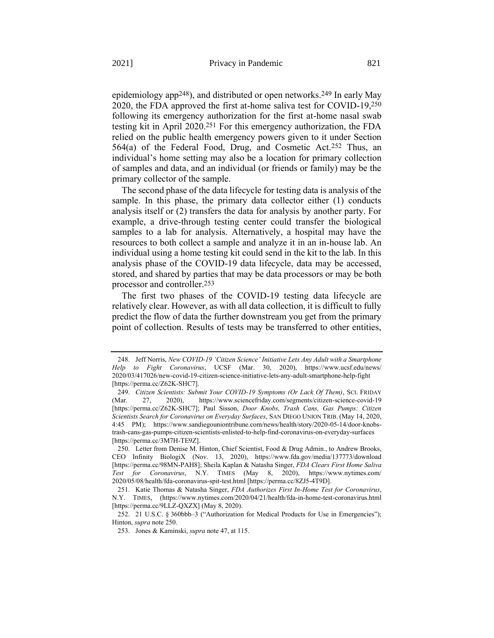<span id="page-55-0"></span>epidemiology app248), and distributed or open networks.249 In early May 2020, the FDA approved the first at-home saliva test for COVID-19,250 following its emergency authorization for the first at-home nasal swab testing kit in April 2020.251 For this emergency authorization, the FDA relied on the public health emergency powers given to it under Section 564(a) of the Federal Food, Drug, and Cosmetic Act.252 Thus, an individual's home setting may also be a location for primary collection of samples and data, and an individual (or friends or family) may be the primary collector of the sample.

The second phase of the data lifecycle for testing data is analysis of the sample. In this phase, the primary data collector either (1) conducts analysis itself or (2) transfers the data for analysis by another party. For example, a drive-through testing center could transfer the biological samples to a lab for analysis. Alternatively, a hospital may have the resources to both collect a sample and analyze it in an in-house lab. An individual using a home testing kit could send in the kit to the lab. In this analysis phase of the COVID-19 data lifecycle, data may be accessed, stored, and shared by parties that may be data processors or may be both processor and controller.253

The first two phases of the COVID-19 testing data lifecycle are relatively clear. However, as with all data collection, it is difficult to fully predict the flow of data the further downstream you get from the primary point of collection. Results of tests may be transferred to other entities,

<sup>248.</sup> Jeff Norris, *New COVID-19 'Citizen Science' Initiative Lets Any Adult with a Smartphone Help to Fight Coronavirus*, UCSF (Mar. 30, 2020), https://www.ucsf.edu/news/ 2020/03/417026/new-covid-19-citizen-science-initiative-lets-any-adult-smartphone-help-fight [https://perma.cc/Z62K-SHC7].

<sup>249.</sup> *Citizen Scientists: Submit Your COVID-19 Symptoms (Or Lack Of Them)*, SCI. FRIDAY (Mar. 27, 2020), https://www.sciencefriday.com/segments/citizen-science-covid-19 [https://perma.cc/Z62K-SHC7]; Paul Sisson, *Door Knobs, Trash Cans, Gas Pumps: Citizen Scientists Search for Coronavirus on Everyday Surfaces*, SAN DIEGO UNION TRIB. (May 14, 2020, 4:45 PM); https://www.sandiegouniontribune.com/news/health/story/2020-05-14/door-knobstrash-cans-gas-pumps-citizen-scientists-enlisted-to-help-find-coronavirus-on-everyday-surfaces [https://perma.cc/3M7H-TE9Z].

<sup>250.</sup> Letter from Denise M. Hinton, Chief Scientist, Food & Drug Admin., to Andrew Brooks, CEO Infinity BiologiX (Nov. 13, 2020), https://www.fda.gov/media/137773/download [https://perma.cc/98MN-PAH8]; Sheila Kaplan & Natasha Singer, *FDA Clears First Home Saliva Test for Coronavirus*, N.Y. TIMES (May 8, 2020), https://www.nytimes.com/ 2020/05/08/health/fda-coronavirus-spit-test.html [https://perma.cc/8ZJ5-4T9D].

<sup>251.</sup> Katie Thomas & Natasha Singer, *FDA Authorizes First In-Home Test for Coronavirus*, N.Y. TIMES, (https://www.nytimes.com/2020/04/21/health/fda-in-home-test-coronavirus.html [https://perma.cc/9LLZ-QXZX] (May 8, 2020).

<sup>252.</sup> 21 U.S.C. § 360bbb–3 ("Authorization for Medical Products for Use in Emergencies"); Hinton, *supra* note [250.](#page-55-0)

<sup>253.</sup> Jones & Kaminski, *supra* not[e 47,](#page-13-0) at 115.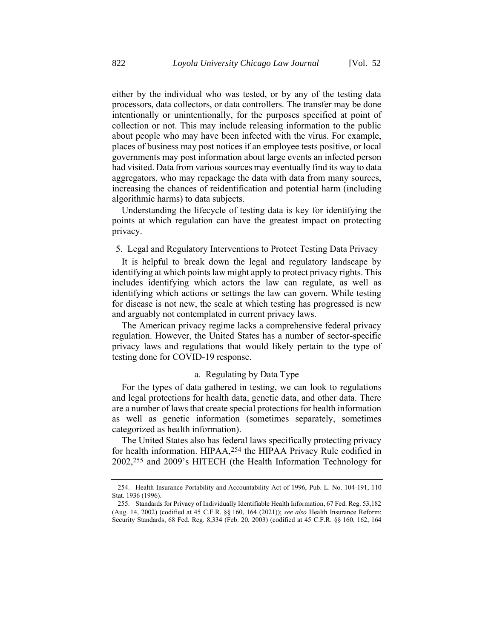either by the individual who was tested, or by any of the testing data processors, data collectors, or data controllers. The transfer may be done intentionally or unintentionally, for the purposes specified at point of collection or not. This may include releasing information to the public about people who may have been infected with the virus. For example, places of business may post notices if an employee tests positive, or local governments may post information about large events an infected person had visited. Data from various sources may eventually find its way to data aggregators, who may repackage the data with data from many sources, increasing the chances of reidentification and potential harm (including algorithmic harms) to data subjects.

Understanding the lifecycle of testing data is key for identifying the points at which regulation can have the greatest impact on protecting privacy.

#### 5. Legal and Regulatory Interventions to Protect Testing Data Privacy

It is helpful to break down the legal and regulatory landscape by identifying at which points law might apply to protect privacy rights. This includes identifying which actors the law can regulate, as well as identifying which actions or settings the law can govern. While testing for disease is not new, the scale at which testing has progressed is new and arguably not contemplated in current privacy laws.

The American privacy regime lacks a comprehensive federal privacy regulation. However, the United States has a number of sector-specific privacy laws and regulations that would likely pertain to the type of testing done for COVID-19 response.

## a. Regulating by Data Type

For the types of data gathered in testing, we can look to regulations and legal protections for health data, genetic data, and other data. There are a number of laws that create special protections for health information as well as genetic information (sometimes separately, sometimes categorized as health information).

The United States also has federal laws specifically protecting privacy for health information. HIPAA,254 the HIPAA Privacy Rule codified in 2002,255 and 2009's HITECH (the Health Information Technology for

<sup>254.</sup> Health Insurance Portability and Accountability Act of 1996, Pub. L. No. 104-191, 110 Stat. 1936 (1996).

<sup>255.</sup> Standards for Privacy of Individually Identifiable Health Information, 67 Fed. Reg. 53,182 (Aug. 14, 2002) (codified at 45 C.F.R. §§ 160, 164 (2021)); *see also* Health Insurance Reform: Security Standards, 68 Fed. Reg. 8,334 (Feb. 20, 2003) (codified at 45 C.F.R. §§ 160, 162, 164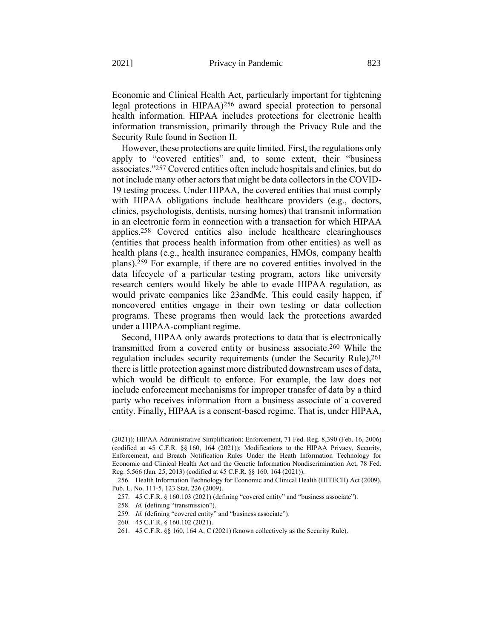Economic and Clinical Health Act, particularly important for tightening legal protections in HIPAA)256 award special protection to personal health information. HIPAA includes protections for electronic health information transmission, primarily through the Privacy Rule and the Security Rule found in Section II.

However, these protections are quite limited. First, the regulations only apply to "covered entities" and, to some extent, their "business associates."257 Covered entities often include hospitals and clinics, but do not include many other actors that might be data collectors in the COVID-19 testing process. Under HIPAA, the covered entities that must comply with HIPAA obligations include healthcare providers (e.g., doctors, clinics, psychologists, dentists, nursing homes) that transmit information in an electronic form in connection with a transaction for which HIPAA applies.258 Covered entities also include healthcare clearinghouses (entities that process health information from other entities) as well as health plans (e.g., health insurance companies, HMOs, company health plans).259 For example, if there are no covered entities involved in the data lifecycle of a particular testing program, actors like university research centers would likely be able to evade HIPAA regulation, as would private companies like 23andMe. This could easily happen, if noncovered entities engage in their own testing or data collection programs. These programs then would lack the protections awarded under a HIPAA-compliant regime.

Second, HIPAA only awards protections to data that is electronically transmitted from a covered entity or business associate. 260 While the regulation includes security requirements (under the Security Rule), 261 there is little protection against more distributed downstream uses of data, which would be difficult to enforce. For example, the law does not include enforcement mechanisms for improper transfer of data by a third party who receives information from a business associate of a covered entity. Finally, HIPAA is a consent-based regime. That is, under HIPAA,

<sup>(2021));</sup> HIPAA Administrative Simplification: Enforcement, 71 Fed. Reg. 8,390 (Feb. 16, 2006) (codified at 45 C.F.R. §§ 160, 164 (2021)); Modifications to the HIPAA Privacy, Security, Enforcement, and Breach Notification Rules Under the Heath Information Technology for Economic and Clinical Health Act and the Genetic Information Nondiscrimination Act, 78 Fed. Reg. 5,566 (Jan. 25, 2013) (codified at 45 C.F.R. §§ 160, 164 (2021)).

<sup>256.</sup> Health Information Technology for Economic and Clinical Health (HITECH) Act (2009), Pub. L. No. 111-5, 123 Stat. 226 (2009).

<sup>257.</sup> 45 C.F.R. § 160.103 (2021) (defining "covered entity" and "business associate").

<sup>258.</sup> *Id.* (defining "transmission").

<sup>259.</sup> *Id.* (defining "covered entity" and "business associate").

<sup>260.</sup> 45 C.F.R. § 160.102 (2021).

<sup>261.</sup> 45 C.F.R. §§ 160, 164 A, C (2021) (known collectively as the Security Rule).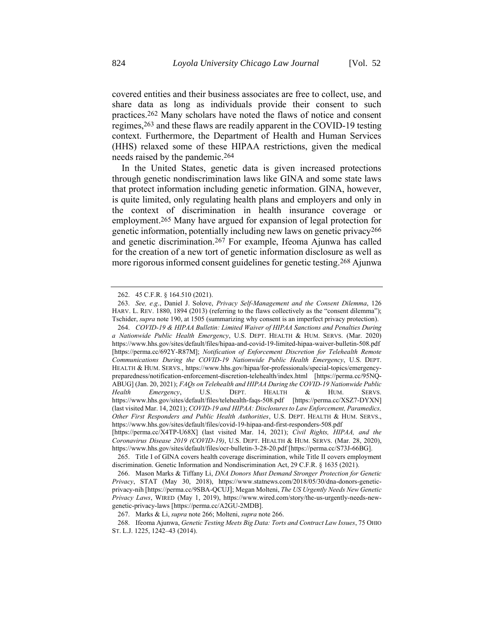<span id="page-58-1"></span>covered entities and their business associates are free to collect, use, and share data as long as individuals provide their consent to such practices.262 Many scholars have noted the flaws of notice and consent regimes,263 and these flaws are readily apparent in the COVID-19 testing context. Furthermore, the Department of Health and Human Services (HHS) relaxed some of these HIPAA restrictions, given the medical needs raised by the pandemic.264

<span id="page-58-2"></span>In the United States, genetic data is given increased protections through genetic nondiscrimination laws like GINA and some state laws that protect information including genetic information. GINA, however, is quite limited, only regulating health plans and employers and only in the context of discrimination in health insurance coverage or employment. 265 Many have argued for expansion of legal protection for genetic information, potentially including new laws on genetic privacy266 and genetic discrimination.267 For example, Ifeoma Ajunwa has called for the creation of a new tort of genetic information disclosure as well as more rigorous informed consent guidelines for genetic testing.268 Ajunwa

<span id="page-58-0"></span><sup>262.</sup> 45 C.F.R. § 164.510 (2021).

<sup>263.</sup> *See, e.g*., Daniel J. Solove, *Privacy Self-Management and the Consent Dilemma*, 126 HARV. L. REV. 1880, 1894 (2013) (referring to the flaws collectively as the "consent dilemma"); Tschider, *supra* not[e 190,](#page-44-0) at 1505 (summarizing why consent is an imperfect privacy protection).

<sup>264.</sup> *COVID-19 & HIPAA Bulletin: Limited Waiver of HIPAA Sanctions and Penalties During a Nationwide Public Health Emergency*, U.S. DEPT. HEALTH & HUM. SERVS. (Mar. 2020) https://www.hhs.gov/sites/default/files/hipaa-and-covid-19-limited-hipaa-waiver-bulletin-508.pdf [https://perma.cc/692Y-R87M]; *Notification of Enforcement Discretion for Telehealth Remote Communications During the COVID-19 Nationwide Public Health Emergency*, U.S. DEPT. HEALTH & HUM. SERVS., https://www.hhs.gov/hipaa/for-professionals/special-topics/emergencypreparedness/notification-enforcement-discretion-telehealth/index.html [https://perma.cc/95NQ-ABUG] (Jan. 20, 2021); *FAQs on Telehealth and HIPAA During the COVID-19 Nationwide Public Health Emergency*, U.S. DEPT. HEALTH & HUM. SERVS. https://www.hhs.gov/sites/default/files/telehealth-faqs-508.pdf [https://perma.cc/XSZ7-DYXN] (last visited Mar. 14, 2021); *COVID-19 and HIPAA: Disclosures to Law Enforcement, Paramedics, Other First Responders and Public Health Authorities*, U.S. DEPT. HEALTH & HUM. SERVS., https://www.hhs.gov/sites/default/files/covid-19-hipaa-and-first-responders-508.pdf [https://perma.cc/X4TP-U68X] (last visited Mar. 14, 2021); *Civil Rights, HIPAA, and the* 

*Coronavirus Disease 2019 (COVID-19)*, U.S. DEPT. HEALTH & HUM. SERVS. (Mar. 28, 2020), https://www.hhs.gov/sites/default/files/ocr-bulletin-3-28-20.pdf [https://perma.cc/S73J-66BG].

<sup>265.</sup> Title I of GINA covers health coverage discrimination, while Title II covers employment discrimination. Genetic Information and Nondiscrimination Act, 29 C.F.R. § 1635 (2021).

<sup>266.</sup> Mason Marks & Tiffany Li, *DNA Donors Must Demand Stronger Protection for Genetic Privacy*, STAT (May 30, 2018), https://www.statnews.com/2018/05/30/dna-donors-geneticprivacy-nih [https://perma.cc/9SBA-QCUJ]; Megan Molteni, *The US Urgently Needs New Genetic Privacy Laws*, WIRED (May 1, 2019), https://www.wired.com/story/the-us-urgently-needs-newgenetic-privacy-laws [https://perma.cc/A2GU-2MDB].

<sup>267.</sup> Marks & Li, *supra* not[e 266;](#page-58-0) Molteni, *supra* not[e 266.](#page-58-0)

<sup>268.</sup> Ifeoma Ajunwa, *Genetic Testing Meets Big Data: Torts and Contract Law Issues*, 75 OHIO ST. L.J. 1225, 1242–43 (2014).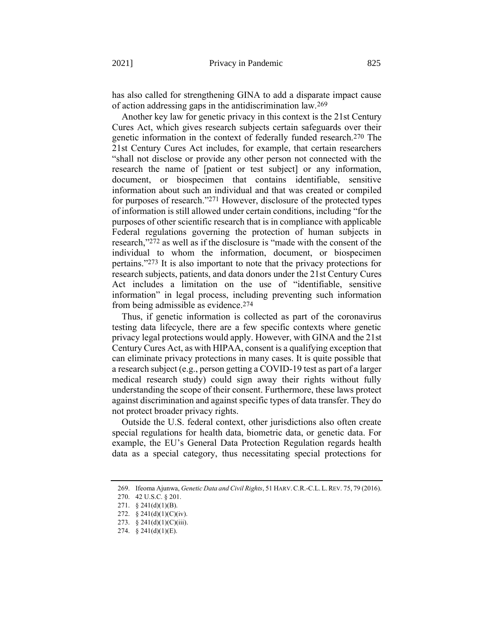<span id="page-59-0"></span>has also called for strengthening GINA to add a disparate impact cause of action addressing gaps in the antidiscrimination law.269

Another key law for genetic privacy in this context is the 21st Century Cures Act, which gives research subjects certain safeguards over their genetic information in the context of federally funded research.270 The 21st Century Cures Act includes, for example, that certain researchers "shall not disclose or provide any other person not connected with the research the name of [patient or test subject] or any information, document, or biospecimen that contains identifiable, sensitive information about such an individual and that was created or compiled for purposes of research."271 However, disclosure of the protected types of information is still allowed under certain conditions, including "for the purposes of other scientific research that is in compliance with applicable Federal regulations governing the protection of human subjects in research,"272 as well as if the disclosure is "made with the consent of the individual to whom the information, document, or biospecimen pertains."273 It is also important to note that the privacy protections for research subjects, patients, and data donors under the 21st Century Cures Act includes a limitation on the use of "identifiable, sensitive information" in legal process, including preventing such information from being admissible as evidence.274

Thus, if genetic information is collected as part of the coronavirus testing data lifecycle, there are a few specific contexts where genetic privacy legal protections would apply. However, with GINA and the 21st Century Cures Act, as with HIPAA, consent is a qualifying exception that can eliminate privacy protections in many cases. It is quite possible that a research subject (e.g., person getting a COVID-19 test as part of a larger medical research study) could sign away their rights without fully understanding the scope of their consent. Furthermore, these laws protect against discrimination and against specific types of data transfer. They do not protect broader privacy rights.

Outside the U.S. federal context, other jurisdictions also often create special regulations for health data, biometric data, or genetic data. For example, the EU's General Data Protection Regulation regards health data as a special category, thus necessitating special protections for

<sup>269.</sup> Ifeoma Ajunwa, *Genetic Data and Civil Rights*, 51 HARV.C.R.-C.L. L.REV. 75, 79 (2016).

<sup>270.</sup> 42 U.S.C. § 201.

<sup>271.</sup> § 241(d)(1)(B).

<sup>272. § 241(</sup>d)(1)(C)(iv).

<sup>273. § 241(</sup>d)(1)(C)(iii).

<sup>274.</sup> § 241(d)(1)(E).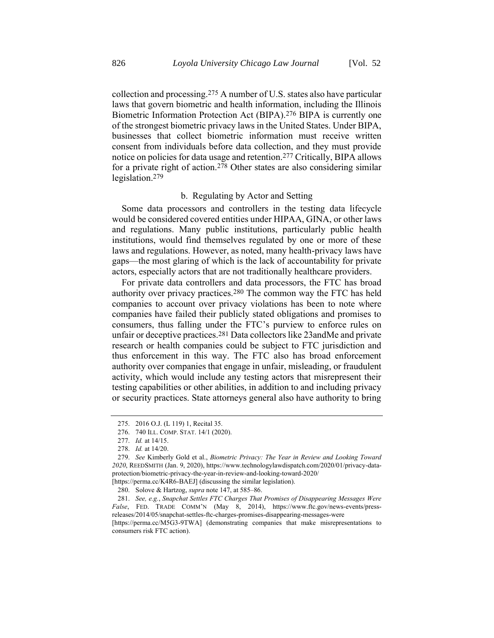collection and processing.275 A number of U.S. states also have particular laws that govern biometric and health information, including the Illinois Biometric Information Protection Act (BIPA).276 BIPA is currently one of the strongest biometric privacy laws in the United States. Under BIPA, businesses that collect biometric information must receive written consent from individuals before data collection, and they must provide notice on policies for data usage and retention.277 Critically, BIPA allows for a private right of action.<sup>278</sup> Other states are also considering similar legislation.279

## b. Regulating by Actor and Setting

Some data processors and controllers in the testing data lifecycle would be considered covered entities under HIPAA, GINA, or other laws and regulations. Many public institutions, particularly public health institutions, would find themselves regulated by one or more of these laws and regulations. However, as noted, many health-privacy laws have gaps—the most glaring of which is the lack of accountability for private actors, especially actors that are not traditionally healthcare providers.

For private data controllers and data processors, the FTC has broad authority over privacy practices.280 The common way the FTC has held companies to account over privacy violations has been to note where companies have failed their publicly stated obligations and promises to consumers, thus falling under the FTC's purview to enforce rules on unfair or deceptive practices.281 Data collectors like 23andMe and private research or health companies could be subject to FTC jurisdiction and thus enforcement in this way. The FTC also has broad enforcement authority over companies that engage in unfair, misleading, or fraudulent activity, which would include any testing actors that misrepresent their testing capabilities or other abilities, in addition to and including privacy or security practices. State attorneys general also have authority to bring

<sup>275.</sup> 2016 O.J. (L 119) 1, Recital 35.

<sup>276.</sup> 740 ILL. COMP. STAT. 14/1 (2020).

<sup>277.</sup> *Id.* at 14/15.

<sup>278.</sup> *Id.* at 14/20.

<sup>279.</sup> *See* Kimberly Gold et al., *Biometric Privacy: The Year in Review and Looking Toward 2020*, REEDSMITH (Jan. 9, 2020), https://www.technologylawdispatch.com/2020/01/privacy-dataprotection/biometric-privacy-the-year-in-review-and-looking-toward-2020/

<sup>[</sup>https://perma.cc/K4R6-BAEJ] (discussing the similar legislation).

<sup>280.</sup> Solove & Hartzog, *supra* not[e 147,](#page-35-0) at 585–86.

<sup>281.</sup> *See, e.g.*, *Snapchat Settles FTC Charges That Promises of Disappearing Messages Were False*, FED. TRADE COMM'N (May 8, 2014), https://www.ftc.gov/news-events/pressreleases/2014/05/snapchat-settles-ftc-charges-promises-disappearing-messages-were

<sup>[</sup>https://perma.cc/M5G3-9TWA] (demonstrating companies that make misrepresentations to consumers risk FTC action).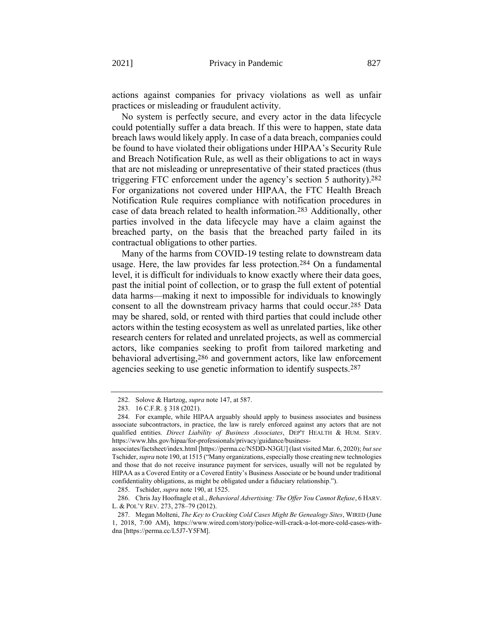actions against companies for privacy violations as well as unfair practices or misleading or fraudulent activity.

No system is perfectly secure, and every actor in the data lifecycle could potentially suffer a data breach. If this were to happen, state data breach laws would likely apply. In case of a data breach, companies could be found to have violated their obligations under HIPAA's Security Rule and Breach Notification Rule, as well as their obligations to act in ways that are not misleading or unrepresentative of their stated practices (thus triggering FTC enforcement under the agency's section 5 authority).282 For organizations not covered under HIPAA, the FTC Health Breach Notification Rule requires compliance with notification procedures in case of data breach related to health information.283 Additionally, other parties involved in the data lifecycle may have a claim against the breached party, on the basis that the breached party failed in its contractual obligations to other parties.

Many of the harms from COVID-19 testing relate to downstream data usage. Here, the law provides far less protection.284 On a fundamental level, it is difficult for individuals to know exactly where their data goes, past the initial point of collection, or to grasp the full extent of potential data harms—making it next to impossible for individuals to knowingly consent to all the downstream privacy harms that could occur.285 Data may be shared, sold, or rented with third parties that could include other actors within the testing ecosystem as well as unrelated parties, like other research centers for related and unrelated projects, as well as commercial actors, like companies seeking to profit from tailored marketing and behavioral advertising,286 and government actors, like law enforcement agencies seeking to use genetic information to identify suspects.287

<sup>282.</sup> Solove & Hartzog, *supra* not[e 147,](#page-35-0) at 587.

<sup>283.</sup> 16 C.F.R. § 318 (2021).

<sup>284.</sup> For example, while HIPAA arguably should apply to business associates and business associate subcontractors, in practice, the law is rarely enforced against any actors that are not qualified entities. *Direct Liability of Business Associates*, DEP'T HEALTH & HUM. SERV. https://www.hhs.gov/hipaa/for-professionals/privacy/guidance/business-

associates/factsheet/index.html [https://perma.cc/N5DD-N3GU] (last visited Mar. 6, 2020); *but see* Tschider, *supra* not[e 190](#page-44-0), at 1515 ("Many organizations, especially those creating new technologies and those that do not receive insurance payment for services, usually will not be regulated by HIPAA as a Covered Entity or a Covered Entity's Business Associate or be bound under traditional confidentiality obligations, as might be obligated under a fiduciary relationship.").

<sup>285.</sup> Tschider, *supra* not[e 190,](#page-44-0) at 1525.

<sup>286.</sup> Chris Jay Hoofnagle et al., *Behavioral Advertising: The Offer You Cannot Refuse*, 6 HARV. L. & POL'Y REV. 273, 278–79 (2012).

<sup>287.</sup> Megan Molteni, *The Key to Cracking Cold Cases Might Be Genealogy Sites*, WIRED (June 1, 2018, 7:00 AM), https://www.wired.com/story/police-will-crack-a-lot-more-cold-cases-withdna [https://perma.cc/L5J7-Y5FM].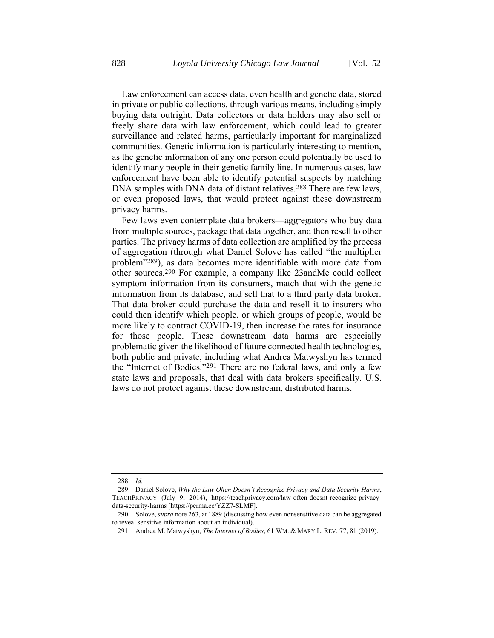Law enforcement can access data, even health and genetic data, stored in private or public collections, through various means, including simply buying data outright. Data collectors or data holders may also sell or freely share data with law enforcement, which could lead to greater surveillance and related harms, particularly important for marginalized communities. Genetic information is particularly interesting to mention, as the genetic information of any one person could potentially be used to identify many people in their genetic family line. In numerous cases, law enforcement have been able to identify potential suspects by matching DNA samples with DNA data of distant relatives.<sup>288</sup> There are few laws, or even proposed laws, that would protect against these downstream privacy harms.

Few laws even contemplate data brokers—aggregators who buy data from multiple sources, package that data together, and then resell to other parties. The privacy harms of data collection are amplified by the process of aggregation (through what Daniel Solove has called "the multiplier problem"289), as data becomes more identifiable with more data from other sources.290 For example, a company like 23andMe could collect symptom information from its consumers, match that with the genetic information from its database, and sell that to a third party data broker. That data broker could purchase the data and resell it to insurers who could then identify which people, or which groups of people, would be more likely to contract COVID-19, then increase the rates for insurance for those people. These downstream data harms are especially problematic given the likelihood of future connected health technologies, both public and private, including what Andrea Matwyshyn has termed the "Internet of Bodies."291 There are no federal laws, and only a few state laws and proposals, that deal with data brokers specifically. U.S. laws do not protect against these downstream, distributed harms.

<sup>288.</sup> *Id.*

<sup>289.</sup> Daniel Solove, *Why the Law Often Doesn't Recognize Privacy and Data Security Harms*, TEACHPRIVACY (July 9, 2014), https://teachprivacy.com/law-often-doesnt-recognize-privacydata-security-harms [https://perma.cc/YZZ7-SLMF].

<sup>290.</sup> Solove, *supra* not[e 263,](#page-58-1) at 1889 (discussing how even nonsensitive data can be aggregated to reveal sensitive information about an individual).

<sup>291.</sup> Andrea M. Matwyshyn, *The Internet of Bodies*, 61 WM. & MARY L. REV. 77, 81 (2019).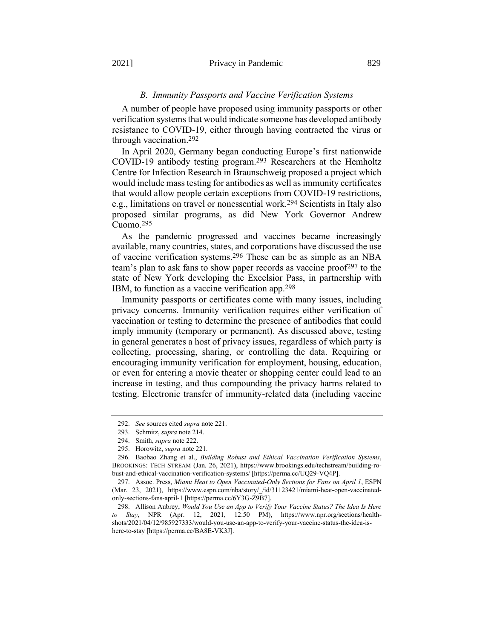#### *B. Immunity Passports and Vaccine Verification Systems*

A number of people have proposed using immunity passports or other verification systems that would indicate someone has developed antibody resistance to COVID-19, either through having contracted the virus or through vaccination. 292

In April 2020, Germany began conducting Europe's first nationwide COVID-19 antibody testing program.293 Researchers at the Hemholtz Centre for Infection Research in Braunschweig proposed a project which would include mass testing for antibodies as well as immunity certificates that would allow people certain exceptions from COVID-19 restrictions, e.g., limitations on travel or nonessential work.294 Scientists in Italy also proposed similar programs, as did New York Governor Andrew Cuomo.295

As the pandemic progressed and vaccines became increasingly available, many countries, states, and corporations have discussed the use of vaccine verification systems.296 These can be as simple as an NBA team's plan to ask fans to show paper records as vaccine proof<sup>297</sup> to the state of New York developing the Excelsior Pass, in partnership with IBM, to function as a vaccine verification app.298

Immunity passports or certificates come with many issues, including privacy concerns. Immunity verification requires either verification of vaccination or testing to determine the presence of antibodies that could imply immunity (temporary or permanent). As discussed above, testing in general generates a host of privacy issues, regardless of which party is collecting, processing, sharing, or controlling the data. Requiring or encouraging immunity verification for employment, housing, education, or even for entering a movie theater or shopping center could lead to an increase in testing, and thus compounding the privacy harms related to testing. Electronic transfer of immunity-related data (including vaccine

<sup>292.</sup> *See* sources cited *supra* not[e 221.](#page-48-0)

<sup>293.</sup> Schmitz, *supra* not[e 214.](#page-47-3)

<sup>294.</sup> Smith, *supra* not[e 222.](#page-49-0)

<sup>295.</sup> Horowitz, *supra* not[e 221.](#page-48-0)

<sup>296.</sup> Baobao Zhang et al., *Building Robust and Ethical Vaccination Verification Systems*, BROOKINGS: TECH STREAM (Jan. 26, 2021), https://www.brookings.edu/techstream/building-robust-and-ethical-vaccination-verification-systems/ [https://perma.cc/UQ29-VQ4P].

<sup>297.</sup> Assoc. Press, *Miami Heat to Open Vaccinated-Only Sections for Fans on April 1*, ESPN (Mar. 23, 2021), https://www.espn.com/nba/story/\_/id/31123421/miami-heat-open-vaccinatedonly-sections-fans-april-1 [https://perma.cc/6Y3G-Z9B7].

<sup>298.</sup> Allison Aubrey, *Would You Use an App to Verify Your Vaccine Status? The Idea Is Here to Stay*, NPR (Apr. 12, 2021, 12:50 PM), https://www.npr.org/sections/healthshots/2021/04/12/985927333/would-you-use-an-app-to-verify-your-vaccine-status-the-idea-ishere-to-stay [https://perma.cc/BA8E-VK3J].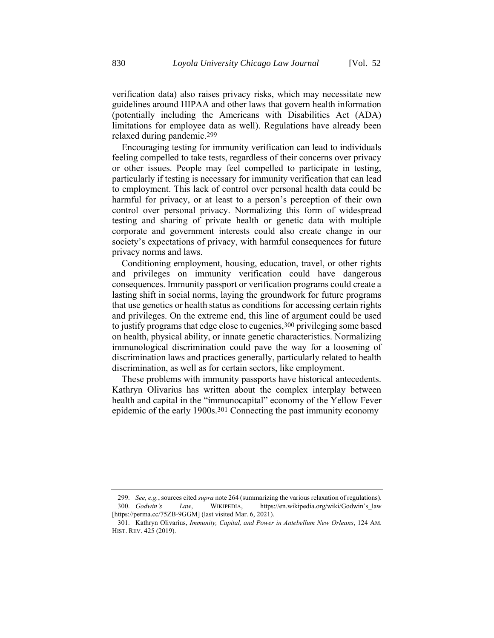verification data) also raises privacy risks, which may necessitate new guidelines around HIPAA and other laws that govern health information (potentially including the Americans with Disabilities Act (ADA) limitations for employee data as well). Regulations have already been relaxed during pandemic.299

Encouraging testing for immunity verification can lead to individuals feeling compelled to take tests, regardless of their concerns over privacy or other issues. People may feel compelled to participate in testing, particularly if testing is necessary for immunity verification that can lead to employment. This lack of control over personal health data could be harmful for privacy, or at least to a person's perception of their own control over personal privacy. Normalizing this form of widespread testing and sharing of private health or genetic data with multiple corporate and government interests could also create change in our society's expectations of privacy, with harmful consequences for future privacy norms and laws.

Conditioning employment, housing, education, travel, or other rights and privileges on immunity verification could have dangerous consequences. Immunity passport or verification programs could create a lasting shift in social norms, laying the groundwork for future programs that use genetics or health status as conditions for accessing certain rights and privileges. On the extreme end, this line of argument could be used to justify programs that edge close to eugenics, 300 privileging some based on health, physical ability, or innate genetic characteristics. Normalizing immunological discrimination could pave the way for a loosening of discrimination laws and practices generally, particularly related to health discrimination, as well as for certain sectors, like employment.

<span id="page-64-0"></span>These problems with immunity passports have historical antecedents. Kathryn Olivarius has written about the complex interplay between health and capital in the "immunocapital" economy of the Yellow Fever epidemic of the early 1900s.301 Connecting the past immunity economy

<sup>299.</sup> *See, e.g.*, sources cited *supra* not[e 264](#page-58-2) (summarizing the various relaxation of regulations). 300. *Godwin's Law*, WIKIPEDIA, https://en.wikipedia.org/wiki/Godwin's\_law [https://perma.cc/75ZB-9GGM] (last visited Mar. 6, 2021).

<sup>301.</sup> Kathryn Olivarius, *Immunity, Capital, and Power in Antebellum New Orleans*, 124 AM. HIST. REV. 425 (2019).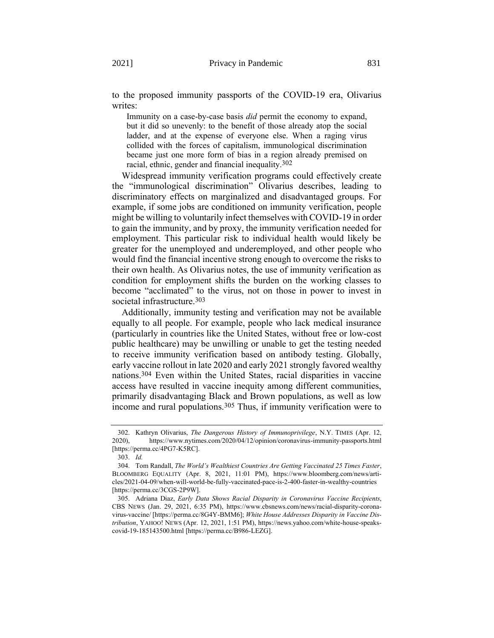to the proposed immunity passports of the COVID-19 era, Olivarius writes:

<span id="page-65-0"></span>Immunity on a case-by-case basis *did* permit the economy to expand, but it did so unevenly: to the benefit of those already atop the social ladder, and at the expense of everyone else. When a raging virus collided with the forces of capitalism, immunological discrimination became just one more form of bias in a region already premised on racial, ethnic, gender and financial inequality.302

Widespread immunity verification programs could effectively create the "immunological discrimination" Olivarius describes, leading to discriminatory effects on marginalized and disadvantaged groups. For example, if some jobs are conditioned on immunity verification, people might be willing to voluntarily infect themselves with COVID-19 in order to gain the immunity, and by proxy, the immunity verification needed for employment. This particular risk to individual health would likely be greater for the unemployed and underemployed, and other people who would find the financial incentive strong enough to overcome the risks to their own health. As Olivarius notes, the use of immunity verification as condition for employment shifts the burden on the working classes to become "acclimated" to the virus, not on those in power to invest in societal infrastructure.303

Additionally, immunity testing and verification may not be available equally to all people. For example, people who lack medical insurance (particularly in countries like the United States, without free or low-cost public healthcare) may be unwilling or unable to get the testing needed to receive immunity verification based on antibody testing. Globally, early vaccine rollout in late 2020 and early 2021 strongly favored wealthy nations. 304 Even within the United States, racial disparities in vaccine access have resulted in vaccine inequity among different communities, primarily disadvantaging Black and Brown populations, as well as low income and rural populations.305 Thus, if immunity verification were to

<sup>302.</sup> Kathryn Olivarius, *The Dangerous History of Immunoprivilege*, N.Y. TIMES (Apr. 12, 2020), https://www.nytimes.com/2020/04/12/opinion/coronavirus-immunity-passports.html [https://perma.cc/4PG7-K5RC].

<sup>303.</sup> *Id.*

<sup>304.</sup> Tom Randall, *The World's Wealthiest Countries Are Getting Vaccinated 25 Times Faster*, BLOOMBERG EQUALITY (Apr. 8, 2021, 11:01 PM), https://www.bloomberg.com/news/articles/2021-04-09/when-will-world-be-fully-vaccinated-pace-is-2-400-faster-in-wealthy-countries [https://perma.cc/3CGS-2P9W].

<sup>305.</sup> Adriana Diaz, *Early Data Shows Racial Disparity in Coronavirus Vaccine Recipients*, CBS NEWS (Jan. 29, 2021, 6:35 PM), https://www.cbsnews.com/news/racial-disparity-coronavirus-vaccine/ [https://perma.cc/8G4Y-BMM6]; *White House Addresses Disparity in Vaccine Distribution*, YAHOO! NEWS (Apr. 12, 2021, 1:51 PM), https://news.yahoo.com/white-house-speakscovid-19-185143500.html [https://perma.cc/B986-LEZG].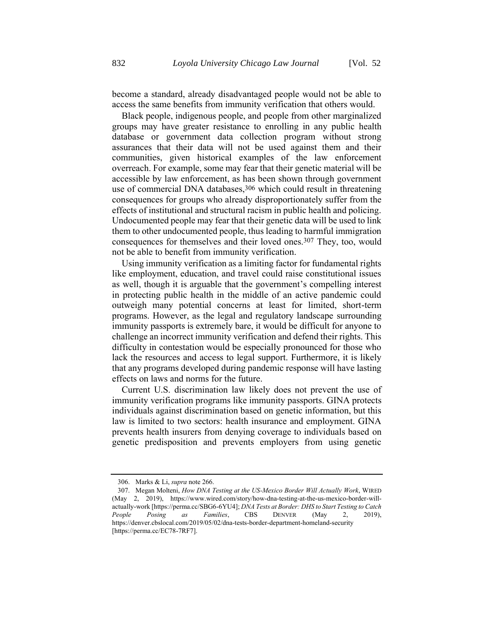become a standard, already disadvantaged people would not be able to access the same benefits from immunity verification that others would.

Black people, indigenous people, and people from other marginalized groups may have greater resistance to enrolling in any public health database or government data collection program without strong assurances that their data will not be used against them and their communities, given historical examples of the law enforcement overreach. For example, some may fear that their genetic material will be accessible by law enforcement, as has been shown through government use of commercial DNA databases,<sup>306</sup> which could result in threatening consequences for groups who already disproportionately suffer from the effects of institutional and structural racism in public health and policing. Undocumented people may fear that their genetic data will be used to link them to other undocumented people, thus leading to harmful immigration consequences for themselves and their loved ones.307 They, too, would not be able to benefit from immunity verification.

Using immunity verification as a limiting factor for fundamental rights like employment, education, and travel could raise constitutional issues as well, though it is arguable that the government's compelling interest in protecting public health in the middle of an active pandemic could outweigh many potential concerns at least for limited, short-term programs. However, as the legal and regulatory landscape surrounding immunity passports is extremely bare, it would be difficult for anyone to challenge an incorrect immunity verification and defend their rights. This difficulty in contestation would be especially pronounced for those who lack the resources and access to legal support. Furthermore, it is likely that any programs developed during pandemic response will have lasting effects on laws and norms for the future.

Current U.S. discrimination law likely does not prevent the use of immunity verification programs like immunity passports. GINA protects individuals against discrimination based on genetic information, but this law is limited to two sectors: health insurance and employment. GINA prevents health insurers from denying coverage to individuals based on genetic predisposition and prevents employers from using genetic

<sup>306.</sup> Marks & Li, *supra* not[e 266.](#page-58-0)

<sup>307.</sup> Megan Molteni, *How DNA Testing at the US-Mexico Border Will Actually Work*, WIRED (May 2, 2019), https://www.wired.com/story/how-dna-testing-at-the-us-mexico-border-willactually-work [https://perma.cc/SBG6-6YU4]; *DNA Tests at Border: DHS to Start Testing to Catch People Posing as Families*, CBS DENVER (May 2, 2019), https://denver.cbslocal.com/2019/05/02/dna-tests-border-department-homeland-security [https://perma.cc/EC78-7RF7].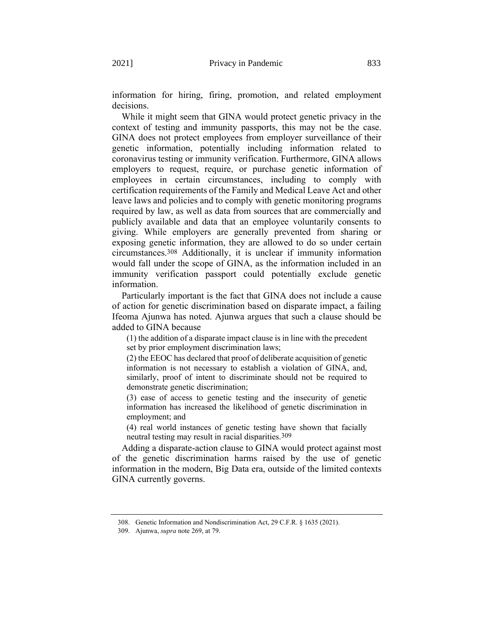While it might seem that GINA would protect genetic privacy in the context of testing and immunity passports, this may not be the case. GINA does not protect employees from employer surveillance of their genetic information, potentially including information related to coronavirus testing or immunity verification. Furthermore, GINA allows employers to request, require, or purchase genetic information of employees in certain circumstances, including to comply with certification requirements of the Family and Medical Leave Act and other leave laws and policies and to comply with genetic monitoring programs required by law, as well as data from sources that are commercially and publicly available and data that an employee voluntarily consents to giving. While employers are generally prevented from sharing or exposing genetic information, they are allowed to do so under certain circumstances.308 Additionally, it is unclear if immunity information would fall under the scope of GINA, as the information included in an immunity verification passport could potentially exclude genetic information.

Particularly important is the fact that GINA does not include a cause of action for genetic discrimination based on disparate impact, a failing Ifeoma Ajunwa has noted. Ajunwa argues that such a clause should be added to GINA because

(1) the addition of a disparate impact clause is in line with the precedent set by prior employment discrimination laws;

(2) the EEOC has declared that proof of deliberate acquisition of genetic information is not necessary to establish a violation of GINA, and, similarly, proof of intent to discriminate should not be required to demonstrate genetic discrimination;

(3) ease of access to genetic testing and the insecurity of genetic information has increased the likelihood of genetic discrimination in employment; and

(4) real world instances of genetic testing have shown that facially neutral testing may result in racial disparities.309

Adding a disparate-action clause to GINA would protect against most of the genetic discrimination harms raised by the use of genetic information in the modern, Big Data era, outside of the limited contexts GINA currently governs.

<sup>308.</sup> Genetic Information and Nondiscrimination Act, 29 C.F.R. § 1635 (2021).

<sup>309.</sup> Ajunwa, *supra* not[e 269,](#page-59-0) at 79.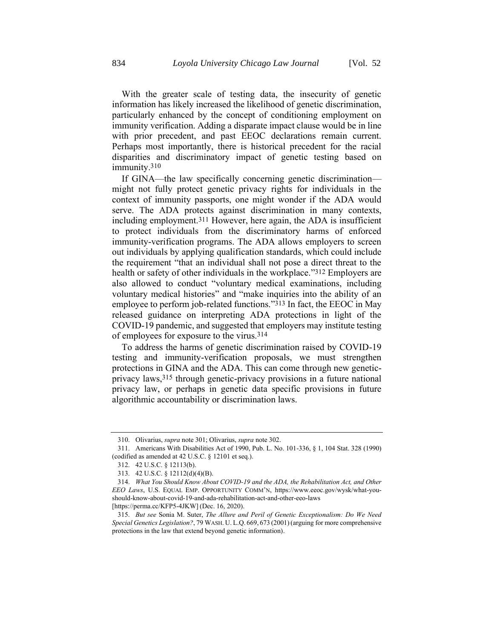With the greater scale of testing data, the insecurity of genetic information has likely increased the likelihood of genetic discrimination, particularly enhanced by the concept of conditioning employment on immunity verification. Adding a disparate impact clause would be in line with prior precedent, and past EEOC declarations remain current. Perhaps most importantly, there is historical precedent for the racial disparities and discriminatory impact of genetic testing based on immunity.<sup>310</sup>

If GINA—the law specifically concerning genetic discrimination might not fully protect genetic privacy rights for individuals in the context of immunity passports, one might wonder if the ADA would serve. The ADA protects against discrimination in many contexts, including employment.311 However, here again, the ADA is insufficient to protect individuals from the discriminatory harms of enforced immunity-verification programs. The ADA allows employers to screen out individuals by applying qualification standards, which could include the requirement "that an individual shall not pose a direct threat to the health or safety of other individuals in the workplace."<sup>312</sup> Employers are also allowed to conduct "voluntary medical examinations, including voluntary medical histories" and "make inquiries into the ability of an employee to perform job-related functions."313 In fact, the EEOC in May released guidance on interpreting ADA protections in light of the COVID-19 pandemic, and suggested that employers may institute testing of employees for exposure to the virus.314

To address the harms of genetic discrimination raised by COVID-19 testing and immunity-verification proposals, we must strengthen protections in GINA and the ADA. This can come through new geneticprivacy laws,315 through genetic-privacy provisions in a future national privacy law, or perhaps in genetic data specific provisions in future algorithmic accountability or discrimination laws.

[https://perma.cc/KFP5-4JKW] (Dec. 16, 2020).

<sup>310.</sup> Olivarius, *supra* note [301;](#page-64-0) Olivarius, *supra* note [302.](#page-65-0)

<sup>311.</sup> Americans With Disabilities Act of 1990, Pub. L. No. 101-336, § 1, 104 Stat. 328 (1990) (codified as amended at 42 U.S.C. § 12101 et seq.).

<sup>312.</sup> 42 U.S.C. § 12113(b).

<sup>313.</sup> 42 U.S.C. § 12112(d)(4)(B).

<sup>314.</sup> *What You Should Know About COVID-19 and the ADA, the Rehabilitation Act, and Other EEO Laws*, U.S. EQUAL EMP. OPPORTUNITY COMM'N, https://www.eeoc.gov/wysk/what-youshould-know-about-covid-19-and-ada-rehabilitation-act-and-other-eeo-laws

<sup>315.</sup> *But see* Sonia M. Suter, *The Allure and Peril of Genetic Exceptionalism: Do We Need Special Genetics Legislation?*, 79 WASH. U. L.Q. 669, 673 (2001)(arguing for more comprehensive protections in the law that extend beyond genetic information).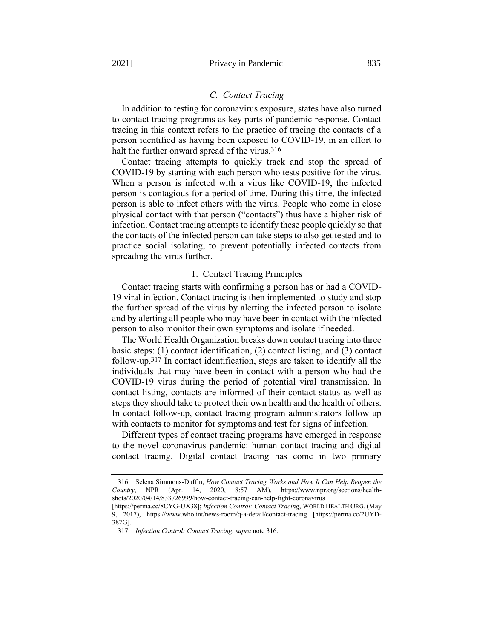# <span id="page-69-0"></span>*C. Contact Tracing*

In addition to testing for coronavirus exposure, states have also turned to contact tracing programs as key parts of pandemic response. Contact tracing in this context refers to the practice of tracing the contacts of a person identified as having been exposed to COVID-19, in an effort to halt the further onward spread of the virus.<sup>316</sup>

Contact tracing attempts to quickly track and stop the spread of COVID-19 by starting with each person who tests positive for the virus. When a person is infected with a virus like COVID-19, the infected person is contagious for a period of time. During this time, the infected person is able to infect others with the virus. People who come in close physical contact with that person ("contacts") thus have a higher risk of infection. Contact tracing attempts to identify these people quickly so that the contacts of the infected person can take steps to also get tested and to practice social isolating, to prevent potentially infected contacts from spreading the virus further.

## 1. Contact Tracing Principles

Contact tracing starts with confirming a person has or had a COVID-19 viral infection. Contact tracing is then implemented to study and stop the further spread of the virus by alerting the infected person to isolate and by alerting all people who may have been in contact with the infected person to also monitor their own symptoms and isolate if needed.

The World Health Organization breaks down contact tracing into three basic steps: (1) contact identification, (2) contact listing, and (3) contact follow-up.317 In contact identification, steps are taken to identify all the individuals that may have been in contact with a person who had the COVID-19 virus during the period of potential viral transmission. In contact listing, contacts are informed of their contact status as well as steps they should take to protect their own health and the health of others. In contact follow-up, contact tracing program administrators follow up with contacts to monitor for symptoms and test for signs of infection.

Different types of contact tracing programs have emerged in response to the novel coronavirus pandemic: human contact tracing and digital contact tracing. Digital contact tracing has come in two primary

<sup>316.</sup> Selena Simmons-Duffin, *How Contact Tracing Works and How It Can Help Reopen the Country*, NPR (Apr. 14, 2020, 8:57 AM), https://www.npr.org/sections/healthshots/2020/04/14/833726999/how-contact-tracing-can-help-fight-coronavirus

<sup>[</sup>https://perma.cc/8CYG-UX38]; *Infection Control: Contact Tracing*, WORLD HEALTH ORG. (May 9, 2017), https://www.who.int/news-room/q-a-detail/contact-tracing [https://perma.cc/2UYD-382G].

<sup>317.</sup> *Infection Control: Contact Tracing*, *supra* not[e 316.](#page-69-0)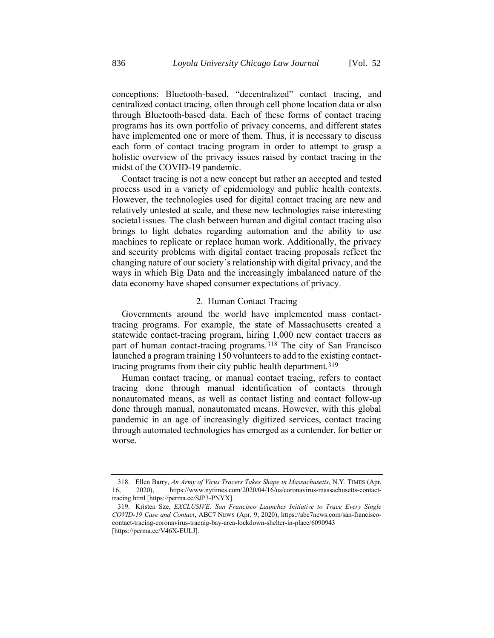conceptions: Bluetooth-based, "decentralized" contact tracing, and centralized contact tracing, often through cell phone location data or also through Bluetooth-based data. Each of these forms of contact tracing programs has its own portfolio of privacy concerns, and different states have implemented one or more of them. Thus, it is necessary to discuss each form of contact tracing program in order to attempt to grasp a holistic overview of the privacy issues raised by contact tracing in the midst of the COVID-19 pandemic.

Contact tracing is not a new concept but rather an accepted and tested process used in a variety of epidemiology and public health contexts. However, the technologies used for digital contact tracing are new and relatively untested at scale, and these new technologies raise interesting societal issues. The clash between human and digital contact tracing also brings to light debates regarding automation and the ability to use machines to replicate or replace human work. Additionally, the privacy and security problems with digital contact tracing proposals reflect the changing nature of our society's relationship with digital privacy, and the ways in which Big Data and the increasingly imbalanced nature of the data economy have shaped consumer expectations of privacy.

## <span id="page-70-0"></span>2. Human Contact Tracing

Governments around the world have implemented mass contacttracing programs. For example, the state of Massachusetts created a statewide contact-tracing program, hiring 1,000 new contact tracers as part of human contact-tracing programs.<sup>318</sup> The city of San Francisco launched a program training 150 volunteers to add to the existing contacttracing programs from their city public health department.319

Human contact tracing, or manual contact tracing, refers to contact tracing done through manual identification of contacts through nonautomated means, as well as contact listing and contact follow-up done through manual, nonautomated means. However, with this global pandemic in an age of increasingly digitized services, contact tracing through automated technologies has emerged as a contender, for better or worse.

<sup>318.</sup> Ellen Barry, *An Army of Virus Tracers Takes Shape in Massachusetts*, N.Y. TIMES (Apr. 16, 2020), https://www.nytimes.com/2020/04/16/us/coronavirus-massachusetts-contacttracing.html [https://perma.cc/SJP3-PNYX].

<sup>319.</sup> Kristen Sze, *EXCLUSIVE: San Francisco Launches Initiative to Trace Every Single COVID-19 Case and Contact*, ABC7 NEWS (Apr. 9, 2020), https://abc7news.com/san-franciscocontact-tracing-coronavirus-tracnig-bay-area-lockdown-shelter-in-place/6090943 [https://perma.cc/V46X-EULJ].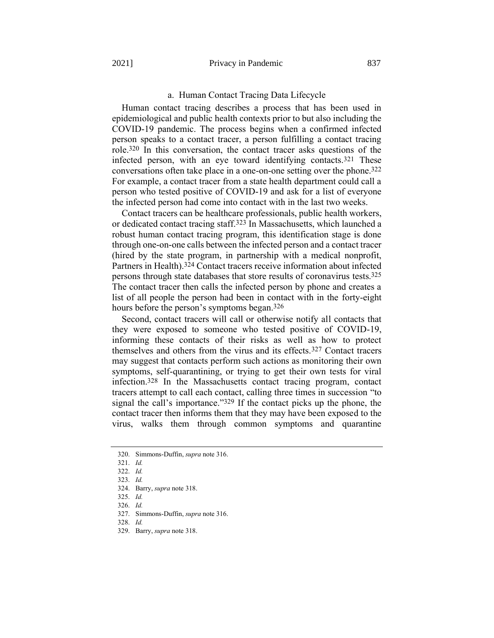#### a. Human Contact Tracing Data Lifecycle

Human contact tracing describes a process that has been used in epidemiological and public health contexts prior to but also including the COVID-19 pandemic. The process begins when a confirmed infected person speaks to a contact tracer, a person fulfilling a contact tracing role.320 In this conversation, the contact tracer asks questions of the infected person, with an eye toward identifying contacts.321 These conversations often take place in a one-on-one setting over the phone.322 For example, a contact tracer from a state health department could call a person who tested positive of COVID-19 and ask for a list of everyone the infected person had come into contact with in the last two weeks.

Contact tracers can be healthcare professionals, public health workers, or dedicated contact tracing staff.323 In Massachusetts, which launched a robust human contact tracing program, this identification stage is done through one-on-one calls between the infected person and a contact tracer (hired by the state program, in partnership with a medical nonprofit, Partners in Health).324 Contact tracers receive information about infected persons through state databases that store results of coronavirus tests.325 The contact tracer then calls the infected person by phone and creates a list of all people the person had been in contact with in the forty-eight hours before the person's symptoms began.<sup>326</sup>

Second, contact tracers will call or otherwise notify all contacts that they were exposed to someone who tested positive of COVID-19, informing these contacts of their risks as well as how to protect themselves and others from the virus and its effects.327 Contact tracers may suggest that contacts perform such actions as monitoring their own symptoms, self-quarantining, or trying to get their own tests for viral infection.328 In the Massachusetts contact tracing program, contact tracers attempt to call each contact, calling three times in succession "to signal the call's importance."329 If the contact picks up the phone, the contact tracer then informs them that they may have been exposed to the virus, walks them through common symptoms and quarantine

328. *Id.*

<sup>320.</sup> Simmons-Duffin, *supra* not[e 316.](#page-69-0)

<sup>321.</sup> *Id.*

<sup>322.</sup> *Id.*

<sup>323.</sup> *Id.*

<sup>324.</sup> Barry, *supra* not[e 318.](#page-70-0) 

<sup>325.</sup> *Id.* 326. *Id.*

<sup>327.</sup> Simmons-Duffin, *supra* not[e 316.](#page-69-0)

<sup>329.</sup> Barry, *supra* not[e 318.](#page-70-0)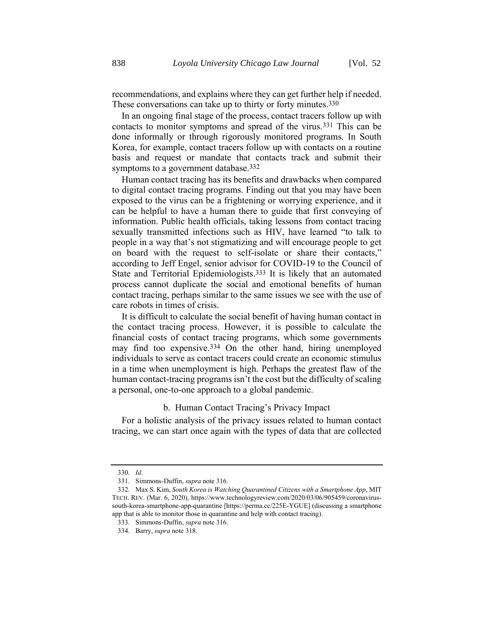recommendations, and explains where they can get further help if needed. These conversations can take up to thirty or forty minutes.<sup>330</sup>

In an ongoing final stage of the process, contact tracers follow up with contacts to monitor symptoms and spread of the virus.331 This can be done informally or through rigorously monitored programs. In South Korea, for example, contact tracers follow up with contacts on a routine basis and request or mandate that contacts track and submit their symptoms to a government database.<sup>332</sup>

Human contact tracing has its benefits and drawbacks when compared to digital contact tracing programs. Finding out that you may have been exposed to the virus can be a frightening or worrying experience, and it can be helpful to have a human there to guide that first conveying of information. Public health officials, taking lessons from contact tracing sexually transmitted infections such as HIV, have learned "to talk to people in a way that's not stigmatizing and will encourage people to get on board with the request to self-isolate or share their contacts," according to Jeff Engel, senior advisor for COVID-19 to the Council of State and Territorial Epidemiologists.333 It is likely that an automated process cannot duplicate the social and emotional benefits of human contact tracing, perhaps similar to the same issues we see with the use of care robots in times of crisis.

It is difficult to calculate the social benefit of having human contact in the contact tracing process. However, it is possible to calculate the financial costs of contact tracing programs, which some governments may find too expensive.334 On the other hand, hiring unemployed individuals to serve as contact tracers could create an economic stimulus in a time when unemployment is high. Perhaps the greatest flaw of the human contact-tracing programs isn't the cost but the difficulty of scaling a personal, one-to-one approach to a global pandemic.

### b. Human Contact Tracing's Privacy Impact

For a holistic analysis of the privacy issues related to human contact tracing, we can start once again with the types of data that are collected

<sup>330.</sup> *Id.*

<sup>331.</sup> Simmons-Duffin, *supra* not[e 316.](#page-69-0)

<sup>332.</sup> Max S. Kim, *South Korea is Watching Quarantined Citizens with a Smartphone App*, MIT TECH. REV. (Mar. 6, 2020), https://www.technologyreview.com/2020/03/06/905459/coronavirussouth-korea-smartphone-app-quarantine [https://perma.cc/225E-YGUE] (discussing a smartphone app that is able to monitor those in quarantine and help with contact tracing).

<sup>333.</sup> Simmons-Duffin, *supra* not[e 316.](#page-69-0)

<sup>334.</sup> Barry, *supra* not[e 318.](#page-70-0)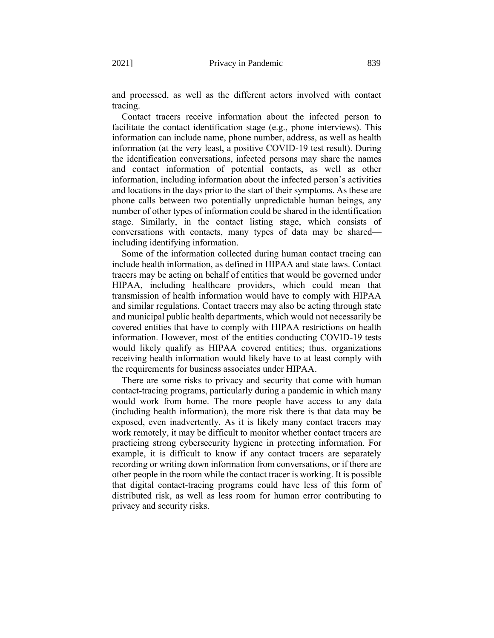and processed, as well as the different actors involved with contact tracing.

Contact tracers receive information about the infected person to facilitate the contact identification stage (e.g., phone interviews). This information can include name, phone number, address, as well as health information (at the very least, a positive COVID-19 test result). During the identification conversations, infected persons may share the names and contact information of potential contacts, as well as other information, including information about the infected person's activities and locations in the days prior to the start of their symptoms. As these are phone calls between two potentially unpredictable human beings, any number of other types of information could be shared in the identification stage. Similarly, in the contact listing stage, which consists of conversations with contacts, many types of data may be shared including identifying information.

Some of the information collected during human contact tracing can include health information, as defined in HIPAA and state laws. Contact tracers may be acting on behalf of entities that would be governed under HIPAA, including healthcare providers, which could mean that transmission of health information would have to comply with HIPAA and similar regulations. Contact tracers may also be acting through state and municipal public health departments, which would not necessarily be covered entities that have to comply with HIPAA restrictions on health information. However, most of the entities conducting COVID-19 tests would likely qualify as HIPAA covered entities; thus, organizations receiving health information would likely have to at least comply with the requirements for business associates under HIPAA.

There are some risks to privacy and security that come with human contact-tracing programs, particularly during a pandemic in which many would work from home. The more people have access to any data (including health information), the more risk there is that data may be exposed, even inadvertently. As it is likely many contact tracers may work remotely, it may be difficult to monitor whether contact tracers are practicing strong cybersecurity hygiene in protecting information. For example, it is difficult to know if any contact tracers are separately recording or writing down information from conversations, or if there are other people in the room while the contact tracer is working. It is possible that digital contact-tracing programs could have less of this form of distributed risk, as well as less room for human error contributing to privacy and security risks.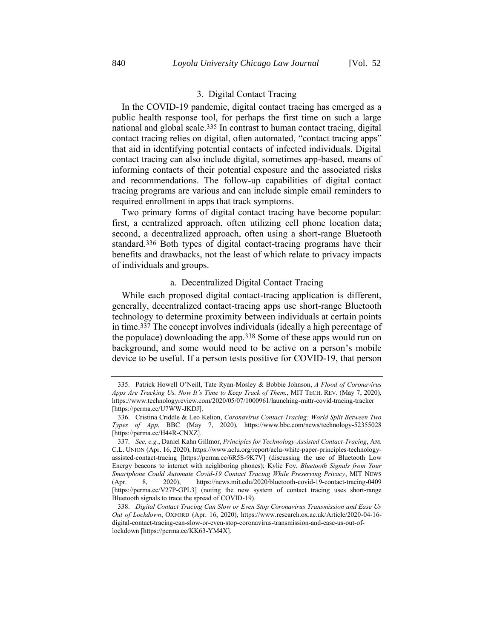# 3. Digital Contact Tracing

In the COVID-19 pandemic, digital contact tracing has emerged as a public health response tool, for perhaps the first time on such a large national and global scale.335 In contrast to human contact tracing, digital contact tracing relies on digital, often automated, "contact tracing apps" that aid in identifying potential contacts of infected individuals. Digital contact tracing can also include digital, sometimes app-based, means of informing contacts of their potential exposure and the associated risks and recommendations. The follow-up capabilities of digital contact tracing programs are various and can include simple email reminders to required enrollment in apps that track symptoms.

Two primary forms of digital contact tracing have become popular: first, a centralized approach, often utilizing cell phone location data; second, a decentralized approach, often using a short-range Bluetooth standard.336 Both types of digital contact-tracing programs have their benefits and drawbacks, not the least of which relate to privacy impacts of individuals and groups.

### a. Decentralized Digital Contact Tracing

<span id="page-74-0"></span>While each proposed digital contact-tracing application is different, generally, decentralized contact-tracing apps use short-range Bluetooth technology to determine proximity between individuals at certain points in time.337 The concept involves individuals (ideally a high percentage of the populace) downloading the app.338 Some of these apps would run on background, and some would need to be active on a person's mobile device to be useful. If a person tests positive for COVID-19, that person

<sup>335.</sup> Patrick Howell O'Neill, Tate Ryan-Mosley & Bobbie Johnson, *A Flood of Coronavirus Apps Are Tracking Us. Now It's Time to Keep Track of Them.*, MIT TECH. REV. (May 7, 2020), https://www.technologyreview.com/2020/05/07/1000961/launching-mittr-covid-tracing-tracker [https://perma.cc/U7WW-JKDJ].

<sup>336.</sup> Cristina Criddle & Leo Kelion, *Coronavirus Contact-Tracing: World Split Between Two Types of App*, BBC (May 7, 2020), https://www.bbc.com/news/technology-52355028 [https://perma.cc/H44R-CNXZ].

<sup>337.</sup> *See, e.g.*, Daniel Kahn Gillmor, *Principles for Technology-Assisted Contact-Tracing*, AM. C.L. UNION (Apr. 16, 2020), https://www.aclu.org/report/aclu-white-paper-principles-technologyassisted-contact-tracing [https://perma.cc/6R5S-9K7V] (discussing the use of Bluetooth Low Energy beacons to interact with neighboring phones); Kylie Foy, *Bluetooth Signals from Your Smartphone Could Automate Covid-19 Contact Tracing While Preserving Privacy*, MIT NEWS (Apr. 8, 2020), https://news.mit.edu/2020/bluetooth-covid-19-contact-tracing-0409 [https://perma.cc/V27P-GPL3] (noting the new system of contact tracing uses short-range Bluetooth signals to trace the spread of COVID-19).

<sup>338.</sup> *Digital Contact Tracing Can Slow or Even Stop Coronavirus Transmission and Ease Us Out of Lockdown*, OXFORD (Apr. 16, 2020), https://www.research.ox.ac.uk/Article/2020-04-16 digital-contact-tracing-can-slow-or-even-stop-coronavirus-transmission-and-ease-us-out-oflockdown [https://perma.cc/KK63-YM4X].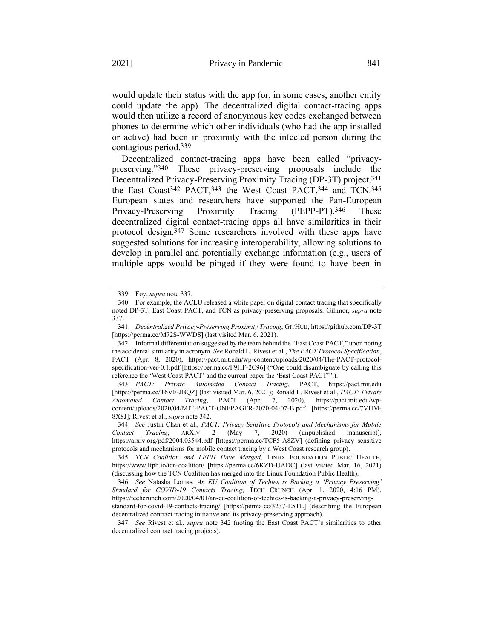would update their status with the app (or, in some cases, another entity could update the app). The decentralized digital contact-tracing apps would then utilize a record of anonymous key codes exchanged between phones to determine which other individuals (who had the app installed or active) had been in proximity with the infected person during the contagious period.339

<span id="page-75-0"></span>Decentralized contact-tracing apps have been called "privacypreserving."340 These privacy-preserving proposals include the Decentralized Privacy-Preserving Proximity Tracing (DP-3T) project, 341 the East Coast342 PACT,343 the West Coast PACT,344 and TCN.345 European states and researchers have supported the Pan-European Privacy-Preserving Proximity Tracing (PEPP-PT).346 These decentralized digital contact-tracing apps all have similarities in their protocol design.347 Some researchers involved with these apps have suggested solutions for increasing interoperability, allowing solutions to develop in parallel and potentially exchange information (e.g., users of multiple apps would be pinged if they were found to have been in

<sup>339.</sup> Foy, *supra* not[e 337.](#page-74-0)

<sup>340.</sup> For example, the ACLU released a white paper on digital contact tracing that specifically noted DP-3T, East Coast PACT, and TCN as privacy-preserving proposals. Gillmor, *supra* note [337.](#page-74-0)

<sup>341.</sup> *Decentralized Privacy-Preserving Proximity Tracing*, GITHUB, https://github.com/DP-3T [https://perma.cc/M72S-WWDS] (last visited Mar. 6, 2021).

<sup>342.</sup> Informal differentiation suggested by the team behind the "East Coast PACT," upon noting the accidental similarity in acronym. *See* Ronald L. Rivest et al., *The PACT Protocol Specification*, PACT (Apr. 8, 2020), https://pact.mit.edu/wp-content/uploads/2020/04/The-PACT-protocolspecification-ver-0.1.pdf [https://perma.cc/F9HF-2C96] ("One could disambiguate by calling this reference the 'West Coast PACT' and the current paper the 'East Coast PACT'".).

<sup>343.</sup> *PACT: Private Automated Contact Tracing*, PACT, https://pact.mit.edu [https://perma.cc/T6VF-JBQZ] (last visited Mar. 6, 2021); Ronald L. Rivest et al., *PACT: Private Automated Contact Tracing*, PACT (Apr. 7, 2020), https://pact.mit.edu/wpcontent/uploads/2020/04/MIT-PACT-ONEPAGER-2020-04-07-B.pdf [https://perma.cc/7VHM-8X8J]; Rivest et al., *supra* not[e 342.](#page-75-0)

<sup>344.</sup> *See* Justin Chan et al., *PACT: Privacy-Sensitive Protocols and Mechanisms for Mobile Contact Tracing*, ARXIV 2 (May 7, 2020) (unpublished manuscript), https://arxiv.org/pdf/2004.03544.pdf [https://perma.cc/TCF5-A8ZV] (defining privacy sensitive protocols and mechanisms for mobile contact tracing by a West Coast research group).

<sup>345.</sup> *TCN Coalition and LFPH Have Merged*, LINUX FOUNDATION PUBLIC HEALTH, https://www.lfph.io/tcn-coalition/ [https://perma.cc/6KZD-UADC] (last visited Mar. 16, 2021) (discussing how the TCN Coalition has merged into the Linux Foundation Public Health).

<sup>346.</sup> *See* Natasha Lomas, *An EU Coalition of Techies is Backing a 'Privacy Preserving' Standard for COVID-19 Contacts Tracing*, TECH CRUNCH (Apr. 1, 2020, 4:16 PM), https://techcrunch.com/2020/04/01/an-eu-coalition-of-techies-is-backing-a-privacy-preservingstandard-for-covid-19-contacts-tracing/ [https://perma.cc/3237-E5TL] (describing the European

decentralized contract tracing initiative and its privacy-preserving approach).

<sup>347.</sup> *See* Rivest et al., *supra* note [342](#page-75-0) (noting the East Coast PACT's similarities to other decentralized contract tracing projects).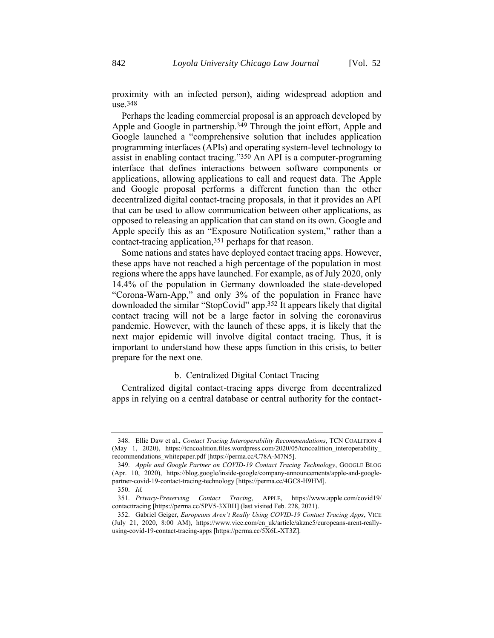proximity with an infected person), aiding widespread adoption and use.348

Perhaps the leading commercial proposal is an approach developed by Apple and Google in partnership.349 Through the joint effort, Apple and Google launched a "comprehensive solution that includes application programming interfaces (APIs) and operating system-level technology to assist in enabling contact tracing."350 An API is a computer-programing interface that defines interactions between software components or applications, allowing applications to call and request data. The Apple and Google proposal performs a different function than the other decentralized digital contact-tracing proposals, in that it provides an API that can be used to allow communication between other applications, as opposed to releasing an application that can stand on its own. Google and Apple specify this as an "Exposure Notification system," rather than a contact-tracing application,351 perhaps for that reason.

Some nations and states have deployed contact tracing apps. However, these apps have not reached a high percentage of the population in most regions where the apps have launched. For example, as of July 2020, only 14.4% of the population in Germany downloaded the state-developed "Corona-Warn-App," and only 3% of the population in France have downloaded the similar "StopCovid" app.352 It appears likely that digital contact tracing will not be a large factor in solving the coronavirus pandemic. However, with the launch of these apps, it is likely that the next major epidemic will involve digital contact tracing. Thus, it is important to understand how these apps function in this crisis, to better prepare for the next one.

## <span id="page-76-0"></span>b. Centralized Digital Contact Tracing

Centralized digital contact-tracing apps diverge from decentralized apps in relying on a central database or central authority for the contact-

<sup>348.</sup> Ellie Daw et al., *Contact Tracing Interoperability Recommendations*, TCN COALITION 4 (May 1, 2020), https://tencoalition.files.wordpress.com/2020/05/tencoalition interoperability recommendations\_whitepaper.pdf [https://perma.cc/C78A-M7N5].

<sup>349.</sup> *Apple and Google Partner on COVID-19 Contact Tracing Technology*, GOOGLE BLOG (Apr. 10, 2020), https://blog.google/inside-google/company-announcements/apple-and-googlepartner-covid-19-contact-tracing-technology [https://perma.cc/4GC8-H9HM].

<sup>350.</sup> *Id.*

<sup>351.</sup> *Privacy-Preserving Contact Tracing*, APPLE, https://www.apple.com/covid19/ contacttracing [https://perma.cc/5PV5-3XBH] (last visited Feb. 228, 2021).

<sup>352.</sup> Gabriel Geiger, *Europeans Aren't Really Using COVID-19 Contact Tracing Apps*, VICE (July 21, 2020, 8:00 AM), https://www.vice.com/en\_uk/article/akzne5/europeans-arent-reallyusing-covid-19-contact-tracing-apps [https://perma.cc/5X6L-XT3Z].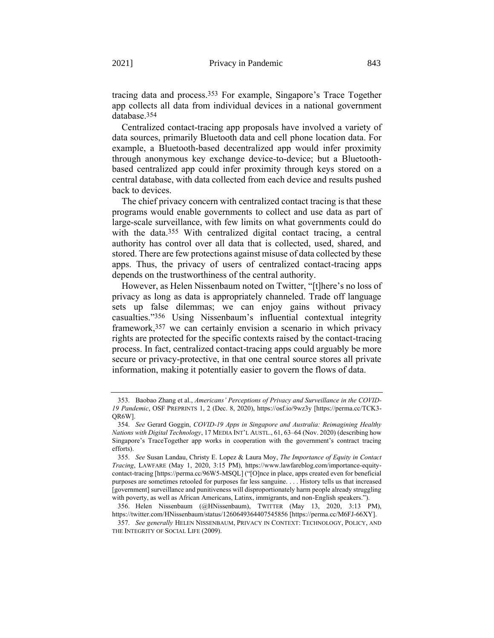<span id="page-77-0"></span>tracing data and process.353 For example, Singapore's Trace Together app collects all data from individual devices in a national government database. 354

Centralized contact-tracing app proposals have involved a variety of data sources, primarily Bluetooth data and cell phone location data. For example, a Bluetooth-based decentralized app would infer proximity through anonymous key exchange device-to-device; but a Bluetoothbased centralized app could infer proximity through keys stored on a central database, with data collected from each device and results pushed back to devices.

<span id="page-77-1"></span>The chief privacy concern with centralized contact tracing is that these programs would enable governments to collect and use data as part of large-scale surveillance, with few limits on what governments could do with the data.<sup>355</sup> With centralized digital contact tracing, a central authority has control over all data that is collected, used, shared, and stored. There are few protections against misuse of data collected by these apps. Thus, the privacy of users of centralized contact-tracing apps depends on the trustworthiness of the central authority.

However, as Helen Nissenbaum noted on Twitter, "[t]here's no loss of privacy as long as data is appropriately channeled. Trade off language sets up false dilemmas; we can enjoy gains without privacy casualties."356 Using Nissenbaum's influential contextual integrity framework,357 we can certainly envision a scenario in which privacy rights are protected for the specific contexts raised by the contact-tracing process. In fact, centralized contact-tracing apps could arguably be more secure or privacy-protective, in that one central source stores all private information, making it potentially easier to govern the flows of data.

<sup>353.</sup> Baobao Zhang et al., *Americans' Perceptions of Privacy and Surveillance in the COVID-19 Pandemic*, OSF PREPRINTS 1, 2 (Dec. 8, 2020), https://osf.io/9wz3y [https://perma.cc/TCK3- QR6W].

<sup>354.</sup> *See* Gerard Goggin, *COVID-19 Apps in Singapore and Australia: Reimagining Healthy Nations with Digital Technology*, 17 MEDIA INT'L AUSTL., 61, 63–64 (Nov. 2020) (describing how Singapore's TraceTogether app works in cooperation with the government's contract tracing efforts).

<sup>355.</sup> *See* Susan Landau, Christy E. Lopez & Laura Moy, *The Importance of Equity in Contact Tracing*, LAWFARE (May 1, 2020, 3:15 PM), https://www.lawfareblog.com/importance-equitycontact-tracing [https://perma.cc/96W5-MSQL] ("[O]nce in place, apps created even for beneficial purposes are sometimes retooled for purposes far less sanguine. . . . History tells us that increased [government] surveillance and punitiveness will disproportionately harm people already struggling with poverty, as well as African Americans, Latinx, immigrants, and non-English speakers.").

<sup>356.</sup> Helen Nissenbaum (@HNissenbaum), TWITTER (May 13, 2020, 3:13 PM), https://twitter.com/HNissenbaum/status/1260649364407545856 [https://perma.cc/M6FJ-66XY].

<sup>357.</sup> *See generally* HELEN NISSENBAUM, PRIVACY IN CONTEXT: TECHNOLOGY, POLICY, AND THE INTEGRITY OF SOCIAL LIFE (2009).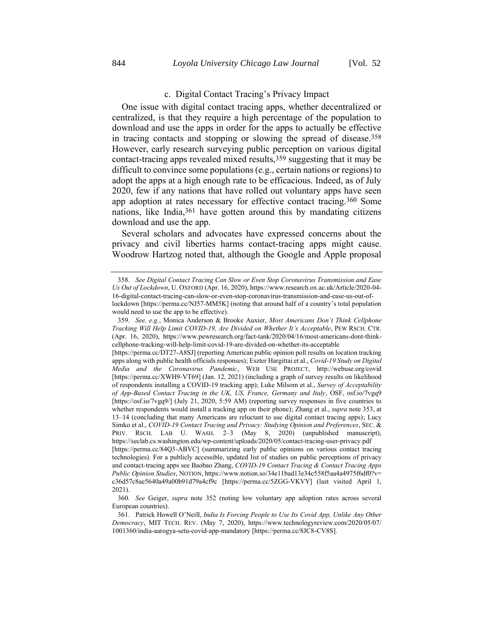## <span id="page-78-0"></span>c. Digital Contact Tracing's Privacy Impact

One issue with digital contact tracing apps, whether decentralized or centralized, is that they require a high percentage of the population to download and use the apps in order for the apps to actually be effective in tracing contacts and stopping or slowing the spread of disease.358 However, early research surveying public perception on various digital contact-tracing apps revealed mixed results,359 suggesting that it may be difficult to convince some populations (e.g., certain nations or regions) to adopt the apps at a high enough rate to be efficacious. Indeed, as of July 2020, few if any nations that have rolled out voluntary apps have seen app adoption at rates necessary for effective contact tracing.<sup>360</sup> Some nations, like India,361 have gotten around this by mandating citizens download and use the app.

Several scholars and advocates have expressed concerns about the privacy and civil liberties harms contact-tracing apps might cause. Woodrow Hartzog noted that, although the Google and Apple proposal

<sup>358.</sup> *See Digital Contact Tracing Can Slow or Even Stop Coronavirus Transmission and Ease Us Out of Lockdown*, U. OXFORD (Apr. 16, 2020), https://www.research.ox.ac.uk/Article/2020-04- 16-digital-contact-tracing-can-slow-or-even-stop-coronavirus-transmission-and-ease-us-out-oflockdown [https://perma.cc/NJ57-MM5K] (noting that around half of a country's total population would need to use the app to be effective).

<sup>359.</sup> *See, e.g.*, Monica Anderson & Brooke Auxier, *Most Americans Don't Think Cellphone Tracking Will Help Limit COVID-19, Are Divided on Whether It's Acceptable*, PEW RSCH. CTR. (Apr. 16, 2020), https://www.pewresearch.org/fact-tank/2020/04/16/most-americans-dont-thinkcellphone-tracking-will-help-limit-covid-19-are-divided-on-whether-its-acceptable

<sup>[</sup>https://perma.cc/DT27-A8SJ] (reporting American public opinion poll results on location tracking apps along with public health officials responses); Eszter Hargittai et al., *Covid-19 Study on Digital Media and the Coronavirus Pandemic*, WEB USE PROJECT, http://webuse.org/covid [https://perma.cc/XWH9-VT69] (Jan. 12, 2021) (including a graph of survey results on likelihood of respondents installing a COVID-19 tracking app); Luke Milsom et al., *Survey of Acceptability of App-Based Contact Tracing in the UK, US, France, Germany and Italy*, OSF, osf.io/7vgq9 [https://osf.io/7vgq9/] (July 21, 2020, 5:59 AM) (reporting survey responses in five countries to whether respondents would install a tracking app on their phone); Zhang et al., *supra* not[e 353,](#page-77-0) at 13–14 (concluding that many Americans are reluctant to use digital contact tracing apps); Lucy Simko et al., *COVID-19 Contact Tracing and Privacy: Studying Opinion and Preferences*, SEC. & PRIV. RSCH. LAB U. WASH. 2-3 (May 8, 2020) (unpublished manuscript), https://seclab.cs.washington.edu/wp-content/uploads/2020/05/contact-tracing-user-privacy.pdf [https://perma.cc/84Q3-ABVC] (summarizing early public opinions on various contact tracing technologies). For a publicly accessible, updated list of studies on public perceptions of privacy and contact-tracing apps see Baobao Zhang, *COVID-19 Contact Tracing & Contact Tracing Apps Public Opinion Studies*, NOTION, https://www.notion.so/34e11bad13e34c558f5aa4a4975f6df0?v= c36d57c8ae5640a49a00b91d79a4cf9c [https://perma.cc/5ZGG-VKVY] (last visited April 1, 2021).

<sup>360.</sup> *See* Geiger, *supra* note [352](#page-76-0) (noting low voluntary app adoption rates across several European countries).

<sup>361.</sup> Patrick Howell O'Neill, *India Is Forcing People to Use Its Covid App, Unlike Any Other Democracy*, MIT TECH. REV. (May 7, 2020), https://www.technologyreview.com/2020/05/07/ 1001360/india-aarogya-setu-covid-app-mandatory [https://perma.cc/8JC8-CV8S].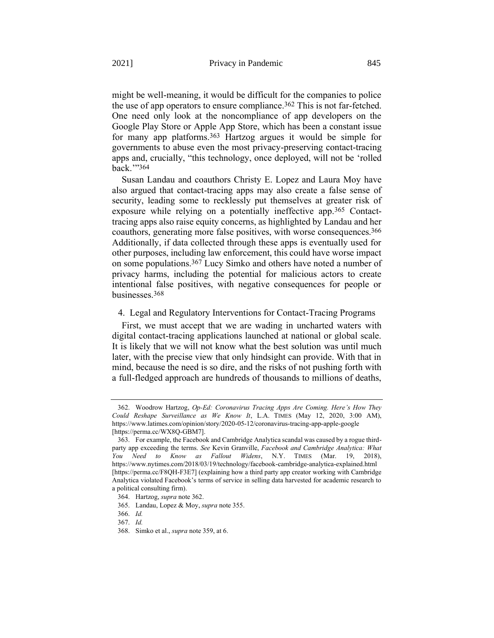<span id="page-79-0"></span>might be well-meaning, it would be difficult for the companies to police the use of app operators to ensure compliance.362 This is not far-fetched. One need only look at the noncompliance of app developers on the Google Play Store or Apple App Store, which has been a constant issue for many app platforms.363 Hartzog argues it would be simple for governments to abuse even the most privacy-preserving contact-tracing apps and, crucially, "this technology, once deployed, will not be 'rolled back.'"364

Susan Landau and coauthors Christy E. Lopez and Laura Moy have also argued that contact-tracing apps may also create a false sense of security, leading some to recklessly put themselves at greater risk of exposure while relying on a potentially ineffective app.365 Contacttracing apps also raise equity concerns, as highlighted by Landau and her coauthors, generating more false positives, with worse consequences.366 Additionally, if data collected through these apps is eventually used for other purposes, including law enforcement, this could have worse impact on some populations.367 Lucy Simko and others have noted a number of privacy harms, including the potential for malicious actors to create intentional false positives, with negative consequences for people or businesses.368

### 4. Legal and Regulatory Interventions for Contact-Tracing Programs

First, we must accept that we are wading in uncharted waters with digital contact-tracing applications launched at national or global scale. It is likely that we will not know what the best solution was until much later, with the precise view that only hindsight can provide. With that in mind, because the need is so dire, and the risks of not pushing forth with a full-fledged approach are hundreds of thousands to millions of deaths,

<sup>362.</sup> Woodrow Hartzog, *Op-Ed: Coronavirus Tracing Apps Are Coming. Here's How They Could Reshape Surveillance as We Know It*, L.A. TIMES (May 12, 2020, 3:00 AM), https://www.latimes.com/opinion/story/2020-05-12/coronavirus-tracing-app-apple-google [https://perma.cc/WX8Q-GBM7].

<sup>363.</sup> For example, the Facebook and Cambridge Analytica scandal was caused by a rogue thirdparty app exceeding the terms. *See* Kevin Granville, *Facebook and Cambridge Analytica: What You Need to Know as Fallout Widens*, N.Y. TIMES (Mar. 19, 2018), https://www.nytimes.com/2018/03/19/technology/facebook-cambridge-analytica-explained.html [https://perma.cc/F8QH-F3E7] (explaining how a third party app creator working with Cambridge Analytica violated Facebook's terms of service in selling data harvested for academic research to a political consulting firm).

<sup>364.</sup> Hartzog, *supra* note [362.](#page-79-0)

<sup>365.</sup> Landau, Lopez & Moy, *supra* not[e 355.](#page-77-1)

<sup>366.</sup> *Id.*

<sup>367.</sup> *Id.*

<sup>368.</sup> Simko et al., *supra* not[e 359,](#page-78-0) at 6.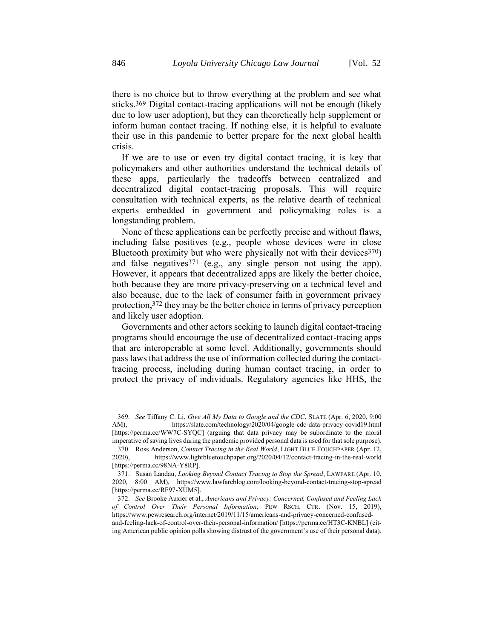there is no choice but to throw everything at the problem and see what sticks.369 Digital contact-tracing applications will not be enough (likely due to low user adoption), but they can theoretically help supplement or inform human contact tracing. If nothing else, it is helpful to evaluate their use in this pandemic to better prepare for the next global health crisis.

If we are to use or even try digital contact tracing, it is key that policymakers and other authorities understand the technical details of these apps, particularly the tradeoffs between centralized and decentralized digital contact-tracing proposals. This will require consultation with technical experts, as the relative dearth of technical experts embedded in government and policymaking roles is a longstanding problem.

None of these applications can be perfectly precise and without flaws, including false positives (e.g., people whose devices were in close Bluetooth proximity but who were physically not with their devices  $(370)$ and false negatives  $371$  (e.g., any single person not using the app). However, it appears that decentralized apps are likely the better choice, both because they are more privacy-preserving on a technical level and also because, due to the lack of consumer faith in government privacy protection, 372 they may be the better choice in terms of privacy perception and likely user adoption.

Governments and other actors seeking to launch digital contact-tracing programs should encourage the use of decentralized contact-tracing apps that are interoperable at some level. Additionally, governments should pass laws that address the use of information collected during the contacttracing process, including during human contact tracing, in order to protect the privacy of individuals. Regulatory agencies like HHS, the

<sup>369.</sup> *See* Tiffany C. Li, *Give All My Data to Google and the CDC*, SLATE (Apr. 6, 2020, 9:00 AM), https://slate.com/technology/2020/04/google-cdc-data-privacy-covid19.html [https://perma.cc/WW7C-SYQC] (arguing that data privacy may be subordinate to the moral imperative of saving lives during the pandemic provided personal data is used for that sole purpose).

<sup>370.</sup> Ross Anderson, *Contact Tracing in the Real World*, LIGHT BLUE TOUCHPAPER (Apr. 12, 2020), https://www.lightbluetouchpaper.org/2020/04/12/contact-tracing-in-the-real-world [https://perma.cc/98NA-Y8RP].

<sup>371.</sup> Susan Landau, *Looking Beyond Contact Tracing to Stop the Spread*, LAWFARE (Apr. 10, 2020, 8:00 AM), https://www.lawfareblog.com/looking-beyond-contact-tracing-stop-spread [https://perma.cc/RF97-XUM5].

<sup>372.</sup> *See* Brooke Auxier et al., *Americans and Privacy: Concerned, Confused and Feeling Lack of Control Over Their Personal Information*, PEW RSCH. CTR. (Nov. 15, 2019), https://www.pewresearch.org/internet/2019/11/15/americans-and-privacy-concerned-confusedand-feeling-lack-of-control-over-their-personal-information/ [https://perma.cc/HT3C-KNBL] (citing American public opinion polls showing distrust of the government's use of their personal data).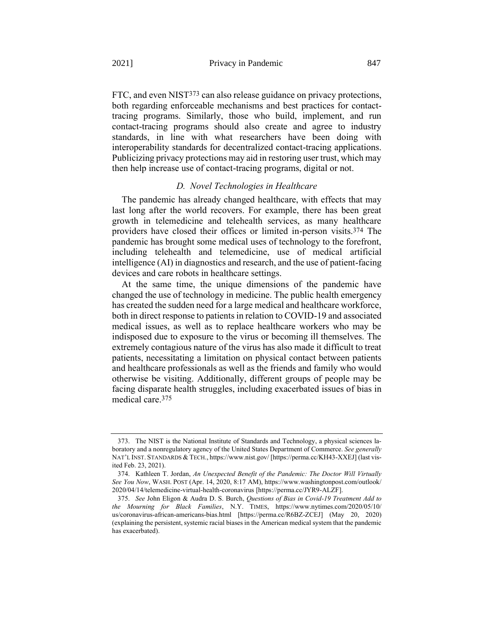FTC, and even NIST<sup>373</sup> can also release guidance on privacy protections, both regarding enforceable mechanisms and best practices for contacttracing programs. Similarly, those who build, implement, and run contact-tracing programs should also create and agree to industry standards, in line with what researchers have been doing with interoperability standards for decentralized contact-tracing applications. Publicizing privacy protections may aid in restoring user trust, which may then help increase use of contact-tracing programs, digital or not.

## <span id="page-81-0"></span>*D. Novel Technologies in Healthcare*

The pandemic has already changed healthcare, with effects that may last long after the world recovers. For example, there has been great growth in telemedicine and telehealth services, as many healthcare providers have closed their offices or limited in-person visits.374 The pandemic has brought some medical uses of technology to the forefront, including telehealth and telemedicine, use of medical artificial intelligence (AI) in diagnostics and research, and the use of patient-facing devices and care robots in healthcare settings.

At the same time, the unique dimensions of the pandemic have changed the use of technology in medicine. The public health emergency has created the sudden need for a large medical and healthcare workforce, both in direct response to patients in relation to COVID-19 and associated medical issues, as well as to replace healthcare workers who may be indisposed due to exposure to the virus or becoming ill themselves. The extremely contagious nature of the virus has also made it difficult to treat patients, necessitating a limitation on physical contact between patients and healthcare professionals as well as the friends and family who would otherwise be visiting. Additionally, different groups of people may be facing disparate health struggles, including exacerbated issues of bias in medical care.375

<span id="page-81-1"></span><sup>373.</sup> The NIST is the National Institute of Standards and Technology, a physical sciences laboratory and a nonregulatory agency of the United States Department of Commerce. *See generally*  NAT'L INST. STANDARDS & TECH., https://www.nist.gov/ [https://perma.cc/KH43-XXEJ] (last visited Feb. 23, 2021).

<sup>374.</sup> Kathleen T. Jordan, *An Unexpected Benefit of the Pandemic: The Doctor Will Virtually See You Now*, WASH. POST (Apr. 14, 2020, 8:17 AM), https://www.washingtonpost.com/outlook/ 2020/04/14/telemedicine-virtual-health-coronavirus [https://perma.cc/JYR9-ALZF].

<sup>375.</sup> *See* John Eligon & Audra D. S. Burch, *Questions of Bias in Covid-19 Treatment Add to the Mourning for Black Families*, N.Y. TIMES, https://www.nytimes.com/2020/05/10/ us/coronavirus-african-americans-bias.html [https://perma.cc/R6BZ-ZCEJ] (May 20, 2020) (explaining the persistent, systemic racial biases in the American medical system that the pandemic has exacerbated).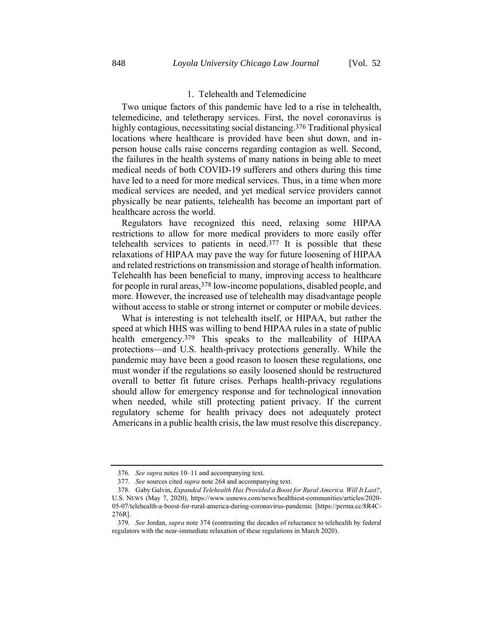# 1. Telehealth and Telemedicine

Two unique factors of this pandemic have led to a rise in telehealth, telemedicine, and teletherapy services. First, the novel coronavirus is highly contagious, necessitating social distancing.<sup>376</sup> Traditional physical locations where healthcare is provided have been shut down, and inperson house calls raise concerns regarding contagion as well. Second, the failures in the health systems of many nations in being able to meet medical needs of both COVID-19 sufferers and others during this time have led to a need for more medical services. Thus, in a time when more medical services are needed, and yet medical service providers cannot physically be near patients, telehealth has become an important part of healthcare across the world.

Regulators have recognized this need, relaxing some HIPAA restrictions to allow for more medical providers to more easily offer telehealth services to patients in need.377 It is possible that these relaxations of HIPAA may pave the way for future loosening of HIPAA and related restrictions on transmission and storage of health information. Telehealth has been beneficial to many, improving access to healthcare for people in rural areas, 378 low-income populations, disabled people, and more. However, the increased use of telehealth may disadvantage people without access to stable or strong internet or computer or mobile devices.

What is interesting is not telehealth itself, or HIPAA, but rather the speed at which HHS was willing to bend HIPAA rules in a state of public health emergency.379 This speaks to the malleability of HIPAA protections—and U.S. health-privacy protections generally. While the pandemic may have been a good reason to loosen these regulations, one must wonder if the regulations so easily loosened should be restructured overall to better fit future crises. Perhaps health-privacy regulations should allow for emergency response and for technological innovation when needed, while still protecting patient privacy. If the current regulatory scheme for health privacy does not adequately protect Americans in a public health crisis, the law must resolve this discrepancy.

<sup>376.</sup> *See supra* note[s 10](#page-5-0)–[11](#page-5-1) and accompanying text.

<sup>377.</sup> *See* sources cited *supra* not[e 264](#page-58-0) and accompanying text.

<sup>378.</sup> Gaby Galvin, *Expanded Telehealth Has Provided a Boost for Rural America. Will It Last?*, U.S. NEWS (May 7, 2020), https://www.usnews.com/news/healthiest-communities/articles/2020- 05-07/telehealth-a-boost-for-rural-america-during-coronavirus-pandemic [https://perma.cc/8R4C-276R].

<sup>379.</sup> *See* Jordan, *supra* not[e 374](#page-81-0) (contrasting the decades of reluctance to telehealth by federal regulators with the near-immediate relaxation of these regulations in March 2020).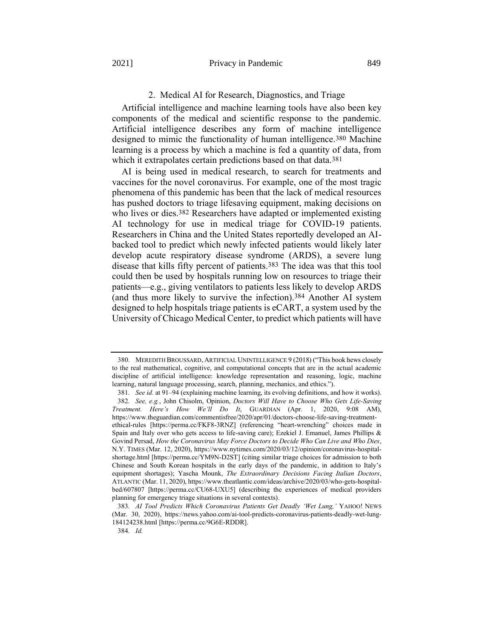## 2. Medical AI for Research, Diagnostics, and Triage

Artificial intelligence and machine learning tools have also been key components of the medical and scientific response to the pandemic. Artificial intelligence describes any form of machine intelligence designed to mimic the functionality of human intelligence.380 Machine learning is a process by which a machine is fed a quantity of data, from which it extrapolates certain predictions based on that data.<sup>381</sup>

AI is being used in medical research, to search for treatments and vaccines for the novel coronavirus. For example, one of the most tragic phenomena of this pandemic has been that the lack of medical resources has pushed doctors to triage lifesaving equipment, making decisions on who lives or dies.<sup>382</sup> Researchers have adapted or implemented existing AI technology for use in medical triage for COVID-19 patients. Researchers in China and the United States reportedly developed an AIbacked tool to predict which newly infected patients would likely later develop acute respiratory disease syndrome (ARDS), a severe lung disease that kills fifty percent of patients.383 The idea was that this tool could then be used by hospitals running low on resources to triage their patients—e.g., giving ventilators to patients less likely to develop ARDS (and thus more likely to survive the infection).384 Another AI system designed to help hospitals triage patients is eCART, a system used by the University of Chicago Medical Center, to predict which patients will have

<sup>380.</sup> MEREDITH BROUSSARD, ARTIFICIAL UNINTELLIGENCE 9 (2018) ("This book hews closely to the real mathematical, cognitive, and computational concepts that are in the actual academic discipline of artificial intelligence: knowledge representation and reasoning, logic, machine learning, natural language processing, search, planning, mechanics, and ethics.").

<sup>381.</sup> *See id.* at 91–94 (explaining machine learning, its evolving definitions, and how it works). 382. *See, e.g.*, John Chisolm, Opinion, *Doctors Will Have to Choose Who Gets Life-Saving Treatment. Here's How We'll Do It*, GUARDIAN (Apr. 1, 2020, 9:08 AM), https://www.theguardian.com/commentisfree/2020/apr/01/doctors-choose-life-saving-treatmentethical-rules [https://perma.cc/FKF8-3RNZ] (referencing "heart-wrenching" choices made in Spain and Italy over who gets access to life-saving care); Ezekiel J. Emanuel, James Phillips & Govind Persad, *How the Coronavirus May Force Doctors to Decide Who Can Live and Who Dies*, N.Y. TIMES (Mar. 12, 2020), https://www.nytimes.com/2020/03/12/opinion/coronavirus-hospitalshortage.html [https://perma.cc/YM9N-D2ST] (citing similar triage choices for admission to both Chinese and South Korean hospitals in the early days of the pandemic, in addition to Italy's equipment shortages); Yascha Mounk, *The Extraordinary Decisions Facing Italian Doctors*, ATLANTIC (Mar. 11, 2020), https://www.theatlantic.com/ideas/archive/2020/03/who-gets-hospitalbed/607807 [https://perma.cc/CU68-UXU5] (describing the experiences of medical providers planning for emergency triage situations in several contexts).

<sup>383.</sup> *AI Tool Predicts Which Coronavirus Patients Get Deadly 'Wet Lung,'* YAHOO! NEWS (Mar. 30, 2020), https://news.yahoo.com/ai-tool-predicts-coronavirus-patients-deadly-wet-lung-184124238.html [https://perma.cc/9G6E-RDDR].

<sup>384.</sup> *Id.*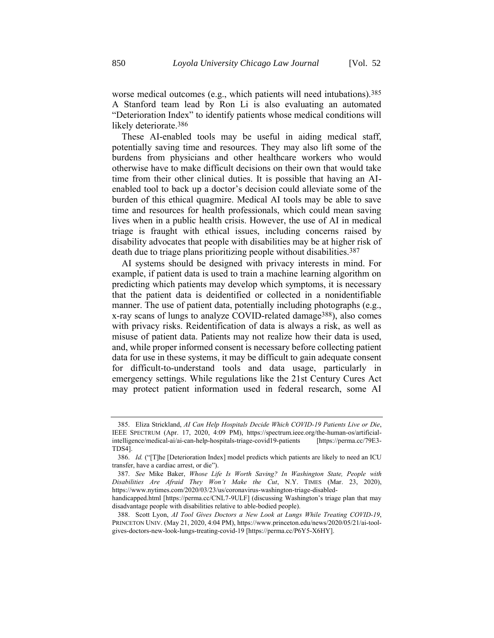worse medical outcomes (e.g., which patients will need intubations).385 A Stanford team lead by Ron Li is also evaluating an automated "Deterioration Index" to identify patients whose medical conditions will likely deteriorate.<sup>386</sup>

These AI-enabled tools may be useful in aiding medical staff, potentially saving time and resources. They may also lift some of the burdens from physicians and other healthcare workers who would otherwise have to make difficult decisions on their own that would take time from their other clinical duties. It is possible that having an AIenabled tool to back up a doctor's decision could alleviate some of the burden of this ethical quagmire. Medical AI tools may be able to save time and resources for health professionals, which could mean saving lives when in a public health crisis. However, the use of AI in medical triage is fraught with ethical issues, including concerns raised by disability advocates that people with disabilities may be at higher risk of death due to triage plans prioritizing people without disabilities.387

AI systems should be designed with privacy interests in mind. For example, if patient data is used to train a machine learning algorithm on predicting which patients may develop which symptoms, it is necessary that the patient data is deidentified or collected in a nonidentifiable manner. The use of patient data, potentially including photographs (e.g., x-ray scans of lungs to analyze COVID-related damage388), also comes with privacy risks. Reidentification of data is always a risk, as well as misuse of patient data. Patients may not realize how their data is used, and, while proper informed consent is necessary before collecting patient data for use in these systems, it may be difficult to gain adequate consent for difficult-to-understand tools and data usage, particularly in emergency settings. While regulations like the 21st Century Cures Act may protect patient information used in federal research, some AI

<sup>385.</sup> Eliza Strickland, *AI Can Help Hospitals Decide Which COVID-19 Patients Live or Die*, IEEE SPECTRUM (Apr. 17, 2020, 4:09 PM), https://spectrum.ieee.org/the-human-os/artificialintelligence/medical-ai/ai-can-help-hospitals-triage-covid19-patients [https://perma.cc/79E3- TDS4].

<sup>386.</sup> *Id.* ("[T]he [Deterioration Index] model predicts which patients are likely to need an ICU transfer, have a cardiac arrest, or die").

<sup>387.</sup> *See* Mike Baker, *Whose Life Is Worth Saving? In Washington State, People with Disabilities Are Afraid They Won't Make the Cut*, N.Y. TIMES (Mar. 23, 2020), https://www.nytimes.com/2020/03/23/us/coronavirus-washington-triage-disabled-

handicapped.html [https://perma.cc/CNL7-9ULF] (discussing Washington's triage plan that may disadvantage people with disabilities relative to able-bodied people).

<sup>388.</sup> Scott Lyon, *AI Tool Gives Doctors a New Look at Lungs While Treating COVID-19*, PRINCETON UNIV. (May 21, 2020, 4:04 PM), https://www.princeton.edu/news/2020/05/21/ai-toolgives-doctors-new-look-lungs-treating-covid-19 [https://perma.cc/P6Y5-X6HY].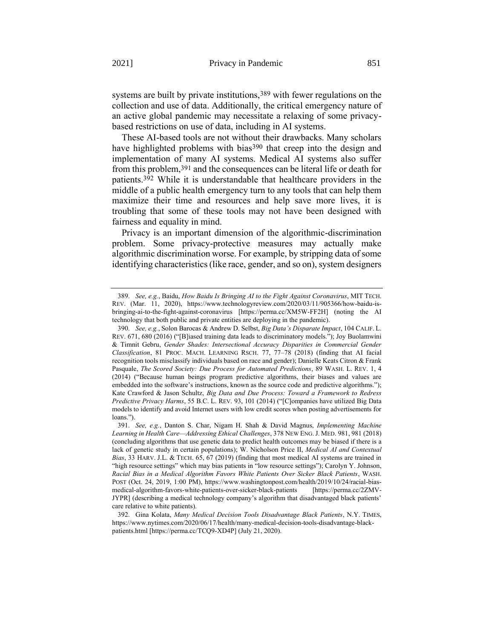systems are built by private institutions,<sup>389</sup> with fewer regulations on the collection and use of data. Additionally, the critical emergency nature of an active global pandemic may necessitate a relaxing of some privacybased restrictions on use of data, including in AI systems.

<span id="page-85-0"></span>These AI-based tools are not without their drawbacks. Many scholars have highlighted problems with bias<sup>390</sup> that creep into the design and implementation of many AI systems. Medical AI systems also suffer from this problem,391 and the consequences can be literal life or death for patients.392 While it is understandable that healthcare providers in the middle of a public health emergency turn to any tools that can help them maximize their time and resources and help save more lives, it is troubling that some of these tools may not have been designed with fairness and equality in mind.

Privacy is an important dimension of the algorithmic-discrimination problem. Some privacy-protective measures may actually make algorithmic discrimination worse. For example, by stripping data of some identifying characteristics (like race, gender, and so on), system designers

<sup>389.</sup> *See, e.g.*, Baidu, *How Baidu Is Bringing AI to the Fight Against Coronavirus*, MIT TECH. REV. (Mar. 11, 2020), https://www.technologyreview.com/2020/03/11/905366/how-baidu-isbringing-ai-to-the-fight-against-coronavirus [https://perma.cc/XM5W-FF2H] (noting the AI technology that both public and private entities are deploying in the pandemic).

<sup>390.</sup> *See, e.g.*, Solon Barocas & Andrew D. Selbst, *Big Data's Disparate Impact*, 104 CALIF. L. REV. 671, 680 (2016) ("[B]iased training data leads to discriminatory models."); Joy Buolamwini & Timnit Gebru, *Gender Shades: Intersectional Accuracy Disparities in Commercial Gender Classification*, 81 PROC. MACH. LEARNING RSCH. 77, 77–78 (2018) (finding that AI facial recognition tools misclassify individuals based on race and gender); Danielle Keats Citron & Frank Pasquale, *The Scored Society: Due Process for Automated Predictions*, 89 WASH. L. REV. 1, 4 (2014) ("Because human beings program predictive algorithms, their biases and values are embedded into the software's instructions, known as the source code and predictive algorithms."); Kate Crawford & Jason Schultz, *Big Data and Due Process: Toward a Framework to Redress Predictive Privacy Harms*, 55 B.C. L. REV. 93, 101 (2014) ("[C]ompanies have utilized Big Data models to identify and avoid Internet users with low credit scores when posting advertisements for loans.").

<sup>391.</sup> *See, e.g.*, Danton S. Char, Nigam H. Shah & David Magnus, *Implementing Machine Learning in Health Care—Addressing Ethical Challenges*, 378 NEW ENG.J. MED. 981, 981 (2018) (concluding algorithms that use genetic data to predict health outcomes may be biased if there is a lack of genetic study in certain populations); W. Nicholson Price II, *Medical AI and Contextual Bias*, 33 HARV. J.L. & TECH. 65, 67 (2019) (finding that most medical AI systems are trained in "high resource settings" which may bias patients in "low resource settings"); Carolyn Y. Johnson, *Racial Bias in a Medical Algorithm Favors White Patients Over Sicker Black Patients*, WASH. POST (Oct. 24, 2019, 1:00 PM), https://www.washingtonpost.com/health/2019/10/24/racial-biasmedical-algorithm-favors-white-patients-over-sicker-black-patients [https://perma.cc/2ZMV-JYPR] (describing a medical technology company's algorithm that disadvantaged black patients' care relative to white patients).

<sup>392.</sup> Gina Kolata, *Many Medical Decision Tools Disadvantage Black Patients*, N.Y. TIMES, https://www.nytimes.com/2020/06/17/health/many-medical-decision-tools-disadvantage-blackpatients.html [https://perma.cc/TCQ9-XD4P] (July 21, 2020).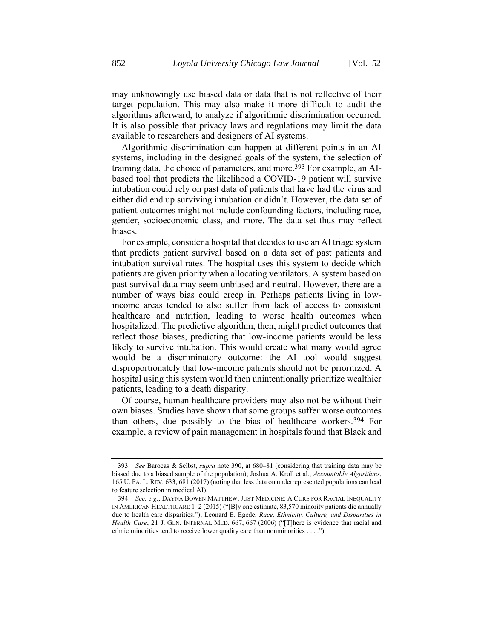may unknowingly use biased data or data that is not reflective of their target population. This may also make it more difficult to audit the algorithms afterward, to analyze if algorithmic discrimination occurred. It is also possible that privacy laws and regulations may limit the data available to researchers and designers of AI systems.

Algorithmic discrimination can happen at different points in an AI systems, including in the designed goals of the system, the selection of training data, the choice of parameters, and more.393 For example, an AIbased tool that predicts the likelihood a COVID-19 patient will survive intubation could rely on past data of patients that have had the virus and either did end up surviving intubation or didn't. However, the data set of patient outcomes might not include confounding factors, including race, gender, socioeconomic class, and more. The data set thus may reflect biases.

For example, consider a hospital that decides to use an AI triage system that predicts patient survival based on a data set of past patients and intubation survival rates. The hospital uses this system to decide which patients are given priority when allocating ventilators. A system based on past survival data may seem unbiased and neutral. However, there are a number of ways bias could creep in. Perhaps patients living in lowincome areas tended to also suffer from lack of access to consistent healthcare and nutrition, leading to worse health outcomes when hospitalized. The predictive algorithm, then, might predict outcomes that reflect those biases, predicting that low-income patients would be less likely to survive intubation. This would create what many would agree would be a discriminatory outcome: the AI tool would suggest disproportionately that low-income patients should not be prioritized. A hospital using this system would then unintentionally prioritize wealthier patients, leading to a death disparity.

Of course, human healthcare providers may also not be without their own biases. Studies have shown that some groups suffer worse outcomes than others, due possibly to the bias of healthcare workers.394 For example, a review of pain management in hospitals found that Black and

<sup>393.</sup> *See* Barocas & Selbst, *supra* not[e 390,](#page-85-0) at 680–81 (considering that training data may be biased due to a biased sample of the population); Joshua A. Kroll et al., *Accountable Algorithms*, 165 U. PA. L. REV. 633, 681 (2017) (noting that less data on underrepresented populations can lead to feature selection in medical AI).

<sup>394.</sup> *See, e.g.*, DAYNA BOWEN MATTHEW, JUST MEDICINE: A CURE FOR RACIAL INEQUALITY IN AMERICAN HEALTHCARE 1–2 (2015) ("[B]y one estimate, 83,570 minority patients die annually due to health care disparities."); Leonard E. Egede, *Race, Ethnicity, Culture, and Disparities in Health Care*, 21 J. GEN. INTERNAL MED. 667, 667 (2006) ("[T]here is evidence that racial and ethnic minorities tend to receive lower quality care than nonminorities . . . .").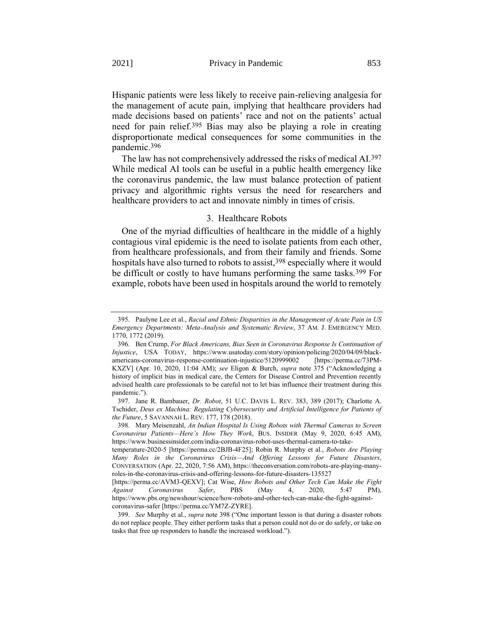Hispanic patients were less likely to receive pain-relieving analgesia for the management of acute pain, implying that healthcare providers had made decisions based on patients' race and not on the patients' actual need for pain relief.395 Bias may also be playing a role in creating disproportionate medical consequences for some communities in the pandemic.396

The law has not comprehensively addressed the risks of medical AI.397 While medical AI tools can be useful in a public health emergency like the coronavirus pandemic, the law must balance protection of patient privacy and algorithmic rights versus the need for researchers and healthcare providers to act and innovate nimbly in times of crisis.

# <span id="page-87-0"></span>3. Healthcare Robots

One of the myriad difficulties of healthcare in the middle of a highly contagious viral epidemic is the need to isolate patients from each other, from healthcare professionals, and from their family and friends. Some hospitals have also turned to robots to assist,<sup>398</sup> especially where it would be difficult or costly to have humans performing the same tasks.399 For example, robots have been used in hospitals around the world to remotely

<sup>395.</sup> Paulyne Lee et al., *Racial and Ethnic Disparities in the Management of Acute Pain in US Emergency Departments: Meta-Analysis and Systematic Review*, 37 AM. J. EMERGENCY MED. 1770, 1772 (2019).

<sup>396.</sup> Ben Crump, *For Black Americans, Bias Seen in Coronavirus Response Is Continuation of Injustice*, USA TODAY, https://www.usatoday.com/story/opinion/policing/2020/04/09/blackamericans-coronavirus-response-continuation-injustice/5120999002 [https://perma.cc/73PM-KXZV] (Apr. 10, 2020, 11:04 AM); *see* Eligon & Burch, *supra* note [375](#page-81-1) ("Acknowledging a history of implicit bias in medical care, the Centers for Disease Control and Prevention recently advised health care professionals to be careful not to let bias influence their treatment during this pandemic.").

<sup>397.</sup> Jane R. Bambauer, *Dr. Robot*, 51 U.C. DAVIS L. REV. 383, 389 (2017); Charlotte A. Tschider, *Deus ex Machina: Regulating Cybersecurity and Artificial Intelligence for Patients of the Future*, 5 SAVANNAH L. REV. 177, 178 (2018).

<sup>398.</sup> Mary Meisenzahl, *An Indian Hospital Is Using Robots with Thermal Cameras to Screen Coronavirus Patients—Here's How They Work*, BUS. INSIDER (May 9, 2020, 6:45 AM), https://www.businessinsider.com/india-coronavirus-robot-uses-thermal-camera-to-take-

temperature-2020-5 [https://perma.cc/2BJB-4F25]; Robin R. Murphy et al., *Robots Are Playing Many Roles in the Coronavirus Crisis—And Offering Lessons for Future Disasters*, CONVERSATION (Apr. 22, 2020, 7:56 AM), https://theconversation.com/robots-are-playing-manyroles-in-the-coronavirus-crisis-and-offering-lessons-for-future-disasters-135527

<sup>[</sup>https://perma.cc/AVM3-QEXV]; Cat Wise, *How Robots and Other Tech Can Make the Fight Against Coronavirus Safer*, PBS (May 4, 2020, 5:47 PM), https://www.pbs.org/newshour/science/how-robots-and-other-tech-can-make-the-fight-againstcoronavirus-safer [https://perma.cc/YM7Z-ZYRE].

<sup>399.</sup> *See* Murphy et al., *supra* note [398](#page-87-0) ("One important lesson is that during a disaster robots do not replace people. They either perform tasks that a person could not do or do safely, or take on tasks that free up responders to handle the increased workload.").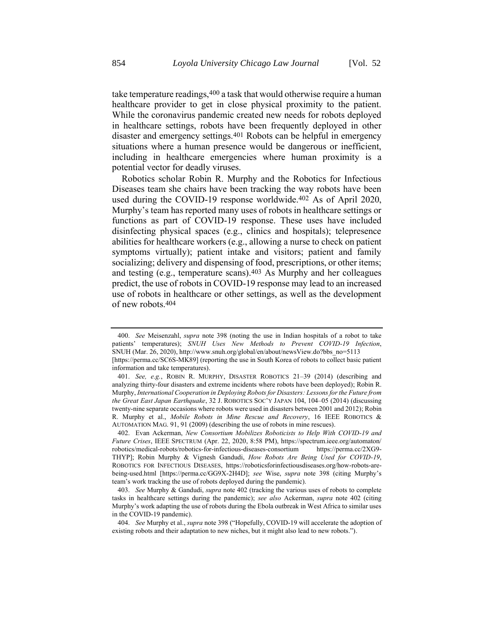take temperature readings,  $400$  a task that would otherwise require a human healthcare provider to get in close physical proximity to the patient. While the coronavirus pandemic created new needs for robots deployed in healthcare settings, robots have been frequently deployed in other disaster and emergency settings.401 Robots can be helpful in emergency situations where a human presence would be dangerous or inefficient, including in healthcare emergencies where human proximity is a potential vector for deadly viruses.

<span id="page-88-0"></span>Robotics scholar Robin R. Murphy and the Robotics for Infectious Diseases team she chairs have been tracking the way robots have been used during the COVID-19 response worldwide.402 As of April 2020, Murphy's team has reported many uses of robots in healthcare settings or functions as part of COVID-19 response. These uses have included disinfecting physical spaces (e.g., clinics and hospitals); telepresence abilities for healthcare workers (e.g., allowing a nurse to check on patient symptoms virtually); patient intake and visitors; patient and family socializing; delivery and dispensing of food, prescriptions, or other items; and testing (e.g., temperature scans).403 As Murphy and her colleagues predict, the use of robots in COVID-19 response may lead to an increased use of robots in healthcare or other settings, as well as the development of new robots.404

<sup>400.</sup> *See* Meisenzahl, *supra* note [398](#page-87-0) (noting the use in Indian hospitals of a robot to take patients' temperatures); *SNUH Uses New Methods to Prevent COVID-19 Infection*, SNUH (Mar. 26, 2020), http://www.snuh.org/global/en/about/newsView.do?bbs\_no=5113 [https://perma.cc/SC6S-MK89] (reporting the use in South Korea of robots to collect basic patient information and take temperatures).

<sup>401.</sup> *See, e.g.*, ROBIN R. MURPHY, DISASTER ROBOTICS 21–39 (2014) (describing and analyzing thirty-four disasters and extreme incidents where robots have been deployed); Robin R. Murphy, *International Cooperation in Deploying Robots for Disasters: Lessons for the Future from the Great East Japan Earthquake*, 32 J. ROBOTICS SOC'Y JAPAN 104, 104–05 (2014) (discussing twenty-nine separate occasions where robots were used in disasters between 2001 and 2012); Robin R. Murphy et al., *Mobile Robots in Mine Rescue and Recovery*, 16 IEEE ROBOTICS & AUTOMATION MAG. 91, 91 (2009) (describing the use of robots in mine rescues).

<sup>402.</sup> Evan Ackerman, *New Consortium Mobilizes Roboticists to Help With COVID-19 and Future Crises*, IEEE SPECTRUM (Apr. 22, 2020, 8:58 PM), https://spectrum.ieee.org/automaton/ robotics/medical-robots/robotics-for-infectious-diseases-consortium https://perma.cc/2XG9- THYP]; Robin Murphy & Vignesh Gandudi, *How Robots Are Being Used for COVID-19*, ROBOTICS FOR INFECTIOUS DISEASES, https://roboticsforinfectiousdiseases.org/how-robots-arebeing-used.html [https://perma.cc/GG9X-2H4D]; *see* Wise, *supra* note [398](#page-87-0) (citing Murphy's team's work tracking the use of robots deployed during the pandemic).

<sup>403.</sup> *See* Murphy & Gandudi, *supra* note [402](#page-88-0) (tracking the various uses of robots to complete tasks in healthcare settings during the pandemic); *see also* Ackerman, *supra* note [402](#page-88-0) (citing Murphy's work adapting the use of robots during the Ebola outbreak in West Africa to similar uses in the COVID-19 pandemic).

<sup>404.</sup> *See* Murphy et al., *supra* not[e 398](#page-87-0) ("Hopefully, COVID-19 will accelerate the adoption of existing robots and their adaptation to new niches, but it might also lead to new robots.").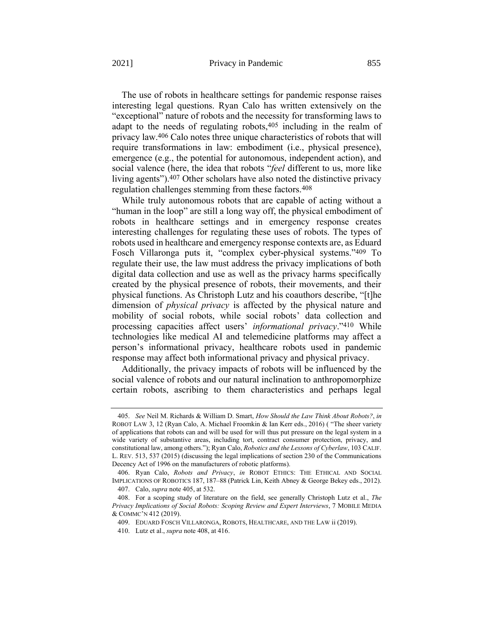<span id="page-89-0"></span>The use of robots in healthcare settings for pandemic response raises interesting legal questions. Ryan Calo has written extensively on the "exceptional" nature of robots and the necessity for transforming laws to adapt to the needs of regulating robots,405 including in the realm of privacy law.406 Calo notes three unique characteristics of robots that will require transformations in law: embodiment (i.e., physical presence), emergence (e.g., the potential for autonomous, independent action), and social valence (here, the idea that robots "*feel* different to us, more like living agents").407 Other scholars have also noted the distinctive privacy regulation challenges stemming from these factors.408

<span id="page-89-1"></span>While truly autonomous robots that are capable of acting without a "human in the loop" are still a long way off, the physical embodiment of robots in healthcare settings and in emergency response creates interesting challenges for regulating these uses of robots. The types of robots used in healthcare and emergency response contexts are, as Eduard Fosch Villaronga puts it, "complex cyber-physical systems."409 To regulate their use, the law must address the privacy implications of both digital data collection and use as well as the privacy harms specifically created by the physical presence of robots, their movements, and their physical functions. As Christoph Lutz and his coauthors describe, "[t]he dimension of *physical privacy* is affected by the physical nature and mobility of social robots, while social robots' data collection and processing capacities affect users' *informational privacy*."410 While technologies like medical AI and telemedicine platforms may affect a person's informational privacy, healthcare robots used in pandemic response may affect both informational privacy and physical privacy.

Additionally, the privacy impacts of robots will be influenced by the social valence of robots and our natural inclination to anthropomorphize certain robots, ascribing to them characteristics and perhaps legal

<sup>405.</sup> *See* Neil M. Richards & William D. Smart, *How Should the Law Think About Robots?*, *in*  ROBOT LAW 3, 12 (Ryan Calo, A. Michael Froomkin & Ian Kerr eds., 2016) ( "The sheer variety of applications that robots can and will be used for will thus put pressure on the legal system in a wide variety of substantive areas, including tort, contract consumer protection, privacy, and constitutional law, among others."); Ryan Calo, *Robotics and the Lessons of Cyberlaw*, 103 CALIF. L. REV. 513, 537 (2015) (discussing the legal implications of section 230 of the Communications Decency Act of 1996 on the manufacturers of robotic platforms).

<sup>406.</sup> Ryan Calo, *Robots and Privacy*, *in* ROBOT ETHICS: THE ETHICAL AND SOCIAL IMPLICATIONS OF ROBOTICS 187, 187–88 (Patrick Lin, Keith Abney & George Bekey eds., 2012). 407. Calo, *supra* not[e 405,](#page-89-0) at 532.

<sup>408.</sup> For a scoping study of literature on the field, see generally Christoph Lutz et al., *The Privacy Implications of Social Robots: Scoping Review and Expert Interviews*, 7 MOBILE MEDIA & COMMC'N 412 (2019).

<sup>409.</sup> EDUARD FOSCH VILLARONGA, ROBOTS, HEALTHCARE, AND THE LAW ii (2019).

<sup>410.</sup> Lutz et al., *supra* not[e 408,](#page-89-1) at 416.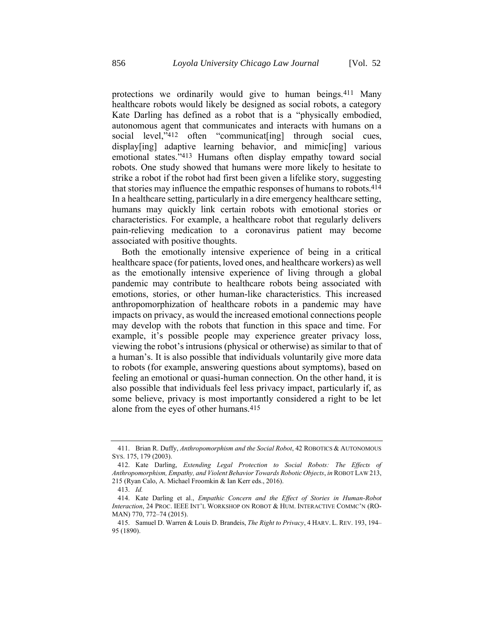protections we ordinarily would give to human beings.411 Many healthcare robots would likely be designed as social robots, a category Kate Darling has defined as a robot that is a "physically embodied, autonomous agent that communicates and interacts with humans on a social level,"412 often "communicat[ing] through social cues, display[ing] adaptive learning behavior, and mimic[ing] various emotional states."413 Humans often display empathy toward social robots. One study showed that humans were more likely to hesitate to strike a robot if the robot had first been given a lifelike story, suggesting that stories may influence the empathic responses of humans to robots.414 In a healthcare setting, particularly in a dire emergency healthcare setting, humans may quickly link certain robots with emotional stories or characteristics. For example, a healthcare robot that regularly delivers pain-relieving medication to a coronavirus patient may become associated with positive thoughts.

Both the emotionally intensive experience of being in a critical healthcare space (for patients, loved ones, and healthcare workers) as well as the emotionally intensive experience of living through a global pandemic may contribute to healthcare robots being associated with emotions, stories, or other human-like characteristics. This increased anthropomorphization of healthcare robots in a pandemic may have impacts on privacy, as would the increased emotional connections people may develop with the robots that function in this space and time. For example, it's possible people may experience greater privacy loss, viewing the robot's intrusions (physical or otherwise) as similar to that of a human's. It is also possible that individuals voluntarily give more data to robots (for example, answering questions about symptoms), based on feeling an emotional or quasi-human connection. On the other hand, it is also possible that individuals feel less privacy impact, particularly if, as some believe, privacy is most importantly considered a right to be let alone from the eyes of other humans.415

<sup>411.</sup> Brian R. Duffy, *Anthropomorphism and the Social Robot*, 42 ROBOTICS & AUTONOMOUS SYS. 175, 179 (2003).

<sup>412.</sup> Kate Darling, *Extending Legal Protection to Social Robots: The Effects of Anthropomorphism, Empathy, and Violent Behavior Towards Robotic Objects*, *in* ROBOT LAW 213, 215 (Ryan Calo, A. Michael Froomkin & Ian Kerr eds., 2016).

<sup>413.</sup> *Id.* 

<sup>414.</sup> Kate Darling et al., *Empathic Concern and the Effect of Stories in Human-Robot Interaction*, 24 PROC. IEEE INT'L WORKSHOP ON ROBOT & HUM. INTERACTIVE COMMC'N (RO-MAN) 770, 772–74 (2015).

<sup>415.</sup> Samuel D. Warren & Louis D. Brandeis, *The Right to Privacy*, 4 HARV. L. REV. 193, 194– 95 (1890).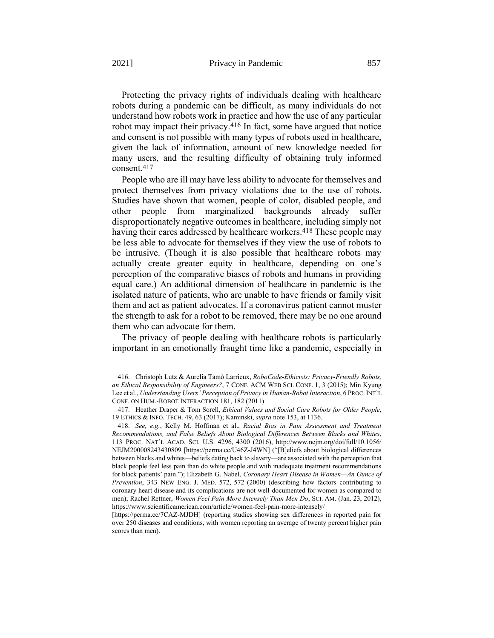Protecting the privacy rights of individuals dealing with healthcare robots during a pandemic can be difficult, as many individuals do not understand how robots work in practice and how the use of any particular robot may impact their privacy.<sup>416</sup> In fact, some have argued that notice and consent is not possible with many types of robots used in healthcare, given the lack of information, amount of new knowledge needed for many users, and the resulting difficulty of obtaining truly informed consent.417

People who are ill may have less ability to advocate for themselves and protect themselves from privacy violations due to the use of robots. Studies have shown that women, people of color, disabled people, and other people from marginalized backgrounds already suffer disproportionately negative outcomes in healthcare, including simply not having their cares addressed by healthcare workers.<sup>418</sup> These people may be less able to advocate for themselves if they view the use of robots to be intrusive. (Though it is also possible that healthcare robots may actually create greater equity in healthcare, depending on one's perception of the comparative biases of robots and humans in providing equal care.) An additional dimension of healthcare in pandemic is the isolated nature of patients, who are unable to have friends or family visit them and act as patient advocates. If a coronavirus patient cannot muster the strength to ask for a robot to be removed, there may be no one around them who can advocate for them.

The privacy of people dealing with healthcare robots is particularly important in an emotionally fraught time like a pandemic, especially in

<sup>416.</sup> Christoph Lutz & Aurelia Tamò Larrieux, *RoboCode-Ethicists: Privacy-Friendly Robots, an Ethical Responsibility of Engineers?*, 7 CONF. ACM WEB SCI. CONF. 1, 3 (2015); Min Kyung Lee et al., *Understanding Users' Perception of Privacy in Human-Robot Interaction*, 6 PROC. INT'L CONF. ON HUM.-ROBOT INTERACTION 181, 182 (2011).

<sup>417.</sup> Heather Draper & Tom Sorell, *Ethical Values and Social Care Robots for Older People*, 19 ETHICS & INFO. TECH. 49, 63 (2017); Kaminski, *supra* not[e 153,](#page-36-0) at 1136.

<sup>418.</sup> *See, e.g.*, Kelly M. Hoffman et al., *Racial Bias in Pain Assessment and Treatment Recommendations, and False Beliefs About Biological Differences Between Blacks and Whites*, 113 PROC. NAT'L ACAD. SCI. U.S. 4296, 4300 (2016), http://www.nejm.org/doi/full/10.1056/ NEJM200008243430809 [https://perma.cc/U46Z-J4WN] ("[B]eliefs about biological differences between blacks and whites—beliefs dating back to slavery—are associated with the perception that black people feel less pain than do white people and with inadequate treatment recommendations for black patients' pain."); Elizabeth G. Nabel, *Coronary Heart Disease in Women—An Ounce of Prevention*, 343 NEW ENG. J. MED. 572, 572 (2000) (describing how factors contributing to coronary heart disease and its complications are not well-documented for women as compared to men); Rachel Rettner, *Women Feel Pain More Intensely Than Men Do*, SCI. AM. (Jan. 23, 2012), https://www.scientificamerican.com/article/women-feel-pain-more-intensely/

<sup>[</sup>https://perma.cc/7CAZ-MJDH] (reporting studies showing sex differences in reported pain for over 250 diseases and conditions, with women reporting an average of twenty percent higher pain scores than men).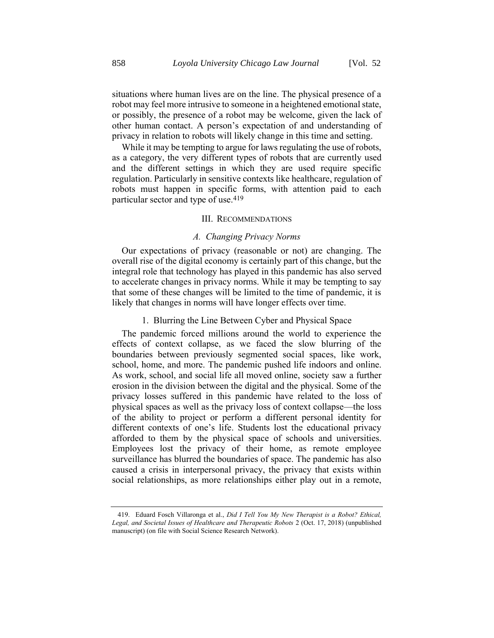situations where human lives are on the line. The physical presence of a robot may feel more intrusive to someone in a heightened emotional state, or possibly, the presence of a robot may be welcome, given the lack of other human contact. A person's expectation of and understanding of privacy in relation to robots will likely change in this time and setting.

While it may be tempting to argue for laws regulating the use of robots, as a category, the very different types of robots that are currently used and the different settings in which they are used require specific regulation. Particularly in sensitive contexts like healthcare, regulation of robots must happen in specific forms, with attention paid to each particular sector and type of use.419

### III. RECOMMENDATIONS

## *A. Changing Privacy Norms*

Our expectations of privacy (reasonable or not) are changing. The overall rise of the digital economy is certainly part of this change, but the integral role that technology has played in this pandemic has also served to accelerate changes in privacy norms. While it may be tempting to say that some of these changes will be limited to the time of pandemic, it is likely that changes in norms will have longer effects over time.

# 1. Blurring the Line Between Cyber and Physical Space

The pandemic forced millions around the world to experience the effects of context collapse, as we faced the slow blurring of the boundaries between previously segmented social spaces, like work, school, home, and more. The pandemic pushed life indoors and online. As work, school, and social life all moved online, society saw a further erosion in the division between the digital and the physical. Some of the privacy losses suffered in this pandemic have related to the loss of physical spaces as well as the privacy loss of context collapse—the loss of the ability to project or perform a different personal identity for different contexts of one's life. Students lost the educational privacy afforded to them by the physical space of schools and universities. Employees lost the privacy of their home, as remote employee surveillance has blurred the boundaries of space. The pandemic has also caused a crisis in interpersonal privacy, the privacy that exists within social relationships, as more relationships either play out in a remote,

<sup>419.</sup> Eduard Fosch Villaronga et al., *Did I Tell You My New Therapist is a Robot? Ethical, Legal, and Societal Issues of Healthcare and Therapeutic Robots* 2 (Oct. 17, 2018) (unpublished manuscript) (on file with Social Science Research Network).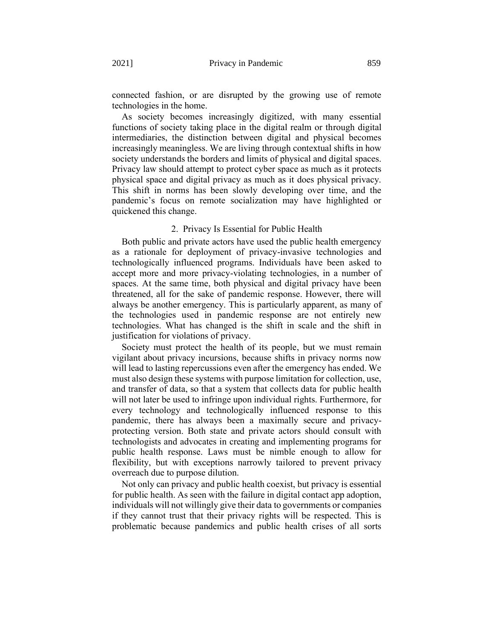connected fashion, or are disrupted by the growing use of remote technologies in the home.

As society becomes increasingly digitized, with many essential functions of society taking place in the digital realm or through digital intermediaries, the distinction between digital and physical becomes increasingly meaningless. We are living through contextual shifts in how society understands the borders and limits of physical and digital spaces. Privacy law should attempt to protect cyber space as much as it protects physical space and digital privacy as much as it does physical privacy. This shift in norms has been slowly developing over time, and the pandemic's focus on remote socialization may have highlighted or quickened this change.

## 2. Privacy Is Essential for Public Health

Both public and private actors have used the public health emergency as a rationale for deployment of privacy-invasive technologies and technologically influenced programs. Individuals have been asked to accept more and more privacy-violating technologies, in a number of spaces. At the same time, both physical and digital privacy have been threatened, all for the sake of pandemic response. However, there will always be another emergency. This is particularly apparent, as many of the technologies used in pandemic response are not entirely new technologies. What has changed is the shift in scale and the shift in justification for violations of privacy.

Society must protect the health of its people, but we must remain vigilant about privacy incursions, because shifts in privacy norms now will lead to lasting repercussions even after the emergency has ended. We must also design these systems with purpose limitation for collection, use, and transfer of data, so that a system that collects data for public health will not later be used to infringe upon individual rights. Furthermore, for every technology and technologically influenced response to this pandemic, there has always been a maximally secure and privacyprotecting version. Both state and private actors should consult with technologists and advocates in creating and implementing programs for public health response. Laws must be nimble enough to allow for flexibility, but with exceptions narrowly tailored to prevent privacy overreach due to purpose dilution.

Not only can privacy and public health coexist, but privacy is essential for public health. As seen with the failure in digital contact app adoption, individuals will not willingly give their data to governments or companies if they cannot trust that their privacy rights will be respected. This is problematic because pandemics and public health crises of all sorts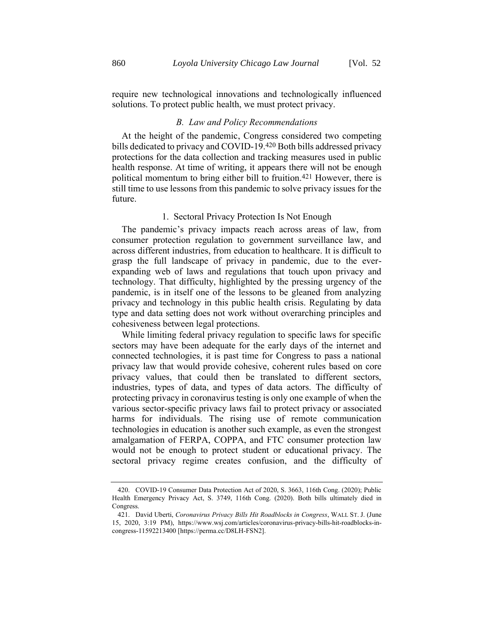require new technological innovations and technologically influenced solutions. To protect public health, we must protect privacy.

### *B. Law and Policy Recommendations*

At the height of the pandemic, Congress considered two competing bills dedicated to privacy and COVID-19.420 Both bills addressed privacy protections for the data collection and tracking measures used in public health response. At time of writing, it appears there will not be enough political momentum to bring either bill to fruition.421 However, there is still time to use lessons from this pandemic to solve privacy issues for the future.

# 1. Sectoral Privacy Protection Is Not Enough

The pandemic's privacy impacts reach across areas of law, from consumer protection regulation to government surveillance law, and across different industries, from education to healthcare. It is difficult to grasp the full landscape of privacy in pandemic, due to the everexpanding web of laws and regulations that touch upon privacy and technology. That difficulty, highlighted by the pressing urgency of the pandemic, is in itself one of the lessons to be gleaned from analyzing privacy and technology in this public health crisis. Regulating by data type and data setting does not work without overarching principles and cohesiveness between legal protections.

While limiting federal privacy regulation to specific laws for specific sectors may have been adequate for the early days of the internet and connected technologies, it is past time for Congress to pass a national privacy law that would provide cohesive, coherent rules based on core privacy values, that could then be translated to different sectors, industries, types of data, and types of data actors. The difficulty of protecting privacy in coronavirus testing is only one example of when the various sector-specific privacy laws fail to protect privacy or associated harms for individuals. The rising use of remote communication technologies in education is another such example, as even the strongest amalgamation of FERPA, COPPA, and FTC consumer protection law would not be enough to protect student or educational privacy. The sectoral privacy regime creates confusion, and the difficulty of

<sup>420.</sup> COVID-19 Consumer Data Protection Act of 2020, S. 3663, 116th Cong. (2020); Public Health Emergency Privacy Act, S. 3749, 116th Cong. (2020). Both bills ultimately died in Congress.

<sup>421.</sup> David Uberti, *Coronavirus Privacy Bills Hit Roadblocks in Congress*, WALL ST. J. (June 15, 2020, 3:19 PM), https://www.wsj.com/articles/coronavirus-privacy-bills-hit-roadblocks-incongress-11592213400 [https://perma.cc/D8LH-FSN2].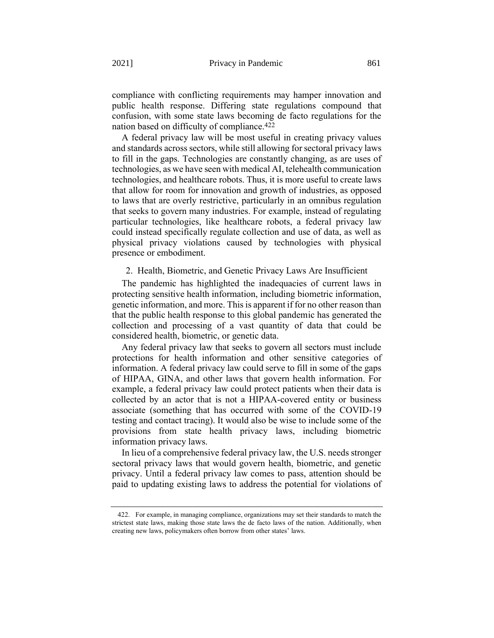compliance with conflicting requirements may hamper innovation and public health response. Differing state regulations compound that confusion, with some state laws becoming de facto regulations for the nation based on difficulty of compliance.422

A federal privacy law will be most useful in creating privacy values and standards across sectors, while still allowing for sectoral privacy laws to fill in the gaps. Technologies are constantly changing, as are uses of technologies, as we have seen with medical AI, telehealth communication technologies, and healthcare robots. Thus, it is more useful to create laws that allow for room for innovation and growth of industries, as opposed to laws that are overly restrictive, particularly in an omnibus regulation that seeks to govern many industries. For example, instead of regulating particular technologies, like healthcare robots, a federal privacy law could instead specifically regulate collection and use of data, as well as physical privacy violations caused by technologies with physical presence or embodiment.

## 2. Health, Biometric, and Genetic Privacy Laws Are Insufficient

The pandemic has highlighted the inadequacies of current laws in protecting sensitive health information, including biometric information, genetic information, and more. This is apparent if for no other reason than that the public health response to this global pandemic has generated the collection and processing of a vast quantity of data that could be considered health, biometric, or genetic data.

Any federal privacy law that seeks to govern all sectors must include protections for health information and other sensitive categories of information. A federal privacy law could serve to fill in some of the gaps of HIPAA, GINA, and other laws that govern health information. For example, a federal privacy law could protect patients when their data is collected by an actor that is not a HIPAA-covered entity or business associate (something that has occurred with some of the COVID-19 testing and contact tracing). It would also be wise to include some of the provisions from state health privacy laws, including biometric information privacy laws.

In lieu of a comprehensive federal privacy law, the U.S. needs stronger sectoral privacy laws that would govern health, biometric, and genetic privacy. Until a federal privacy law comes to pass, attention should be paid to updating existing laws to address the potential for violations of

<sup>422.</sup> For example, in managing compliance, organizations may set their standards to match the strictest state laws, making those state laws the de facto laws of the nation. Additionally, when creating new laws, policymakers often borrow from other states' laws.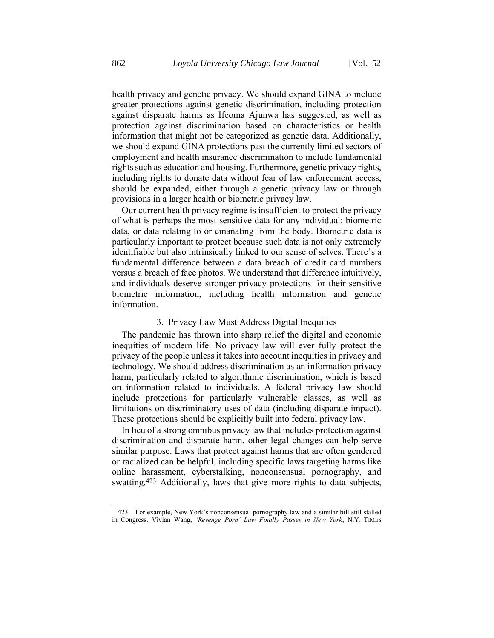health privacy and genetic privacy. We should expand GINA to include greater protections against genetic discrimination, including protection against disparate harms as Ifeoma Ajunwa has suggested, as well as protection against discrimination based on characteristics or health information that might not be categorized as genetic data. Additionally, we should expand GINA protections past the currently limited sectors of employment and health insurance discrimination to include fundamental rights such as education and housing. Furthermore, genetic privacy rights, including rights to donate data without fear of law enforcement access, should be expanded, either through a genetic privacy law or through provisions in a larger health or biometric privacy law.

Our current health privacy regime is insufficient to protect the privacy of what is perhaps the most sensitive data for any individual: biometric data, or data relating to or emanating from the body. Biometric data is particularly important to protect because such data is not only extremely identifiable but also intrinsically linked to our sense of selves. There's a fundamental difference between a data breach of credit card numbers versus a breach of face photos. We understand that difference intuitively, and individuals deserve stronger privacy protections for their sensitive biometric information, including health information and genetic information.

#### 3. Privacy Law Must Address Digital Inequities

The pandemic has thrown into sharp relief the digital and economic inequities of modern life. No privacy law will ever fully protect the privacy of the people unless it takes into account inequities in privacy and technology. We should address discrimination as an information privacy harm, particularly related to algorithmic discrimination, which is based on information related to individuals. A federal privacy law should include protections for particularly vulnerable classes, as well as limitations on discriminatory uses of data (including disparate impact). These protections should be explicitly built into federal privacy law.

In lieu of a strong omnibus privacy law that includes protection against discrimination and disparate harm, other legal changes can help serve similar purpose. Laws that protect against harms that are often gendered or racialized can be helpful, including specific laws targeting harms like online harassment, cyberstalking, nonconsensual pornography, and swatting.423 Additionally, laws that give more rights to data subjects,

423. For example, New York's nonconsensual pornography law and a similar bill still stalled in Congress. Vivian Wang, *'Revenge Porn' Law Finally Passes in New York*, N.Y. TIMES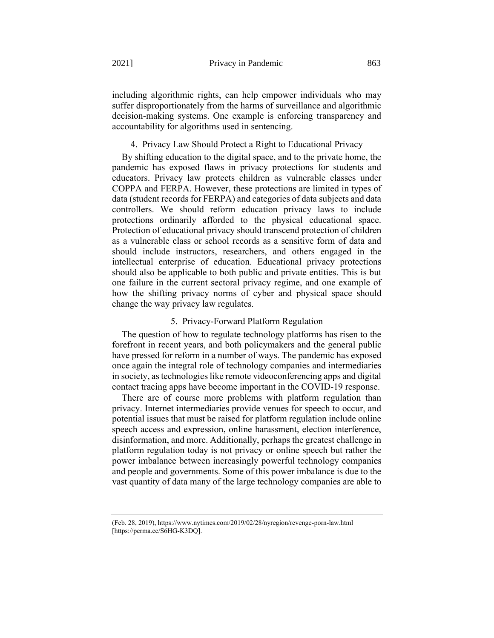including algorithmic rights, can help empower individuals who may suffer disproportionately from the harms of surveillance and algorithmic decision-making systems. One example is enforcing transparency and accountability for algorithms used in sentencing.

#### 4. Privacy Law Should Protect a Right to Educational Privacy

By shifting education to the digital space, and to the private home, the pandemic has exposed flaws in privacy protections for students and educators. Privacy law protects children as vulnerable classes under COPPA and FERPA. However, these protections are limited in types of data (student records for FERPA) and categories of data subjects and data controllers. We should reform education privacy laws to include protections ordinarily afforded to the physical educational space. Protection of educational privacy should transcend protection of children as a vulnerable class or school records as a sensitive form of data and should include instructors, researchers, and others engaged in the intellectual enterprise of education. Educational privacy protections should also be applicable to both public and private entities. This is but one failure in the current sectoral privacy regime, and one example of how the shifting privacy norms of cyber and physical space should change the way privacy law regulates.

## 5. Privacy-Forward Platform Regulation

The question of how to regulate technology platforms has risen to the forefront in recent years, and both policymakers and the general public have pressed for reform in a number of ways. The pandemic has exposed once again the integral role of technology companies and intermediaries in society, as technologies like remote videoconferencing apps and digital contact tracing apps have become important in the COVID-19 response.

There are of course more problems with platform regulation than privacy. Internet intermediaries provide venues for speech to occur, and potential issues that must be raised for platform regulation include online speech access and expression, online harassment, election interference, disinformation, and more. Additionally, perhaps the greatest challenge in platform regulation today is not privacy or online speech but rather the power imbalance between increasingly powerful technology companies and people and governments. Some of this power imbalance is due to the vast quantity of data many of the large technology companies are able to

(Feb. 28, 2019), https://www.nytimes.com/2019/02/28/nyregion/revenge-porn-law.html [https://perma.cc/S6HG-K3DQ].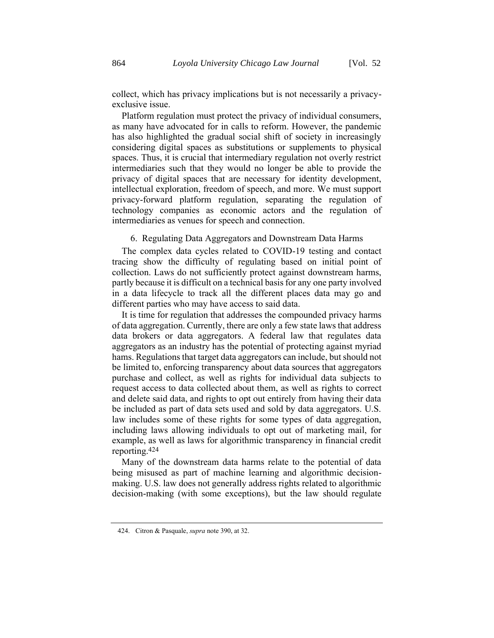collect, which has privacy implications but is not necessarily a privacyexclusive issue.

Platform regulation must protect the privacy of individual consumers, as many have advocated for in calls to reform. However, the pandemic has also highlighted the gradual social shift of society in increasingly considering digital spaces as substitutions or supplements to physical spaces. Thus, it is crucial that intermediary regulation not overly restrict intermediaries such that they would no longer be able to provide the privacy of digital spaces that are necessary for identity development, intellectual exploration, freedom of speech, and more. We must support privacy-forward platform regulation, separating the regulation of technology companies as economic actors and the regulation of intermediaries as venues for speech and connection.

# 6. Regulating Data Aggregators and Downstream Data Harms

The complex data cycles related to COVID-19 testing and contact tracing show the difficulty of regulating based on initial point of collection. Laws do not sufficiently protect against downstream harms, partly because it is difficult on a technical basis for any one party involved in a data lifecycle to track all the different places data may go and different parties who may have access to said data.

It is time for regulation that addresses the compounded privacy harms of data aggregation. Currently, there are only a few state laws that address data brokers or data aggregators. A federal law that regulates data aggregators as an industry has the potential of protecting against myriad hams. Regulations that target data aggregators can include, but should not be limited to, enforcing transparency about data sources that aggregators purchase and collect, as well as rights for individual data subjects to request access to data collected about them, as well as rights to correct and delete said data, and rights to opt out entirely from having their data be included as part of data sets used and sold by data aggregators. U.S. law includes some of these rights for some types of data aggregation, including laws allowing individuals to opt out of marketing mail, for example, as well as laws for algorithmic transparency in financial credit reporting.424

Many of the downstream data harms relate to the potential of data being misused as part of machine learning and algorithmic decisionmaking. U.S. law does not generally address rights related to algorithmic decision-making (with some exceptions), but the law should regulate

<sup>424.</sup> Citron & Pasquale, *supra* not[e 390,](#page-85-0) at 32.